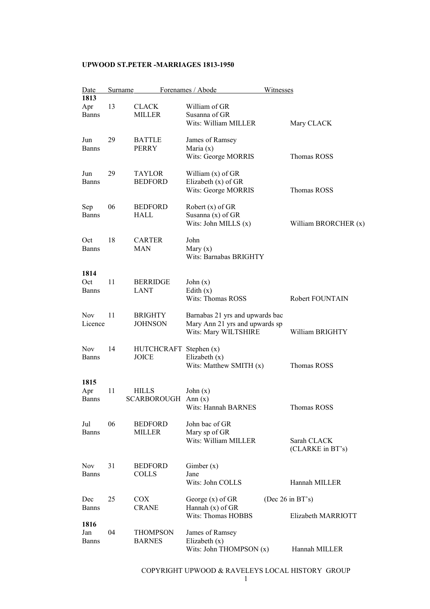| Date                        | <b>Surname</b> |                                        | Forenames / Abode                                                                         | Witnesses                       |
|-----------------------------|----------------|----------------------------------------|-------------------------------------------------------------------------------------------|---------------------------------|
| 1813<br>Apr<br><b>Banns</b> | 13             | <b>CLACK</b><br><b>MILLER</b>          | William of GR<br>Susanna of GR<br>Wits: William MILLER                                    | Mary CLACK                      |
| Jun<br><b>Banns</b>         | 29             | <b>BATTLE</b><br><b>PERRY</b>          | James of Ramsey<br>Maria $(x)$<br>Wits: George MORRIS                                     | Thomas ROSS                     |
| Jun<br><b>Banns</b>         | 29             | <b>TAYLOR</b><br><b>BEDFORD</b>        | William $(x)$ of GR<br>Elizabeth (x) of GR<br>Wits: George MORRIS                         | Thomas ROSS                     |
| Sep<br><b>Banns</b>         | 06             | <b>BEDFORD</b><br>HALL                 | Robert $(x)$ of GR<br>Susanna $(x)$ of GR<br>Wits: John MILLS (x)                         | William BRORCHER (x)            |
| Oct<br><b>Banns</b>         | 18             | <b>CARTER</b><br>MAN                   | John<br>Mary $(x)$<br>Wits: Barnabas BRIGHTY                                              |                                 |
| 1814<br>Oct<br><b>Banns</b> | 11             | <b>BERRIDGE</b><br>LANT                | John $(x)$<br>Edith $(x)$<br><b>Wits: Thomas ROSS</b>                                     | Robert FOUNTAIN                 |
| <b>Nov</b><br>Licence       | 11             | <b>BRIGHTY</b><br><b>JOHNSON</b>       | Barnabas 21 yrs and upwards bac<br>Mary Ann 21 yrs and upwards sp<br>Wits: Mary WILTSHIRE | William BRIGHTY                 |
| <b>Nov</b><br>Banns         | 14             | HUTCHCRAFT Stephen (x)<br><b>JOICE</b> | Elizabeth $(x)$<br>Wits: Matthew SMITH $(x)$                                              | Thomas ROSS                     |
| 1815<br>Apr<br><b>Banns</b> | 11             | <b>HILLS</b><br><b>SCARBOROUGH</b>     | John $(x)$<br>Ann $(x)$<br>Wits: Hannah BARNES                                            | Thomas ROSS                     |
| Jul<br>Banns                | 06             | <b>BEDFORD</b><br><b>MILLER</b>        | John bac of GR<br>Mary sp of GR<br>Wits: William MILLER                                   | Sarah CLACK<br>(CLARKE in BT's) |
| Nov.<br><b>Banns</b>        | 31             | <b>BEDFORD</b><br><b>COLLS</b>         | Gimber $(x)$<br>Jane<br>Wits: John COLLS                                                  | Hannah MILLER                   |
| Dec                         | 25             | <b>COX</b>                             | George $(x)$ of GR                                                                        | (Dec $26$ in BT's)              |
| Banns<br>1816               |                | <b>CRANE</b>                           | Hannah $(x)$ of GR<br>Wits: Thomas HOBBS                                                  | Elizabeth MARRIOTT              |
| Jan<br><b>Banns</b>         | 04             | <b>THOMPSON</b><br><b>BARNES</b>       | James of Ramsey<br>Elizabeth $(x)$<br>Wits: John THOMPSON (x)                             | Hannah MILLER                   |

COPYRIGHT UPWOOD & RAVELEYS LOCAL HISTORY GROUP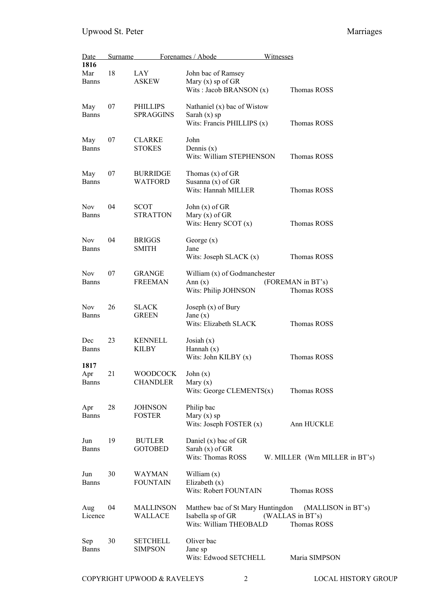| Date                        | Surname |                                     | Forenames / Abode                                                                | Witnesses                                             |
|-----------------------------|---------|-------------------------------------|----------------------------------------------------------------------------------|-------------------------------------------------------|
| 1816<br>Mar<br><b>Banns</b> | 18      | LAY<br>ASKEW                        | John bac of Ramsey<br>Mary $(x)$ sp of GR                                        |                                                       |
|                             |         |                                     | Wits: Jacob BRANSON $(x)$                                                        | Thomas ROSS                                           |
| May<br><b>Banns</b>         | 07      | <b>PHILLIPS</b><br><b>SPRAGGINS</b> | Nathaniel (x) bac of Wistow<br>Sarah $(x)$ sp<br>Wits: Francis PHILLIPS (x)      | Thomas ROSS                                           |
| May<br><b>Banns</b>         | 07      | <b>CLARKE</b><br><b>STOKES</b>      | John<br>Dennis $(x)$<br>Wits: William STEPHENSON                                 | <b>Thomas ROSS</b>                                    |
| May<br><b>Banns</b>         | 07      | <b>BURRIDGE</b><br><b>WATFORD</b>   | Thomas $(x)$ of $GR$<br>Susanna $(x)$ of GR<br>Wits: Hannah MILLER               | Thomas ROSS                                           |
| <b>Nov</b><br><b>Banns</b>  | 04      | <b>SCOT</b><br><b>STRATTON</b>      | John $(x)$ of $GR$<br>Mary $(x)$ of GR<br>Wits: Henry SCOT $(x)$                 | Thomas ROSS                                           |
| <b>Nov</b><br><b>Banns</b>  | 04      | <b>BRIGGS</b><br><b>SMITH</b>       | George $(x)$<br>Jane<br>Wits: Joseph SLACK $(x)$                                 | Thomas ROSS                                           |
| <b>Nov</b><br><b>Banns</b>  | 07      | <b>GRANGE</b><br><b>FREEMAN</b>     | William (x) of Godmanchester<br>Ann $(x)$<br>Wits: Philip JOHNSON                | (FOREMAN in BT's)<br>Thomas ROSS                      |
| <b>Nov</b><br><b>Banns</b>  | 26      | <b>SLACK</b><br><b>GREEN</b>        | Joseph $(x)$ of Bury<br>Jane $(x)$<br>Wits: Elizabeth SLACK                      | Thomas ROSS                                           |
| Dec<br><b>Banns</b><br>1817 | 23      | <b>KENNELL</b><br>KILBY             | Josiah $(x)$<br>Hannah $(x)$<br>Wits: John KILBY $(x)$                           | Thomas ROSS                                           |
| Apr<br><b>Banns</b>         | 21      | WOODCOCK<br><b>CHANDLER</b>         | John $(x)$<br>Mary $(x)$<br>Wits: George CLEMENTS $(x)$                          | Thomas ROSS                                           |
| Apr<br><b>Banns</b>         | 28      | <b>JOHNSON</b><br><b>FOSTER</b>     | Philip bac<br>Mary $(x)$ sp<br>Wits: Joseph FOSTER (x)                           | Ann HUCKLE                                            |
| Jun<br><b>Banns</b>         | 19      | <b>BUTLER</b><br><b>GOTOBED</b>     | Daniel $(x)$ bac of GR<br>Sarah $(x)$ of GR<br>Wits: Thomas ROSS                 | W. MILLER (Wm MILLER in BT's)                         |
| Jun<br><b>Banns</b>         | 30      | <b>WAYMAN</b><br><b>FOUNTAIN</b>    | William $(x)$<br>Elizabeth $(x)$<br>Wits: Robert FOUNTAIN                        | Thomas ROSS                                           |
| Aug<br>Licence              | 04      | <b>MALLINSON</b><br>WALLACE         | Matthew bac of St Mary Huntingdon<br>Isabella sp of GR<br>Wits: William THEOBALD | (MALLISON in BT's)<br>(WALLAS in BT's)<br>Thomas ROSS |
| Sep<br><b>Banns</b>         | 30      | <b>SETCHELL</b><br><b>SIMPSON</b>   | Oliver bac<br>Jane sp<br>Wits: Edwood SETCHELL                                   | Maria SIMPSON                                         |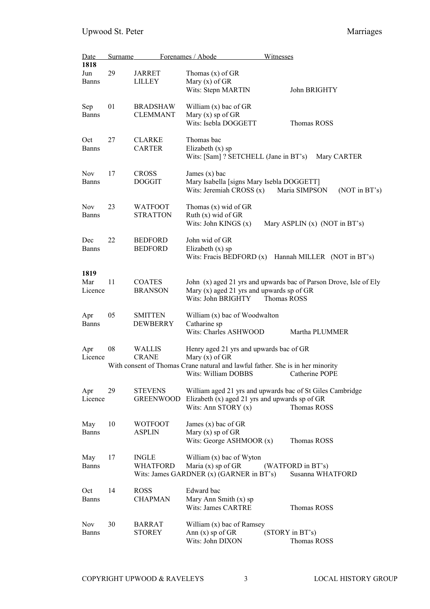| Date           | Surname |                                    | Forenames / Abode<br>Witnesses                                                                                |                                                                   |
|----------------|---------|------------------------------------|---------------------------------------------------------------------------------------------------------------|-------------------------------------------------------------------|
| 1818           |         |                                    |                                                                                                               |                                                                   |
| Jun            | 29      | JARRET                             | Thomas $(x)$ of GR                                                                                            |                                                                   |
| Banns          |         | <b>LILLEY</b>                      | Mary $(x)$ of GR                                                                                              |                                                                   |
|                |         |                                    | Wits: Stepn MARTIN                                                                                            | John BRIGHTY                                                      |
| Sep            | 01      | <b>BRADSHAW</b>                    | William $(x)$ bac of GR                                                                                       |                                                                   |
| <b>Banns</b>   |         | <b>CLEMMANT</b>                    | Mary $(x)$ sp of GR                                                                                           |                                                                   |
|                |         |                                    | Wits: Isebla DOGGETT                                                                                          | Thomas ROSS                                                       |
| Oct            | 27      | <b>CLARKE</b>                      | Thomas bac                                                                                                    |                                                                   |
| <b>Banns</b>   |         | <b>CARTER</b>                      | Elizabeth $(x)$ sp<br>Wits: [Sam] ? SETCHELL (Jane in BT's)                                                   | Mary CARTER                                                       |
|                |         |                                    |                                                                                                               |                                                                   |
| <b>Nov</b>     | 17      | <b>CROSS</b>                       | James $(x)$ bac                                                                                               |                                                                   |
| <b>Banns</b>   |         | <b>DOGGIT</b>                      | Mary Isabella [signs Mary Isebla DOGGETT]<br>Wits: Jeremiah CROSS $(x)$                                       | Maria SIMPSON<br>(NOT in BT's)                                    |
| <b>Nov</b>     | 23      | <b>WATFOOT</b>                     | Thomas $(x)$ wid of GR                                                                                        |                                                                   |
| <b>Banns</b>   |         | <b>STRATTON</b>                    | Ruth $(x)$ wid of GR                                                                                          |                                                                   |
|                |         |                                    | Wits: John KINGS $(x)$                                                                                        | Mary ASPLIN $(x)$ (NOT in BT's)                                   |
| Dec            | 22      | <b>BEDFORD</b>                     | John wid of GR                                                                                                |                                                                   |
| <b>Banns</b>   |         | <b>BEDFORD</b>                     | Elizabeth $(x)$ sp                                                                                            |                                                                   |
|                |         |                                    | Wits: Fracis BEDFORD $(x)$                                                                                    | Hannah MILLER (NOT in BT's)                                       |
| 1819           |         |                                    |                                                                                                               |                                                                   |
| Mar            | 11      | <b>COATES</b>                      |                                                                                                               | John (x) aged 21 yrs and upwards bac of Parson Drove, Isle of Ely |
| Licence        |         | <b>BRANSON</b>                     | Mary $(x)$ aged 21 yrs and upwards sp of GR                                                                   |                                                                   |
|                |         |                                    | Wits: John BRIGHTY                                                                                            | Thomas ROSS                                                       |
| Apr            | 05      | <b>SMITTEN</b>                     | William (x) bac of Woodwalton                                                                                 |                                                                   |
| <b>Banns</b>   |         | <b>DEWBERRY</b>                    | Catharine sp                                                                                                  |                                                                   |
|                |         |                                    | Wits: Charles ASHWOOD                                                                                         | Martha PLUMMER                                                    |
| Apr            | 08      | <b>WALLIS</b>                      | Henry aged 21 yrs and upwards bac of GR                                                                       |                                                                   |
| Licence        |         | <b>CRANE</b>                       | Mary $(x)$ of GR                                                                                              |                                                                   |
|                |         |                                    | With consent of Thomas Crane natural and lawful father. She is in her minority<br>Wits: William DOBBS         | Catherine POPE                                                    |
|                |         |                                    |                                                                                                               |                                                                   |
| Apr<br>Licence | 29      | <b>STEVENS</b><br><b>GREENWOOD</b> | William aged 21 yrs and upwards bac of St Giles Cambridge<br>Elizabeth $(x)$ aged 21 yrs and upwards sp of GR |                                                                   |
|                |         |                                    | Wits: Ann STORY $(x)$                                                                                         | Thomas ROSS                                                       |
|                |         |                                    |                                                                                                               |                                                                   |
| May            | 10      | WOTFOOT                            | James $(x)$ bac of GR                                                                                         |                                                                   |
| <b>Banns</b>   |         | <b>ASPLIN</b>                      | Mary $(x)$ sp of GR<br>Wits: George ASHMOOR (x)                                                               | <b>Thomas ROSS</b>                                                |
|                |         |                                    |                                                                                                               |                                                                   |
| May            | 17      | <b>INGLE</b>                       | William (x) bac of Wyton                                                                                      |                                                                   |
| <b>Banns</b>   |         | <b>WHATFORD</b>                    | Maria $(x)$ sp of GR                                                                                          | (WATFORD in BT's)                                                 |
|                |         |                                    | Wits: James GARDNER (x) (GARNER in BT's)                                                                      | Susanna WHATFORD                                                  |
| Oct            | 14      | <b>ROSS</b>                        | Edward bac                                                                                                    |                                                                   |
| <b>Banns</b>   |         | <b>CHAPMAN</b>                     | Mary Ann Smith $(x)$ sp                                                                                       |                                                                   |
|                |         |                                    | <b>Wits: James CARTRE</b>                                                                                     | Thomas ROSS                                                       |
| <b>Nov</b>     | 30      | <b>BARRAT</b>                      | William (x) bac of Ramsey                                                                                     |                                                                   |
| <b>Banns</b>   |         | <b>STOREY</b>                      | Ann $(x)$ sp of GR                                                                                            | (STORY in BT's)                                                   |
|                |         |                                    | Wits: John DIXON                                                                                              | Thomas ROSS                                                       |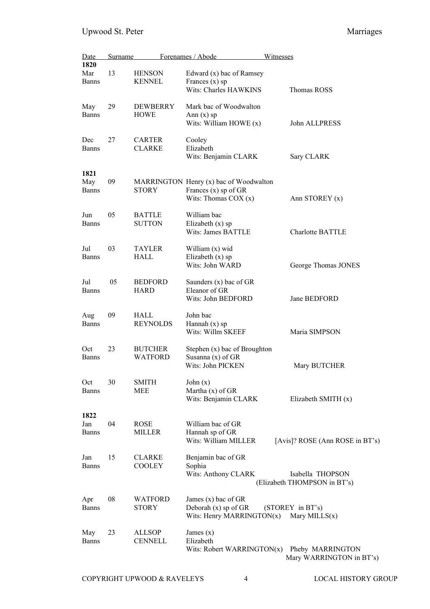| Date                        | Surname |                                  | Forenames / Abode                                                                       | Witnesses                                        |
|-----------------------------|---------|----------------------------------|-----------------------------------------------------------------------------------------|--------------------------------------------------|
| 1820<br>Mar<br><b>Banns</b> | 13      | <b>HENSON</b><br><b>KENNEL</b>   | Edward (x) bac of Ramsey<br>Frances $(x)$ sp<br>Wits: Charles HAWKINS                   | Thomas ROSS                                      |
| May<br>Banns                | 29      | DEWBERRY<br><b>HOWE</b>          | Mark bac of Woodwalton<br>Ann $(x)$ sp<br>Wits: William HOWE $(x)$                      | John ALLPRESS                                    |
| Dec<br>Banns                | 27      | <b>CARTER</b><br><b>CLARKE</b>   | Cooley<br>Elizabeth<br>Wits: Benjamin CLARK                                             | Sary CLARK                                       |
| 1821<br>May<br><b>Banns</b> | 09      | <b>STORY</b>                     | MARRINGTON Henry (x) bac of Woodwalton<br>Frances (x) sp of GR<br>Wits: Thomas $COX(x)$ | Ann STOREY (x)                                   |
| Jun<br>Banns                | 05      | <b>BATTLE</b><br><b>SUTTON</b>   | William bac<br>Elizabeth $(x)$ sp<br>Wits: James BATTLE                                 | <b>Charlotte BATTLE</b>                          |
| Jul<br>Banns                | 03      | <b>TAYLER</b><br>HALL            | William (x) wid<br>Elizabeth $(x)$ sp<br>Wits: John WARD                                | George Thomas JONES                              |
| Jul<br><b>Banns</b>         | 05      | <b>BEDFORD</b><br><b>HARD</b>    | Saunders $(x)$ bac of GR<br>Eleanor of GR<br>Wits: John BEDFORD                         | Jane BEDFORD                                     |
| Aug<br><b>Banns</b>         | 09      | HALL<br><b>REYNOLDS</b>          | John bac<br>Hannah $(x)$ sp<br>Wits: Willm SKEEF                                        | Maria SIMPSON                                    |
| Oct<br>Banns                | 23      | <b>BUTCHER</b><br><b>WATFORD</b> | Stephen (x) bac of Broughton<br>Susanna $(x)$ of GR<br>Wits: John PICKEN                | Mary BUTCHER                                     |
| Oct<br><b>Banns</b>         | 30      | <b>SMITH</b><br>MEE              | John $(x)$<br>Martha $(x)$ of GR<br>Wits: Benjamin CLARK                                | Elizabeth SMITH (x)                              |
| 1822<br>Jan<br>Banns        | 04      | <b>ROSE</b><br>MILLER            | William bac of GR<br>Hannah sp of GR<br>Wits: William MILLER                            | [Avis]? ROSE (Ann ROSE in BT's)                  |
| Jan<br><b>Banns</b>         | 15      | <b>CLARKE</b><br><b>COOLEY</b>   | Benjamin bac of GR<br>Sophia<br>Wits: Anthony CLARK                                     | Isabella THOPSON<br>(Elizabeth THOMPSON in BT's) |
| Apr<br><b>Banns</b>         | 08      | <b>WATFORD</b><br><b>STORY</b>   | James $(x)$ bac of GR<br>Deborah $(x)$ sp of GR<br>Wits: Henry MARRINGTON $(x)$         | (STOREY in BT's)<br>Mary MILLS $(x)$             |
| May<br><b>Banns</b>         | 23      | <b>ALLSOP</b><br><b>CENNELL</b>  | James $(x)$<br>Elizabeth<br>Wits: Robert WARRINGTON(x)                                  | Pheby MARRINGTON<br>Mary WARRINGTON in BT's)     |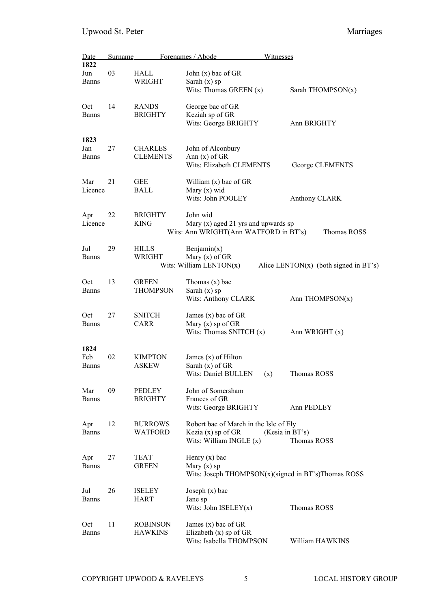| Date<br>1822                | Surname |                                   | Forenames / Abode                                                                           | <u>Witnesses</u>                                        |
|-----------------------------|---------|-----------------------------------|---------------------------------------------------------------------------------------------|---------------------------------------------------------|
| Jun<br><b>Banns</b>         | 03      | HALL<br><b>WRIGHT</b>             | John $(x)$ bac of GR<br>Sarah $(x)$ sp<br>Wits: Thomas GREEN (x)                            | Sarah THOMPSON(x)                                       |
| Oct<br><b>Banns</b>         | 14      | <b>RANDS</b><br><b>BRIGHTY</b>    | George bac of GR<br>Keziah sp of GR<br>Wits: George BRIGHTY                                 | Ann BRIGHTY                                             |
| 1823<br>Jan<br><b>Banns</b> | 27      | <b>CHARLES</b><br><b>CLEMENTS</b> | John of Alconbury<br>Ann $(x)$ of GR<br>Wits: Elizabeth CLEMENTS                            | George CLEMENTS                                         |
| Mar<br>Licence              | 21      | <b>GEE</b><br><b>BALL</b>         | William $(x)$ bac of GR<br>Mary $(x)$ wid<br>Wits: John POOLEY                              | Anthony CLARK                                           |
| Apr<br>Licence              | 22      | <b>BRIGHTY</b><br><b>KING</b>     | John wid<br>Mary $(x)$ aged 21 yrs and upwards sp<br>Wits: Ann WRIGHT(Ann WATFORD in BT's)  | Thomas ROSS                                             |
| Jul<br><b>Banns</b>         | 29      | <b>HILLS</b><br>WRIGHT            | Benjamin(x)<br>Mary $(x)$ of GR<br>Wits: William LENTON $(x)$                               | Alice LENTON(x) (both signed in BT's)                   |
| Oct<br><b>Banns</b>         | 13      | <b>GREEN</b><br><b>THOMPSON</b>   | Thomas $(x)$ bac<br>Sarah $(x)$ sp<br>Wits: Anthony CLARK                                   | Ann THOMPSON(x)                                         |
| Oct<br><b>Banns</b>         | 27      | <b>SNITCH</b><br><b>CARR</b>      | James $(x)$ bac of GR<br>Mary $(x)$ sp of GR<br>Wits: Thomas SNITCH $(x)$                   | Ann WRIGHT (x)                                          |
| 1824<br>Feb<br><b>Banns</b> | 02      | <b>KIMPTON</b><br><b>ASKEW</b>    | James $(x)$ of Hilton<br>Sarah $(x)$ of GR<br>Wits: Daniel BULLEN (x)                       | Thomas ROSS                                             |
| Mar<br><b>Banns</b>         | 09      | PEDLEY<br><b>BRIGHTY</b>          | John of Somersham<br>Frances of GR<br>Wits: George BRIGHTY                                  | Ann PEDLEY                                              |
| Apr<br><b>Banns</b>         | 12      | <b>BURROWS</b><br><b>WATFORD</b>  | Robert bac of March in the Isle of Ely<br>Kezia $(x)$ sp of GR<br>Wits: William INGLE $(x)$ | (Kesia in BT's)<br>Thomas ROSS                          |
| Apr<br><b>Banns</b>         | 27      | <b>TEAT</b><br><b>GREEN</b>       | Henry $(x)$ bac<br>Mary $(x)$ sp                                                            | Wits: Joseph THOMPSON $(x)($ signed in BT's)Thomas ROSS |
| Jul<br><b>Banns</b>         | 26      | <b>ISELEY</b><br><b>HART</b>      | Joseph $(x)$ bac<br>Jane sp<br>Wits: John $ISELEY(x)$                                       | Thomas ROSS                                             |
| Oct<br><b>Banns</b>         | 11      | <b>ROBINSON</b><br><b>HAWKINS</b> | James $(x)$ bac of GR<br>Elizabeth $(x)$ sp of GR<br>Wits: Isabella THOMPSON                | William HAWKINS                                         |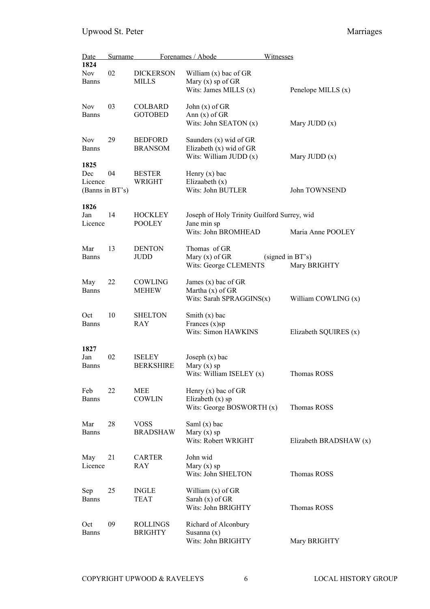| Date                                      | Surname |                                   | Forenames / Abode                                                                 | Witnesses                        |
|-------------------------------------------|---------|-----------------------------------|-----------------------------------------------------------------------------------|----------------------------------|
| 1824<br><b>Nov</b><br><b>Banns</b>        | 02      | <b>DICKERSON</b><br><b>MILLS</b>  | William $(x)$ bac of GR<br>Mary $(x)$ sp of GR<br>Wits: James MILLS $(x)$         | Penelope MILLS (x)               |
| <b>Nov</b><br><b>Banns</b>                | 03      | <b>COLBARD</b><br><b>GOTOBED</b>  | John (x) of GR<br>Ann $(x)$ of GR<br>Wits: John SEATON (x)                        | Mary JUDD $(x)$                  |
| <b>Nov</b><br><b>Banns</b>                | 29      | <b>BEDFORD</b><br><b>BRANSOM</b>  | Saunders (x) wid of GR<br>Elizabeth (x) wid of GR<br>Wits: William JUDD $(x)$     | Mary JUDD $(x)$                  |
| 1825<br>Dec<br>Licence<br>(Banns in BT's) | 04      | <b>BESTER</b><br>WRIGHT           | Henry $(x)$ bac<br>Elizaabeth $(x)$<br>Wits: John BUTLER                          | John TOWNSEND                    |
| 1826<br>Jan<br>Licence                    | 14      | <b>HOCKLEY</b><br><b>POOLEY</b>   | Joseph of Holy Trinity Guilford Surrey, wid<br>Jane min sp<br>Wits: John BROMHEAD | Maria Anne POOLEY                |
| Mar<br><b>Banns</b>                       | 13      | <b>DENTON</b><br>JUDD             | Thomas of GR<br>Mary $(x)$ of GR<br>Wits: George CLEMENTS                         | (signed in BT's)<br>Mary BRIGHTY |
| May<br>Banns                              | 22      | COWLING<br><b>MEHEW</b>           | James $(x)$ bac of GR<br>Martha $(x)$ of GR<br>Wits: Sarah SPRAGGINS $(x)$        | William COWLING (x)              |
| Oct<br><b>Banns</b>                       | 10      | <b>SHELTON</b><br>RAY             | Smith $(x)$ bac<br>Frances $(x)$ sp<br>Wits: Simon HAWKINS                        | Elizabeth SQUIRES (x)            |
| 1827<br>Jan<br><b>Banns</b>               | 02      | <b>ISELEY</b><br><b>BERKSHIRE</b> | Joseph $(x)$ bac<br>Mary $(x)$ sp<br>Wits: William ISELEY $(x)$                   | Thomas ROSS                      |
| Feb<br><b>Banns</b>                       | 22      | <b>MEE</b><br>COWLIN              | Henry $(x)$ bac of GR<br>Elizabeth $(x)$ sp<br>Wits: George BOSWORTH (x)          | Thomas ROSS                      |
| Mar<br><b>Banns</b>                       | 28      | <b>VOSS</b><br><b>BRADSHAW</b>    | Saml $(x)$ bac<br>Mary $(x)$ sp<br>Wits: Robert WRIGHT                            | Elizabeth BRADSHAW (x)           |
| May<br>Licence                            | 21      | <b>CARTER</b><br>RAY              | John wid<br>Mary $(x)$ sp<br>Wits: John SHELTON                                   | Thomas ROSS                      |
| Sep<br><b>Banns</b>                       | 25      | <b>INGLE</b><br><b>TEAT</b>       | William $(x)$ of GR<br>Sarah $(x)$ of GR<br>Wits: John BRIGHTY                    | Thomas ROSS                      |
| Oct<br><b>Banns</b>                       | 09      | <b>ROLLINGS</b><br><b>BRIGHTY</b> | Richard of Alconbury<br>Susanna $(x)$<br>Wits: John BRIGHTY                       | Mary BRIGHTY                     |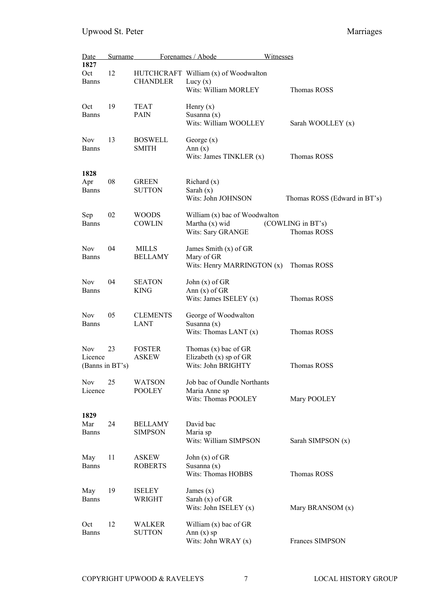| Date<br>1827                             | <u>Surname</u> |                                  | Forenames / Abode                                                          | <b>Witnesses</b>                 |
|------------------------------------------|----------------|----------------------------------|----------------------------------------------------------------------------|----------------------------------|
| Oct<br><b>Banns</b>                      | 12             | <b>CHANDLER</b>                  | HUTCHCRAFT William (x) of Woodwalton<br>Lucy $(x)$<br>Wits: William MORLEY | Thomas ROSS                      |
| Oct<br>Banns                             | 19             | <b>TEAT</b><br>PAIN              | Henry $(x)$<br>Susanna (x)<br>Wits: William WOOLLEY                        | Sarah WOOLLEY (x)                |
| <b>Nov</b><br>Banns                      | 13             | <b>BOSWELL</b><br><b>SMITH</b>   | George $(x)$<br>Ann $(x)$<br>Wits: James TINKLER $(x)$                     | Thomas ROSS                      |
| 1828<br>Apr<br>Banns                     | 08             | <b>GREEN</b><br><b>SUTTON</b>    | Richard $(x)$<br>Sarah $(x)$<br>Wits: John JOHNSON                         | Thomas ROSS (Edward in BT's)     |
| Sep<br><b>Banns</b>                      | 02             | <b>WOODS</b><br><b>COWLIN</b>    | William (x) bac of Woodwalton<br>Martha (x) wid<br>Wits: Sary GRANGE       | (COWLING in BT's)<br>Thomas ROSS |
| <b>Nov</b><br><b>Banns</b>               | 04             | <b>MILLS</b><br><b>BELLAMY</b>   | James Smith (x) of GR<br>Mary of GR<br>Wits: Henry MARRINGTON $(x)$        | Thomas ROSS                      |
| <b>Nov</b><br>Banns                      | 04             | <b>SEATON</b><br><b>KING</b>     | John $(x)$ of GR<br>Ann $(x)$ of GR<br>Wits: James ISELEY $(x)$            | Thomas ROSS                      |
| <b>Nov</b><br><b>Banns</b>               | 05             | <b>CLEMENTS</b><br><b>LANT</b>   | George of Woodwalton<br>Susanna $(x)$<br>Wits: Thomas LANT (x)             | Thomas ROSS                      |
| <b>Nov</b><br>Licence<br>(Banns in BT's) | 23             | <b>FOSTER</b><br><b>ASKEW</b>    | Thomas (x) bac of GR<br>Elizabeth $(x)$ sp of GR<br>Wits: John BRIGHTY     | Thomas ROSS                      |
| <b>Nov</b><br>Licence                    | 25             | <b>WATSON</b><br><b>POOLEY</b>   | Job bac of Oundle Northants<br>Maria Anne sp<br>Wits: Thomas POOLEY        | Mary POOLEY                      |
| 1829<br>Mar<br><b>Banns</b>              | 24             | <b>BELLAMY</b><br><b>SIMPSON</b> | David bac<br>Maria sp<br>Wits: William SIMPSON                             | Sarah SIMPSON (x)                |
| May<br><b>Banns</b>                      | 11             | <b>ASKEW</b><br><b>ROBERTS</b>   | John $(x)$ of GR<br>Susanna $(x)$<br>Wits: Thomas HOBBS                    | Thomas ROSS                      |
| May<br><b>Banns</b>                      | 19             | <b>ISELEY</b><br>WRIGHT          | James $(x)$<br>Sarah $(x)$ of GR<br>Wits: John ISELEY $(x)$                | Mary BRANSOM (x)                 |
| Oct<br><b>Banns</b>                      | 12             | <b>WALKER</b><br><b>SUTTON</b>   | William $(x)$ bac of GR<br>Ann $(x)$ sp<br>Wits: John WRAY (x)             | Frances SIMPSON                  |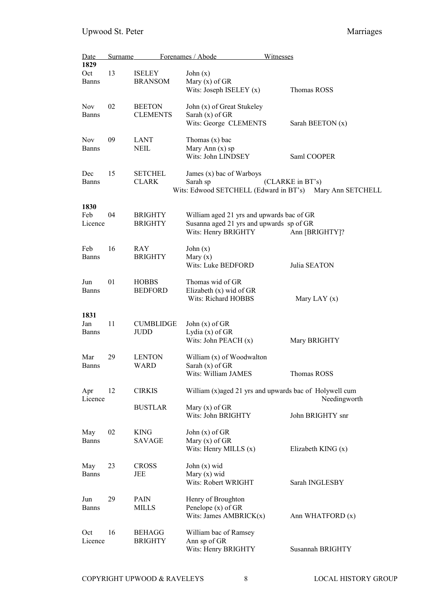| Date                        | Surname |                                  | Forenames / Abode<br>Witnesses                                                                               |                      |
|-----------------------------|---------|----------------------------------|--------------------------------------------------------------------------------------------------------------|----------------------|
| 1829<br>Oct<br><b>Banns</b> | 13      | <b>ISELEY</b><br><b>BRANSOM</b>  | John $(x)$<br>Mary $(x)$ of GR<br>Wits: Joseph ISELEY $(x)$                                                  | Thomas ROSS          |
| <b>Nov</b><br>Banns         | 02      | <b>BEETON</b><br><b>CLEMENTS</b> | John (x) of Great Stukeley<br>Sarah $(x)$ of GR<br>Wits: George CLEMENTS                                     | Sarah BEETON (x)     |
| <b>Nov</b><br><b>Banns</b>  | 09      | <b>LANT</b><br><b>NEIL</b>       | Thomas $(x)$ bac<br>Mary Ann $(x)$ sp<br>Wits: John LINDSEY                                                  | Saml COOPER          |
| Dec<br><b>Banns</b>         | 15      | <b>SETCHEL</b><br><b>CLARK</b>   | James (x) bac of Warboys<br>Sarah sp<br>Wits: Edwood SETCHELL (Edward in BT's) Mary Ann SETCHELL             | (CLARKE in BT's)     |
| 1830<br>Feb<br>Licence      | 04      | <b>BRIGHTY</b><br><b>BRIGHTY</b> | William aged 21 yrs and upwards bac of GR<br>Susanna aged 21 yrs and upwards sp of GR<br>Wits: Henry BRIGHTY | Ann [BRIGHTY]?       |
| Feb<br><b>Banns</b>         | 16      | RAY<br><b>BRIGHTY</b>            | John $(x)$<br>Mary $(x)$<br>Wits: Luke BEDFORD                                                               | Julia SEATON         |
| Jun<br><b>Banns</b>         | 01      | <b>HOBBS</b><br><b>BEDFORD</b>   | Thomas wid of GR<br>Elizabeth $(x)$ wid of GR<br><b>Wits: Richard HOBBS</b>                                  | Mary LAY $(x)$       |
| 1831<br>Jan<br><b>Banns</b> | 11      | <b>CUMBLIDGE</b><br><b>JUDD</b>  | John $(x)$ of GR<br>Lydia (x) of GR<br>Wits: John PEACH $(x)$                                                | Mary BRIGHTY         |
| Mar<br><b>Banns</b>         | 29      | <b>LENTON</b><br>WARD            | William (x) of Woodwalton<br>Sarah $(x)$ of GR<br>Wits: William JAMES                                        | Thomas ROSS          |
| Apr<br>Licence              | 12      | <b>CIRKIS</b>                    | William (x)aged 21 yrs and upwards bac of Holywell cum                                                       | Needingworth         |
|                             |         | <b>BUSTLAR</b>                   | Mary $(x)$ of GR<br>Wits: John BRIGHTY                                                                       | John BRIGHTY snr     |
| May<br><b>Banns</b>         | 02      | <b>KING</b><br><b>SAVAGE</b>     | John $(x)$ of GR<br>Mary $(x)$ of GR<br>Wits: Henry MILLS $(x)$                                              | Elizabeth KING $(x)$ |
| May<br><b>Banns</b>         | 23      | <b>CROSS</b><br>JEE              | John $(x)$ wid<br>Mary $(x)$ wid<br>Wits: Robert WRIGHT                                                      | Sarah INGLESBY       |
| Jun<br><b>Banns</b>         | 29      | <b>PAIN</b><br><b>MILLS</b>      | Henry of Broughton<br>Penelope $(x)$ of GR<br>Wits: James $AMBRICK(x)$                                       | Ann WHATFORD (x)     |
| Oct<br>Licence              | 16      | <b>BEHAGG</b><br><b>BRIGHTY</b>  | William bac of Ramsey<br>Ann sp of GR<br>Wits: Henry BRIGHTY                                                 | Susannah BRIGHTY     |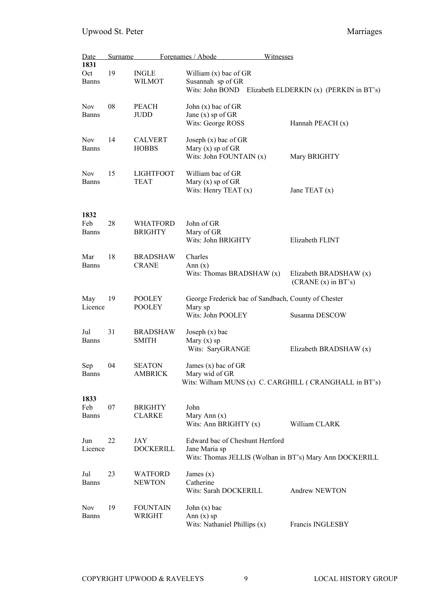| Date<br>1831                | Surname |                                 | Forenames / Abode<br>Witnesses                                                                              |                                                |
|-----------------------------|---------|---------------------------------|-------------------------------------------------------------------------------------------------------------|------------------------------------------------|
| Oct<br><b>Banns</b>         | 19      | <b>INGLE</b><br>WILMOT          | William $(x)$ bac of GR<br>Susannah sp of GR<br>Wits: John BOND Elizabeth ELDERKIN $(x)$ (PERKIN in BT's)   |                                                |
| <b>Nov</b><br><b>Banns</b>  | 08      | <b>PEACH</b><br>JUDD            | John $(x)$ bac of GR<br>Jane $(x)$ sp of GR<br>Wits: George ROSS                                            | Hannah PEACH (x)                               |
| <b>Nov</b><br><b>Banns</b>  | 14      | <b>CALVERT</b><br><b>HOBBS</b>  | Joseph $(x)$ bac of GR<br>Mary $(x)$ sp of GR<br>Wits: John FOUNTAIN (x)                                    | Mary BRIGHTY                                   |
| <b>Nov</b><br><b>Banns</b>  | 15      | <b>LIGHTFOOT</b><br>TEAT        | William bac of GR<br>Mary $(x)$ sp of GR<br>Wits: Henry TEAT $(x)$                                          | Jane TEAT $(x)$                                |
| 1832<br>Feb<br><b>Banns</b> | 28      | WHATFORD<br><b>BRIGHTY</b>      | John of GR<br>Mary of GR<br>Wits: John BRIGHTY                                                              | Elizabeth FLINT                                |
| Mar<br><b>Banns</b>         | 18      | <b>BRADSHAW</b><br><b>CRANE</b> | Charles<br>Ann $(x)$<br>Wits: Thomas BRADSHAW (x)                                                           | Elizabeth BRADSHAW (x)<br>$(CRANE(x)$ in BT's) |
| May<br>Licence              | 19      | POOLEY<br><b>POOLEY</b>         | George Frederick bac of Sandbach, County of Chester<br>Mary sp                                              |                                                |
| Jul<br><b>Banns</b>         | 31      | <b>BRADSHAW</b><br><b>SMITH</b> | Wits: John POOLEY<br>Joseph $(x)$ bac<br>Mary $(x)$ sp<br>Wits: SaryGRANGE                                  | Susanna DESCOW<br>Elizabeth BRADSHAW (x)       |
| Sep<br>Banns                | 04      | <b>SEATON</b><br>AMBRICK        | James $(x)$ bac of GR<br>Mary wid of GR<br>Wits: Wilham MUNS (x) C. CARGHILL ( CRANGHALL in BT's)           |                                                |
| 1833<br>Feb<br><b>Banns</b> | 07      | <b>BRIGHTY</b><br><b>CLARKE</b> | John<br>Mary Ann $(x)$<br>Wits: Ann BRIGHTY $(x)$                                                           | William CLARK                                  |
| Jun<br>Licence              | 22      | JAY<br><b>DOCKERILL</b>         | Edward bac of Cheshunt Hertford<br>Jane Maria sp<br>Wits: Thomas JELLIS (Wolhan in BT's) Mary Ann DOCKERILL |                                                |
| Jul<br><b>Banns</b>         | 23      | <b>WATFORD</b><br><b>NEWTON</b> | James $(x)$<br>Catherine<br>Wits: Sarah DOCKERILL                                                           | Andrew NEWTON                                  |
| <b>Nov</b><br><b>Banns</b>  | 19      | <b>FOUNTAIN</b><br>WRIGHT       | John $(x)$ bac<br>Ann $(x)$ sp<br>Wits: Nathaniel Phillips (x)                                              | Francis INGLESBY                               |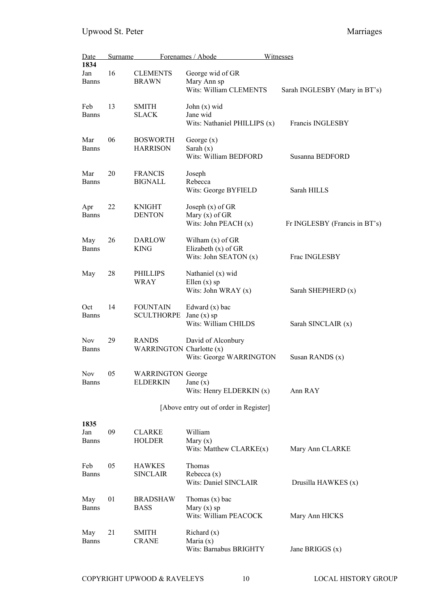| Date<br>1834                | Surname |                                             | Forenames / Abode                                                    | Witnesses                     |
|-----------------------------|---------|---------------------------------------------|----------------------------------------------------------------------|-------------------------------|
| Jan<br><b>Banns</b>         | 16      | <b>CLEMENTS</b><br><b>BRAWN</b>             | George wid of GR<br>Mary Ann sp<br>Wits: William CLEMENTS            | Sarah INGLESBY (Mary in BT's) |
| Feb<br><b>Banns</b>         | 13      | <b>SMITH</b><br><b>SLACK</b>                | John $(x)$ wid<br>Jane wid<br>Wits: Nathaniel PHILLIPS (x)           | Francis INGLESBY              |
| Mar<br><b>Banns</b>         | 06      | <b>BOSWORTH</b><br><b>HARRISON</b>          | George $(x)$<br>Sarah $(x)$<br>Wits: William BEDFORD                 | Susanna BEDFORD               |
| Mar<br><b>Banns</b>         | 20      | <b>FRANCIS</b><br><b>BIGNALL</b>            | Joseph<br>Rebecca<br>Wits: George BYFIELD                            | Sarah HILLS                   |
| Apr<br><b>Banns</b>         | 22      | <b>KNIGHT</b><br><b>DENTON</b>              | Joseph $(x)$ of GR<br>Mary $(x)$ of GR<br>Wits: John PEACH $(x)$     | Fr INGLESBY (Francis in BT's) |
| May<br><b>Banns</b>         | 26      | <b>DARLOW</b><br><b>KING</b>                | Wilham $(x)$ of GR<br>Elizabeth $(x)$ of GR<br>Wits: John SEATON (x) | Frac INGLESBY                 |
| May                         | 28      | <b>PHILLIPS</b><br>WRAY                     | Nathaniel (x) wid<br>Ellen $(x)$ sp<br>Wits: John WRAY $(x)$         | Sarah SHEPHERD (x)            |
| Oct<br><b>Banns</b>         | 14      | <b>FOUNTAIN</b><br><b>SCULTHORPE</b>        | Edward $(x)$ bac<br>Jane $(x)$ sp<br>Wits: William CHILDS            | Sarah SINCLAIR (x)            |
| <b>Nov</b><br><b>Banns</b>  | 29      | <b>RANDS</b><br>WARRINGTON Charlotte (x)    | David of Alconbury<br>Wits: George WARRINGTON                        | Susan RANDS (x)               |
| Nov<br><b>Banns</b>         | 05      | <b>WARRINGTON George</b><br><b>ELDERKIN</b> | Jane $(x)$<br>Wits: Henry ELDERKIN (x)                               | Ann RAY                       |
|                             |         |                                             | [Above entry out of order in Register]                               |                               |
| 1835<br>Jan<br><b>Banns</b> | 09      | <b>CLARKE</b><br><b>HOLDER</b>              | William<br>Mary $(x)$<br>Wits: Matthew $CLARKE(x)$                   | Mary Ann CLARKE               |
| Feb<br><b>Banns</b>         | 05      | <b>HAWKES</b><br><b>SINCLAIR</b>            | Thomas<br>Rebecca $(x)$<br>Wits: Daniel SINCLAIR                     | Drusilla HAWKES (x)           |
| May<br><b>Banns</b>         | 01      | <b>BRADSHAW</b><br><b>BASS</b>              | Thomas $(x)$ bac<br>Mary $(x)$ sp<br>Wits: William PEACOCK           | Mary Ann HICKS                |
| May<br><b>Banns</b>         | 21      | <b>SMITH</b><br><b>CRANE</b>                | Richard $(x)$<br>Maria $(x)$<br>Wits: Barnabus BRIGHTY               | Jane BRIGGS $(x)$             |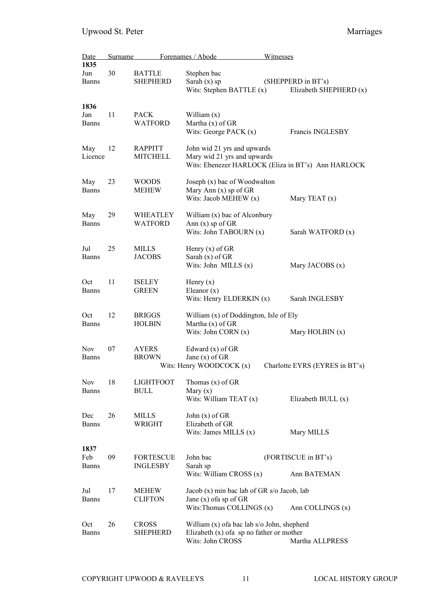| Date                        | <b>Surname</b> |                                     | Forenames / Abode                                                                                              | Witnesses                                          |
|-----------------------------|----------------|-------------------------------------|----------------------------------------------------------------------------------------------------------------|----------------------------------------------------|
| 1835<br>Jun<br><b>Banns</b> | 30             | <b>BATTLE</b><br><b>SHEPHERD</b>    | Stephen bac<br>Sarah $(x)$ sp                                                                                  | (SHEPPERD in BT's)                                 |
|                             |                |                                     | Wits: Stephen BATTLE (x)                                                                                       | Elizabeth SHEPHERD (x)                             |
| 1836<br>Jan<br><b>Banns</b> | 11             | <b>PACK</b><br>WATFORD              | William $(x)$<br>Martha $(x)$ of GR<br>Wits: George PACK $(x)$                                                 | Francis INGLESBY                                   |
| May<br>Licence              | 12             | <b>RAPPITT</b><br><b>MITCHELL</b>   | John wid 21 yrs and upwards<br>Mary wid 21 yrs and upwards                                                     | Wits: Ebenezer HARLOCK (Eliza in BT's) Ann HARLOCK |
| May<br><b>Banns</b>         | 23             | <b>WOODS</b><br><b>MEHEW</b>        | Joseph (x) bac of Woodwalton<br>Mary Ann (x) sp of GR<br>Wits: Jacob MEHEW (x)                                 | Mary TEAT (x)                                      |
| May<br><b>Banns</b>         | 29             | <b>WHEATLEY</b><br>WATFORD          | William $(x)$ bac of Alconbury<br>Ann $(x)$ sp of GR<br>Wits: John TABOURN (x)                                 | Sarah WATFORD (x)                                  |
| Jul<br><b>Banns</b>         | 25             | <b>MILLS</b><br><b>JACOBS</b>       | Henry $(x)$ of GR<br>Sarah $(x)$ of GR<br>Wits: John MILLS $(x)$                                               | Mary JACOBS (x)                                    |
| Oct<br><b>Banns</b>         | 11             | <b>ISELEY</b><br><b>GREEN</b>       | Henry $(x)$<br>Eleanor $(x)$<br>Wits: Henry ELDERKIN (x)                                                       | Sarah INGLESBY                                     |
| Oct<br><b>Banns</b>         | 12             | <b>BRIGGS</b><br><b>HOLBIN</b>      | William (x) of Doddington, Isle of Ely<br>Martha $(x)$ of GR<br>Wits: John CORN $(x)$                          | Mary HOLBIN (x)                                    |
| <b>Nov</b><br><b>Banns</b>  | 07             | <b>AYERS</b><br><b>BROWN</b>        | Edward $(x)$ of GR<br>Jane $(x)$ of GR<br>Wits: Henry WOODCOCK $(x)$                                           | Charlotte EYRS (EYRES in BT's)                     |
| <b>Nov</b><br>Banns         | 18             | <b>LIGHTFOOT</b><br><b>BULL</b>     | Thomas $(x)$ of GR<br>Mary $(x)$<br>Wits: William TEAT $(x)$                                                   | Elizabeth BULL $(x)$                               |
| Dec<br><b>Banns</b>         | 26             | MILLS<br>WRIGHT                     | John $(x)$ of GR<br>Elizabeth of GR<br>Wits: James MILLS $(x)$                                                 | Mary MILLS                                         |
| 1837<br>Feb<br><b>Banns</b> | 09             | <b>FORTESCUE</b><br><b>INGLESBY</b> | John bac<br>Sarah sp                                                                                           | (FORTISCUE in BT's)                                |
|                             |                |                                     | Wits: William CROSS (x)                                                                                        | Ann BATEMAN                                        |
| Jul<br><b>Banns</b>         | 17             | MEHEW<br><b>CLIFTON</b>             | Jacob (x) min bac lab of GR s/o Jacob, lab<br>Jane $(x)$ of a sp of GR<br>Wits: Thomas COLLINGS (x)            | Ann COLLINGS (x)                                   |
| Oct<br><b>Banns</b>         | 26             | <b>CROSS</b><br><b>SHEPHERD</b>     | William (x) of a bac lab s/o John, shepherd<br>Elizabeth $(x)$ of a sp no father or mother<br>Wits: John CROSS | Martha ALLPRESS                                    |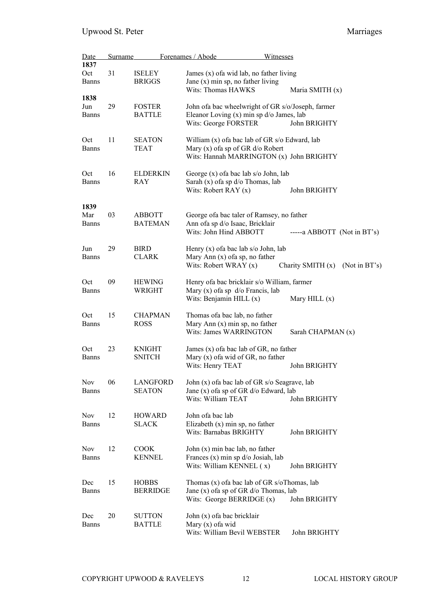| Date                | Surname |                                 | Forenames / Abode<br>Witnesses                                                           |
|---------------------|---------|---------------------------------|------------------------------------------------------------------------------------------|
| 1837<br>Oct         | 31      |                                 | James $(x)$ of a wid lab, no father living                                               |
| <b>Banns</b>        |         | <b>ISELEY</b><br><b>BRIGGS</b>  | Jane $(x)$ min sp, no father living<br>Wits: Thomas HAWKS<br>Maria SMITH (x)             |
| 1838                |         |                                 |                                                                                          |
| Jun                 | 29      | <b>FOSTER</b>                   | John ofa bac wheelwright of GR s/o/Joseph, farmer                                        |
| <b>Banns</b>        |         | <b>BATTLE</b>                   | Eleanor Loving $(x)$ min sp $d$ /o James, lab<br>Wits: George FORSTER<br>John BRIGHTY    |
| Oct<br><b>Banns</b> | 11      | <b>SEATON</b><br><b>TEAT</b>    | William (x) of a bac lab of GR s/o Edward, lab<br>Mary $(x)$ of a sp of GR $d$ /o Robert |
|                     |         |                                 | Wits: Hannah MARRINGTON (x) John BRIGHTY                                                 |
|                     |         |                                 |                                                                                          |
| Oct<br><b>Banns</b> | 16      | <b>ELDERKIN</b><br>RAY          | George (x) of a bac lab s/o John, lab<br>Sarah $(x)$ of a sp d/o Thomas, lab             |
|                     |         |                                 | Wits: Robert RAY $(x)$<br>John BRIGHTY                                                   |
| 1839                | 03      |                                 |                                                                                          |
| Mar<br>Banns        |         | <b>ABBOTT</b><br><b>BATEMAN</b> | George of a bac taler of Ramsey, no father<br>Ann ofa sp d/o Isaac, Bricklair            |
|                     |         |                                 | Wits: John Hind ABBOTT<br>$---a$ ABBOTT (Not in BT's)                                    |
| Jun                 | 29      | <b>BIRD</b>                     | Henry $(x)$ of a bac lab s/o John, lab                                                   |
| <b>Banns</b>        |         | <b>CLARK</b>                    | Mary Ann $(x)$ of a sp, no father                                                        |
|                     |         |                                 | Wits: Robert WRAY (x)<br>Charity SMITH (x)<br>(Not in BT's)                              |
| Oct                 | 09      | <b>HEWING</b>                   | Henry of a bac bricklair s/o William, farmer                                             |
| <b>Banns</b>        |         | WRIGHT                          | Mary $(x)$ of a sp $d$ /o Francis, lab                                                   |
|                     |         |                                 | Wits: Benjamin HILL (x)<br>Mary HILL $(x)$                                               |
| Oct                 | 15      | <b>CHAPMAN</b>                  | Thomas of a bac lab, no father                                                           |
| Banns               |         | <b>ROSS</b>                     | Mary Ann $(x)$ min sp, no father                                                         |
|                     |         |                                 | Wits: James WARRINGTON<br>Sarah CHAPMAN (x)                                              |
| Oct                 | 23      | <b>KNIGHT</b>                   | James (x) of a bac lab of GR, no father                                                  |
| <b>Banns</b>        |         | <b>SNITCH</b>                   | Mary (x) of a wid of GR, no father                                                       |
|                     |         |                                 | Wits: Henry TEAT<br>John BRIGHTY                                                         |
| <b>Nov</b>          | 06      | <b>LANGFORD</b>                 | John (x) of a bac lab of GR s/o Seagrave, lab                                            |
| <b>Banns</b>        |         | <b>SEATON</b>                   | Jane (x) of a sp of GR d/o Edward, lab                                                   |
|                     |         |                                 | Wits: William TEAT<br>John BRIGHTY                                                       |
| Nov                 | 12      | <b>HOWARD</b>                   | John ofa bac lab                                                                         |
| <b>Banns</b>        |         | <b>SLACK</b>                    | Elizabeth $(x)$ min sp, no father                                                        |
|                     |         |                                 | Wits: Barnabas BRIGHTY<br>John BRIGHTY                                                   |
| <b>Nov</b>          | 12      | <b>COOK</b>                     | John (x) min bac lab, no father                                                          |
| <b>Banns</b>        |         | <b>KENNEL</b>                   | Frances $(x)$ min sp $d$ /o Josiah, lab                                                  |
|                     |         |                                 | Wits: William KENNEL (x)<br>John BRIGHTY                                                 |
| Dec                 | 15      | <b>HOBBS</b>                    | Thomas $(x)$ of a bac lab of GR s/oThomas, lab                                           |
| <b>Banns</b>        |         | <b>BERRIDGE</b>                 | Jane (x) of a sp of GR d/o Thomas, lab                                                   |
|                     |         |                                 | Wits: George BERRIDGE $(x)$<br>John BRIGHTY                                              |
| Dec                 | 20      | <b>SUTTON</b>                   | John (x) of a bac bricklair                                                              |
| <b>Banns</b>        |         | <b>BATTLE</b>                   | Mary $(x)$ of a wid                                                                      |
|                     |         |                                 | Wits: William Bevil WEBSTER<br>John BRIGHTY                                              |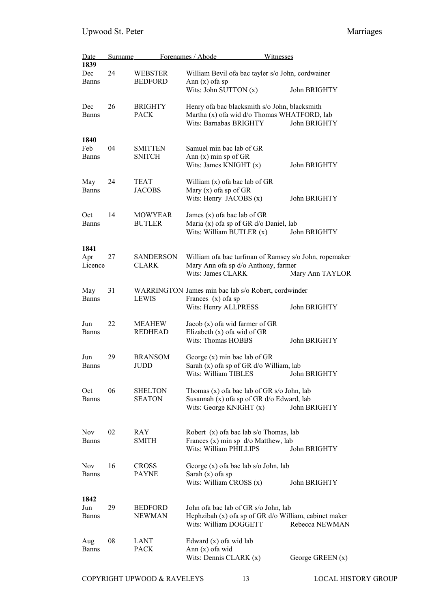| Date                        | <b>Surname</b> |                                  | Forenames / Abode                                                                                                        | Witnesses                                                                 |
|-----------------------------|----------------|----------------------------------|--------------------------------------------------------------------------------------------------------------------------|---------------------------------------------------------------------------|
| 1839<br>Dec<br><b>Banns</b> | 24             | <b>WEBSTER</b><br><b>BEDFORD</b> | William Bevil of a bac tayler s/o John, cordwainer<br>Ann $(x)$ of a sp                                                  |                                                                           |
|                             |                |                                  | Wits: John SUTTON (x)                                                                                                    | John BRIGHTY                                                              |
| Dec<br><b>Banns</b>         | 26             | <b>BRIGHTY</b><br><b>PACK</b>    | Henry ofa bac blacksmith s/o John, blacksmith<br>Martha (x) of a wid d/o Thomas WHATFORD, lab<br>Wits: Barnabas BRIGHTY  | John BRIGHTY                                                              |
| 1840<br>Feb<br><b>Banns</b> | 04             | <b>SMITTEN</b><br><b>SNITCH</b>  | Samuel min bac lab of GR<br>Ann (x) min sp of GR<br>Wits: James KNIGHT (x)                                               | John BRIGHTY                                                              |
| May<br><b>Banns</b>         | 24             | TEAT<br><b>JACOBS</b>            | William $(x)$ of a bac lab of GR<br>Mary $(x)$ of a sp of GR<br>Wits: Henry JACOBS $(x)$                                 | John BRIGHTY                                                              |
| Oct<br><b>Banns</b>         | 14             | <b>MOWYEAR</b><br><b>BUTLER</b>  | James $(x)$ of a bac lab of GR<br>Maria (x) of a sp of GR d/o Daniel, lab<br>Wits: William BUTLER (x)                    | John BRIGHTY                                                              |
| 1841<br>Apr<br>Licence      | 27             | <b>SANDERSON</b><br><b>CLARK</b> | Mary Ann ofa sp d/o Anthony, farmer<br>Wits: James CLARK                                                                 | William of a bac turfman of Ramsey s/o John, ropemaker<br>Mary Ann TAYLOR |
| May<br><b>Banns</b>         | 31             | <b>LEWIS</b>                     | WARRINGTON James min bac lab s/o Robert, cordwinder<br>Frances $(x)$ of a sp<br>Wits: Henry ALLPRESS                     | John BRIGHTY                                                              |
| Jun<br><b>Banns</b>         | 22             | <b>MEAHEW</b><br><b>REDHEAD</b>  | Jacob $(x)$ of a wid farmer of GR<br>Elizabeth $(x)$ of a wid of GR<br>Wits: Thomas HOBBS                                | John BRIGHTY                                                              |
| Jun<br><b>Banns</b>         | 29             | <b>BRANSOM</b><br><b>JUDD</b>    | George $(x)$ min bac lab of GR<br>Sarah (x) of a sp of GR d/o William, lab<br>Wits: William TIBLES                       | John BRIGHTY                                                              |
| Oct<br>Banns                | 06             | <b>SHELTON</b><br><b>SEATON</b>  | Thomas $(x)$ of a bac lab of GR s/o John, lab<br>Susannah (x) of a sp of GR d/o Edward, lab<br>Wits: George KNIGHT $(x)$ | John BRIGHTY                                                              |
| Nov.<br><b>Banns</b>        | 02             | RAY<br><b>SMITH</b>              | Robert $(x)$ of a bac lab s/o Thomas, lab<br>Frances $(x)$ min sp $d$ /o Matthew, lab<br>Wits: William PHILLIPS          | John BRIGHTY                                                              |
| <b>Nov</b><br><b>Banns</b>  | 16             | <b>CROSS</b><br><b>PAYNE</b>     | George (x) of a bac lab s/o John, lab<br>Sarah $(x)$ of a sp<br>Wits: William CROSS $(x)$                                | John BRIGHTY                                                              |
| 1842<br>Jun<br><b>Banns</b> | 29             | <b>BEDFORD</b><br><b>NEWMAN</b>  | John of a bac lab of GR s/o John, lab<br>Wits: William DOGGETT                                                           | Hephzibah (x) ofa sp of GR d/o William, cabinet maker<br>Rebecca NEWMAN   |
| Aug<br><b>Banns</b>         | 08             | <b>LANT</b><br><b>PACK</b>       | Edward $(x)$ of a wid lab<br>Ann $(x)$ of a wid<br>Wits: Dennis CLARK $(x)$                                              | George GREEN $(x)$                                                        |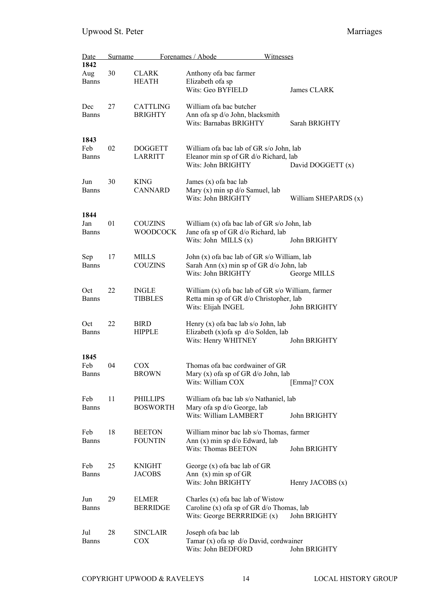| <u>Date</u>         | <b>Surname</b> |                              | Forenames / Abode<br>Witnesses                                                  |                      |
|---------------------|----------------|------------------------------|---------------------------------------------------------------------------------|----------------------|
| 1842                |                |                              |                                                                                 |                      |
| Aug                 | 30             | <b>CLARK</b>                 | Anthony of a bac farmer                                                         |                      |
| <b>Banns</b>        |                | <b>HEATH</b>                 | Elizabeth ofa sp                                                                |                      |
|                     |                |                              | Wits: Geo BYFIELD                                                               | James CLARK          |
| Dec                 | 27             | <b>CATTLING</b>              | William of a bac butcher                                                        |                      |
| <b>Banns</b>        |                | <b>BRIGHTY</b>               | Ann ofa sp d/o John, blacksmith                                                 |                      |
|                     |                |                              | Wits: Barnabas BRIGHTY                                                          | Sarah BRIGHTY        |
|                     |                |                              |                                                                                 |                      |
| 1843                |                |                              |                                                                                 |                      |
| Feb                 | 02             | <b>DOGGETT</b>               | William of a bac lab of GR s/o John, lab                                        |                      |
| <b>Banns</b>        |                | <b>LARRITT</b>               | Eleanor min sp of GR d/o Richard, lab                                           |                      |
|                     |                |                              | Wits: John BRIGHTY                                                              | David DOGGETT (x)    |
| Jun                 | 30             | <b>KING</b>                  | James (x) of a bac lab                                                          |                      |
| <b>Banns</b>        |                | <b>CANNARD</b>               | Mary $(x)$ min sp $d$ /o Samuel, lab                                            |                      |
|                     |                |                              | Wits: John BRIGHTY                                                              | William SHEPARDS (x) |
|                     |                |                              |                                                                                 |                      |
| 1844                |                |                              |                                                                                 |                      |
| Jan                 | 01             | <b>COUZINS</b>               | William (x) of a bac lab of GR s/o John, lab                                    |                      |
| <b>Banns</b>        |                | <b>WOODCOCK</b>              | Jane ofa sp of GR d/o Richard, lab                                              |                      |
|                     |                |                              | Wits: John MILLS $(x)$                                                          | John BRIGHTY         |
|                     | 17             | <b>MILLS</b>                 | John (x) of a bac lab of GR s/o William, lab                                    |                      |
| Sep<br><b>Banns</b> |                | <b>COUZINS</b>               | Sarah Ann (x) min sp of GR d/o John, lab                                        |                      |
|                     |                |                              | Wits: John BRIGHTY                                                              | George MILLS         |
|                     |                |                              |                                                                                 |                      |
| Oct                 | 22             | <b>INGLE</b>                 | William (x) of a bac lab of GR s/o William, farmer                              |                      |
| <b>Banns</b>        |                | <b>TIBBLES</b>               | Retta min sp of GR d/o Christopher, lab                                         |                      |
|                     |                |                              | Wits: Elijah INGEL                                                              | John BRIGHTY         |
|                     | 22             |                              |                                                                                 |                      |
| Oct<br><b>Banns</b> |                | <b>BIRD</b><br><b>HIPPLE</b> | Henry $(x)$ of a bac lab s/o John, lab<br>Elizabeth (x) of a sp d/o Solden, lab |                      |
|                     |                |                              | Wits: Henry WHITNEY                                                             | John BRIGHTY         |
|                     |                |                              |                                                                                 |                      |
| 1845                |                |                              |                                                                                 |                      |
| Feb                 | 04             | COX                          | Thomas of a bac cordwainer of GR                                                |                      |
| <b>Banns</b>        |                | <b>BROWN</b>                 | Mary $(x)$ of a sp of GR $d$ /o John, lab                                       |                      |
|                     |                |                              | Wits: William COX                                                               | [Emma]? COX          |
|                     |                |                              |                                                                                 |                      |
| Feb<br><b>Banns</b> | 11             | PHILLIPS<br><b>BOSWORTH</b>  | William of a bac lab s/o Nathaniel, lab<br>Mary ofa sp d/o George, lab          |                      |
|                     |                |                              | Wits: William LAMBERT                                                           | John BRIGHTY         |
|                     |                |                              |                                                                                 |                      |
| Feb                 | 18             | <b>BEETON</b>                | William minor bac lab s/o Thomas, farmer                                        |                      |
| <b>Banns</b>        |                | <b>FOUNTIN</b>               | Ann $(x)$ min sp $d$ /o Edward, lab                                             |                      |
|                     |                |                              | Wits: Thomas BEETON                                                             | John BRIGHTY         |
|                     |                |                              |                                                                                 |                      |
| Feb                 | 25             | <b>KNIGHT</b>                | George (x) of a bac lab of GR                                                   |                      |
| <b>Banns</b>        |                | <b>JACOBS</b>                | Ann $(x)$ min sp of GR<br>Wits: John BRIGHTY                                    | Henry JACOBS $(x)$   |
|                     |                |                              |                                                                                 |                      |
| Jun                 | 29             | <b>ELMER</b>                 | Charles $(x)$ of a bac lab of Wistow                                            |                      |
| <b>Banns</b>        |                | <b>BERRIDGE</b>              | Caroline $(x)$ of a sp of GR $d$ /o Thomas, lab                                 |                      |
|                     |                |                              | Wits: George BERRRIDGE (x)                                                      | John BRIGHTY         |
|                     |                |                              |                                                                                 |                      |
| Jul                 | 28             | <b>SINCLAIR</b>              | Joseph of a bac lab                                                             |                      |
| <b>Banns</b>        |                | COX                          | Tamar $(x)$ of a sp $d$ /o David, cordwainer<br>Wits: John BEDFORD              | John BRIGHTY         |
|                     |                |                              |                                                                                 |                      |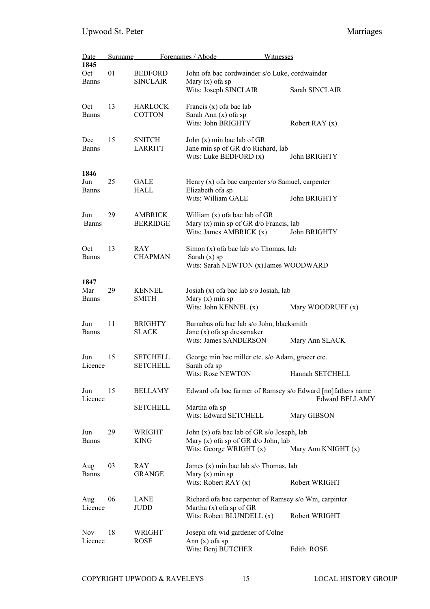| Date                        | <b>Surname</b> |                                   | Forenames / Abode                                                                                                     | Witnesses                                                                             |
|-----------------------------|----------------|-----------------------------------|-----------------------------------------------------------------------------------------------------------------------|---------------------------------------------------------------------------------------|
| 1845<br>Oct<br><b>Banns</b> | 01             | <b>BEDFORD</b><br><b>SINCLAIR</b> | John of a bac cordwainder s/o Luke, cordwainder<br>Mary $(x)$ of a sp<br>Wits: Joseph SINCLAIR                        | Sarah SINCLAIR                                                                        |
| Oct<br>Banns                | 13             | <b>HARLOCK</b><br><b>COTTON</b>   | Francis (x) of a bac lab<br>Sarah Ann (x) ofa sp<br>Wits: John BRIGHTY                                                | Robert RAY $(x)$                                                                      |
| Dec<br><b>Banns</b>         | 15             | <b>SNITCH</b><br><b>LARRITT</b>   | John $(x)$ min bac lab of GR<br>Jane min sp of GR d/o Richard, lab<br>Wits: Luke BEDFORD $(x)$                        | John BRIGHTY                                                                          |
| 1846                        |                |                                   |                                                                                                                       |                                                                                       |
| Jun<br>Banns                | 25             | GALE<br>HALL                      | Henry (x) of a bac carpenter s/o Samuel, carpenter<br>Elizabeth ofa sp<br>Wits: William GALE                          | John BRIGHTY                                                                          |
| Jun<br><b>Banns</b>         | 29             | <b>AMBRICK</b><br><b>BERRIDGE</b> | William $(x)$ of a bac lab of GR<br>Mary $(x)$ min sp of GR $d$ /o Francis, lab<br>Wits: James AMBRICK $(x)$          | John BRIGHTY                                                                          |
| Oct<br><b>Banns</b>         | 13             | <b>RAY</b><br><b>CHAPMAN</b>      | Simon $(x)$ of a bac lab s/o Thomas, lab<br>Sarah $(x)$ sp<br>Wits: Sarah NEWTON (x) James WOODWARD                   |                                                                                       |
| 1847<br>Mar<br>Banns        | 29             | <b>KENNEL</b><br><b>SMITH</b>     | Josiah (x) of a bac lab s/o Josiah, lab<br>Mary $(x)$ min sp<br>Wits: John KENNEL (x)                                 | Mary WOODRUFF (x)                                                                     |
| Jun<br><b>Banns</b>         | 11             | <b>BRIGHTY</b><br><b>SLACK</b>    | Barnabas ofa bac lab s/o John, blacksmith<br>Jane $(x)$ of a sp dressmaker<br>Wits: James SANDERSON                   | Mary Ann SLACK                                                                        |
| Jun                         | 15             | <b>SETCHELL</b>                   | George min bac miller etc. s/o Adam, grocer etc.                                                                      |                                                                                       |
| Licence                     |                | <b>SETCHELL</b>                   | Sarah ofa sp<br>Wits: Rose NEWTON                                                                                     | Hannah SETCHELL                                                                       |
| Jun<br>Licence              | 15             | <b>BELLAMY</b>                    |                                                                                                                       | Edward of a bac farmer of Ramsey s/o Edward [no]fathers name<br><b>Edward BELLAMY</b> |
|                             |                | <b>SETCHELL</b>                   | Martha ofa sp<br>Wits: Edward SETCHELL                                                                                | Mary GIBSON                                                                           |
| Jun<br>Banns                | 29             | <b>WRIGHT</b><br><b>KING</b>      | John (x) of a bac lab of GR s/o Joseph, lab<br>Mary $(x)$ of a sp of GR $d$ /o John, lab<br>Wits: George WRIGHT $(x)$ | Mary Ann KNIGHT (x)                                                                   |
| Aug<br><b>Banns</b>         | 03             | RAY<br><b>GRANGE</b>              | James $(x)$ min bac lab s/o Thomas, lab<br>Mary $(x)$ min sp<br>Wits: Robert RAY $(x)$                                | Robert WRIGHT                                                                         |
| Aug<br>Licence              | 06             | LANE<br>JUDD                      | Richard of a bac carpenter of Ramsey s/o Wm, carpinter<br>Martha $(x)$ of a sp of GR<br>Wits: Robert BLUNDELL (x)     | Robert WRIGHT                                                                         |
| <b>Nov</b><br>Licence       | 18             | WRIGHT<br><b>ROSE</b>             | Joseph of a wid gardener of Colne<br>Ann $(x)$ of a sp<br>Wits: Benj BUTCHER                                          | Edith ROSE                                                                            |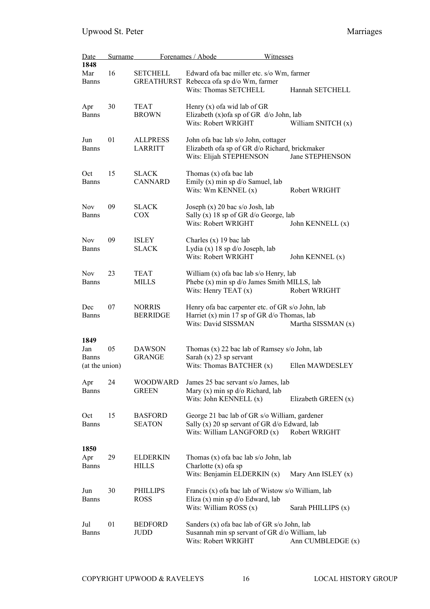| Date                           | <b>Surname</b> |                                   | Forenames / Abode                                                                                                                 | Witnesses           |
|--------------------------------|----------------|-----------------------------------|-----------------------------------------------------------------------------------------------------------------------------------|---------------------|
| 1848<br>Mar                    | 16             | <b>SETCHELL</b>                   | Edward of a bac miller etc. s/o Wm, farmer                                                                                        |                     |
| <b>Banns</b>                   |                |                                   | GREATHURST Rebecca ofa sp d/o Wm, farmer<br>Wits: Thomas SETCHELL                                                                 | Hannah SETCHELL     |
| Apr<br><b>Banns</b>            | 30             | <b>TEAT</b><br><b>BROWN</b>       | Henry $(x)$ of a wid lab of GR<br>Elizabeth (x) of a sp of GR $d$ /o John, lab<br>Wits: Robert WRIGHT                             | William SNITCH (x)  |
| Jun<br><b>Banns</b>            | 01             | <b>ALLPRESS</b><br><b>LARRITT</b> | John ofa bac lab s/o John, cottager<br>Elizabeth ofa sp of GR d/o Richard, brickmaker<br>Wits: Elijah STEPHENSON                  | Jane STEPHENSON     |
| Oct<br><b>Banns</b>            | 15             | <b>SLACK</b><br><b>CANNARD</b>    | Thomas $(x)$ of a bac lab<br>Emily $(x)$ min sp d/o Samuel, lab<br>Wits: Wm KENNEL (x)                                            | Robert WRIGHT       |
| Nov.<br><b>Banns</b>           | 09             | <b>SLACK</b><br><b>COX</b>        | Joseph $(x)$ 20 bac s/o Josh, lab<br>Sally (x) 18 sp of GR d/o George, lab<br>Wits: Robert WRIGHT                                 | John KENNELL (x)    |
| <b>Nov</b><br><b>Banns</b>     | 09             | <b>ISLEY</b><br><b>SLACK</b>      | Charles $(x)$ 19 bac lab<br>Lydia $(x)$ 18 sp $d$ /o Joseph, lab<br>Wits: Robert WRIGHT                                           | John KENNEL (x)     |
| <b>Nov</b><br><b>Banns</b>     | 23             | <b>TEAT</b><br><b>MILLS</b>       | William (x) of a bac lab s/o Henry, lab<br>Phebe (x) min sp d/o James Smith MILLS, lab<br>Wits: Henry TEAT (x)                    | Robert WRIGHT       |
| Dec<br><b>Banns</b>            | 07             | <b>NORRIS</b><br><b>BERRIDGE</b>  | Henry of a bac carpenter etc. of GR s/o John, lab<br>Harriet (x) min 17 sp of GR $d$ /o Thomas, lab<br>Wits: David SISSMAN        | Martha SISSMAN (x)  |
| 1849<br>Jan                    | 05             | <b>DAWSON</b>                     | Thomas (x) 22 bac lab of Ramsey s/o John, lab                                                                                     |                     |
| <b>Banns</b><br>(at the union) |                | <b>GRANGE</b>                     | Sarah $(x)$ 23 sp servant<br>Wits: Thomas BATCHER (x)                                                                             | Ellen MAWDESLEY     |
| Apr<br><b>Banns</b>            | 24             | <b>WOODWARD</b><br><b>GREEN</b>   | James 25 bac servant s/o James, lab<br>Mary $(x)$ min sp $d$ /o Richard, lab<br>Wits: John KENNELL (x)                            | Elizabeth GREEN (x) |
| Oct<br><b>Banns</b>            | 15             | <b>BASFORD</b><br><b>SEATON</b>   | George 21 bac lab of GR s/o William, gardener<br>Sally $(x)$ 20 sp servant of GR $d$ /o Edward, lab<br>Wits: William LANGFORD (x) | Robert WRIGHT       |
| 1850<br>Apr<br><b>Banns</b>    | 29             | <b>ELDERKIN</b><br><b>HILLS</b>   | Thomas $(x)$ of a bac lab s/o John, lab<br>Charlotte $(x)$ of a sp<br>Wits: Benjamin ELDERKIN (x)                                 | Mary Ann ISLEY (x)  |
| Jun<br><b>Banns</b>            | 30             | <b>PHILLIPS</b><br><b>ROSS</b>    | Francis (x) of a bac lab of Wistow s/o William, lab<br>Eliza (x) min sp d/o Edward, lab<br>Wits: William ROSS $(x)$               | Sarah PHILLIPS (x)  |
| Jul<br><b>Banns</b>            | 01             | <b>BEDFORD</b><br>JUDD            | Sanders (x) of a bac lab of GR s/o John, lab<br>Susannah min sp servant of GR d/o William, lab<br>Wits: Robert WRIGHT             | Ann CUMBLEDGE (x)   |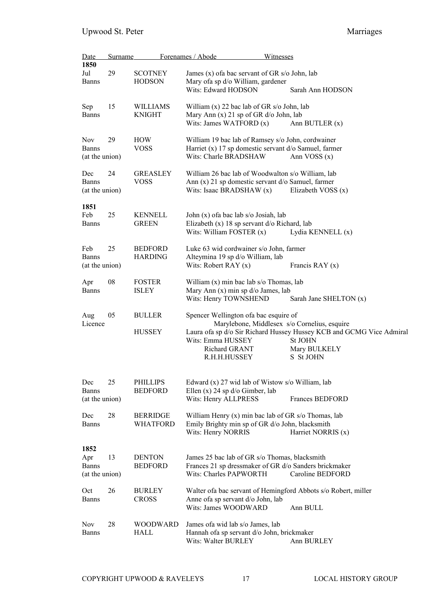| Date<br>1850                           | <b>Surname</b> |                                    | Forenames / Abode                                                                                                                       | <u>Witnesses</u> |                                                                                                                                                                     |
|----------------------------------------|----------------|------------------------------------|-----------------------------------------------------------------------------------------------------------------------------------------|------------------|---------------------------------------------------------------------------------------------------------------------------------------------------------------------|
| Jul<br>Banns                           | 29             | <b>SCOTNEY</b><br><b>HODSON</b>    | James $(x)$ of a bac servant of GR s/o John, lab<br>Mary ofa sp d/o William, gardener<br>Wits: Edward HODSON                            |                  | Sarah Ann HODSON                                                                                                                                                    |
| Sep<br><b>Banns</b>                    | 15             | <b>WILLIAMS</b><br><b>KNIGHT</b>   | William $(x)$ 22 bac lab of GR s/o John, lab<br>Mary Ann (x) 21 sp of GR d/o John, lab<br>Wits: James WATFORD $(x)$                     |                  | Ann BUTLER $(x)$                                                                                                                                                    |
| Nov<br><b>Banns</b><br>(at the union)  | 29             | <b>HOW</b><br><b>VOSS</b>          | William 19 bac lab of Ramsey s/o John, cordwainer<br>Harriet (x) 17 sp domestic servant $d$ /o Samuel, farmer<br>Wits: Charle BRADSHAW  |                  | Ann VOSS $(x)$                                                                                                                                                      |
| Dec<br>Banns<br>(at the union)         | 24             | <b>GREASLEY</b><br><b>VOSS</b>     | William 26 bac lab of Woodwalton s/o William, lab<br>Ann $(x)$ 21 sp domestic servant $d$ /o Samuel, farmer<br>Wits: Isaac BRADSHAW (x) |                  | Elizabeth VOSS (x)                                                                                                                                                  |
| 1851<br>Feb<br>Banns                   | 25             | <b>KENNELL</b><br><b>GREEN</b>     | John (x) of a bac lab s/o Josiah, lab<br>Elizabeth (x) 18 sp servant d/o Richard, lab<br>Wits: William FOSTER (x)                       |                  | Lydia KENNELL (x)                                                                                                                                                   |
| Feb<br>Banns<br>(at the union)         | 25             | <b>BEDFORD</b><br><b>HARDING</b>   | Luke 63 wid cordwainer s/o John, farmer<br>Alteymina 19 sp d/o William, lab<br>Wits: Robert RAY $(x)$                                   |                  | Francis RAY $(x)$                                                                                                                                                   |
| Apr<br>Banns                           | 08             | <b>FOSTER</b><br><b>ISLEY</b>      | William $(x)$ min bac lab s/o Thomas, lab<br>Mary Ann $(x)$ min sp d/o James, lab<br>Wits: Henry TOWNSHEND                              |                  | Sarah Jane SHELTON (x)                                                                                                                                              |
| Aug<br>Licence                         | 05             | <b>BULLER</b><br><b>HUSSEY</b>     | Spencer Wellington of a bac esquire of<br>Wits: Emma HUSSEY<br>Richard GRANT<br>R.H.H.HUSSEY                                            |                  | Marylebone, Middlesex s/o Cornelius, esquire<br>Laura ofa sp d/o Sir Richard Hussey Hussey KCB and GCMG Vice Admiral<br><b>St JOHN</b><br>Mary BULKELY<br>S St JOHN |
| Dec<br><b>Banns</b><br>(at the union)  | 25             | <b>PHILLIPS</b><br><b>BEDFORD</b>  | Edward (x) 27 wid lab of Wistow s/o William, lab<br>Ellen $(x)$ 24 sp d/o Gimber, lab<br>Wits: Henry ALLPRESS                           |                  | Frances BEDFORD                                                                                                                                                     |
| Dec<br>Banns                           | 28             | <b>BERRIDGE</b><br><b>WHATFORD</b> | William Henry $(x)$ min bac lab of GR s/o Thomas, lab<br>Emily Brighty min sp of GR d/o John, blacksmith<br>Wits: Henry NORRIS          |                  | Harriet NORRIS (x)                                                                                                                                                  |
| 1852<br>Apr<br>Banns<br>(at the union) | 13             | <b>DENTON</b><br><b>BEDFORD</b>    | James 25 bac lab of GR s/o Thomas, blacksmith<br>Wits: Charles PAPWORTH                                                                 |                  | Frances 21 sp dressmaker of GR d/o Sanders brickmaker<br>Caroline BEDFORD                                                                                           |
| Oct<br>Banns                           | 26             | <b>BURLEY</b><br><b>CROSS</b>      | Anne ofa sp servant d/o John, lab<br>Wits: James WOODWARD                                                                               |                  | Walter of a bac servant of Hemingford Abbots s/o Robert, miller<br>Ann BULL                                                                                         |
| Nov<br>Banns                           | 28             | <b>WOODWARD</b><br><b>HALL</b>     | James of a wid lab s/o James, lab<br>Hannah ofa sp servant d/o John, brickmaker<br>Wits: Walter BURLEY                                  |                  | Ann BURLEY                                                                                                                                                          |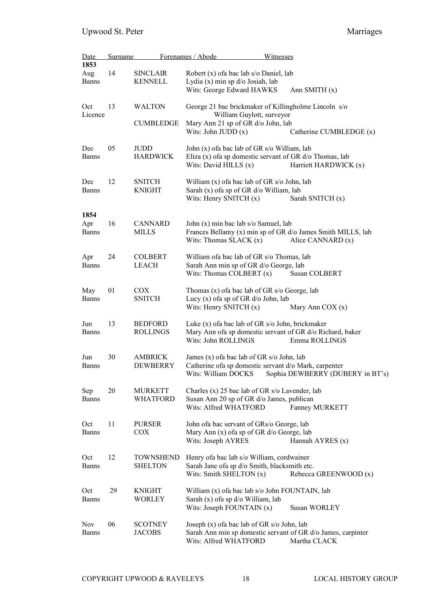| <b>Date</b>                 | <b>Surname</b> |                                    | Forenames / Abode                                                                                                        | Witnesses                                                                                  |
|-----------------------------|----------------|------------------------------------|--------------------------------------------------------------------------------------------------------------------------|--------------------------------------------------------------------------------------------|
| 1853<br>Aug<br><b>Banns</b> | 14             | <b>SINCLAIR</b><br>KENNELL         | Robert (x) of a bac lab s/o Daniel, lab<br>Lydia (x) min sp d/o Josiah, lab<br>Wits: George Edward HAWKS                 | Ann SMITH $(x)$                                                                            |
| Oct<br>Licence              | 13             | <b>WALTON</b><br><b>CUMBLEDGE</b>  | William Guylott, surveyor<br>Mary Ann 21 sp of GR d/o John, lab<br>Wits: John JUDD $(x)$                                 | George 21 bac brickmaker of Killingholme Lincoln s/o<br>Catherine CUMBLEDGE (x)            |
| Dec<br><b>Banns</b>         | 05             | JUDD<br><b>HARDWICK</b>            | John (x) of a bac lab of GR s/o William, lab<br>Wits: David HILLS (x)                                                    | Eliza (x) of a sp domestic servant of GR d/o Thomas, lab<br>Harriett HARDWICK (x)          |
| Dec<br><b>Banns</b>         | 12             | <b>SNITCH</b><br><b>KNIGHT</b>     | William (x) of a bac lab of GR s/o John, lab<br>Sarah (x) of a sp of GR d/o William, lab<br>Wits: Henry SNITCH $(x)$     | Sarah SNITCH (x)                                                                           |
| 1854<br>Apr<br><b>Banns</b> | 16             | <b>CANNARD</b><br><b>MILLS</b>     | John (x) min bac lab s/o Samuel, lab<br>Wits: Thomas SLACK $(x)$                                                         | Frances Bellamy (x) min sp of GR d/o James Smith MILLS, lab<br>Alice CANNARD (x)           |
| Apr<br><b>Banns</b>         | 24             | <b>COLBERT</b><br><b>LEACH</b>     | William of a bac lab of GR s/o Thomas, lab<br>Sarah Ann min sp of GR d/o George, lab<br>Wits: Thomas COLBERT $(x)$       | Susan COLBERT                                                                              |
| May<br><b>Banns</b>         | 01             | <b>COX</b><br><b>SNITCH</b>        | Thomas $(x)$ of a bac lab of GR s/o George, lab<br>Lucy $(x)$ of a sp of GR $d$ /o John, lab<br>Wits: Henry SNITCH $(x)$ | Mary Ann COX $(x)$                                                                         |
| Jun<br><b>Banns</b>         | 13             | <b>BEDFORD</b><br><b>ROLLINGS</b>  | Luke $(x)$ of a bac lab of GR s/o John, brickmaker<br>Wits: John ROLLINGS                                                | Mary Ann ofa sp domestic servant of GR d/o Richard, baker<br>Emma ROLLINGS                 |
| Jun<br><b>Banns</b>         | 30             | <b>AMBRICK</b><br><b>DEWBERRY</b>  | James (x) of a bac lab of GR s/o John, lab<br>Wits: William DOCKS                                                        | Catherine of as p domestic servant d/o Mark, carpenter<br>Sophia DEWBERRY (DUBERY in BT's) |
| Sep<br><b>Banns</b>         | 20             | <b>MURKETT</b><br><b>WHATFORD</b>  | Charles (x) 25 bac lab of GR s/o Lavender, lab<br>Susan Ann 20 sp of GR d/o James, publican<br>Wits: Alfred WHATFORD     | Fanney MURKETT                                                                             |
| Oct<br><b>Banns</b>         | 11             | <b>PURSER</b><br>COX               | John of a bac servant of GRs/o George, lab<br>Mary Ann (x) ofa sp of GR d/o George, lab<br>Wits: Joseph AYRES            | Hannah AYRES (x)                                                                           |
| Oct<br><b>Banns</b>         | 12             | <b>TOWNSHEND</b><br><b>SHELTON</b> | Henry of a bac lab s/o William, cordwainer<br>Sarah Jane ofa sp d/o Smith, blacksmith etc.<br>Wits: Smith SHELTON (x)    | Rebecca GREENWOOD (x)                                                                      |
| Oct<br><b>Banns</b>         | 29             | <b>KNIGHT</b><br><b>WORLEY</b>     | William (x) of a bac lab s/o John FOUNTAIN, lab<br>Sarah (x) ofa sp d/o William, lab<br>Wits: Joseph FOUNTAIN (x)        | Susan WORLEY                                                                               |
| Nov<br><b>Banns</b>         | 06             | <b>SCOTNEY</b><br><b>JACOBS</b>    | Joseph (x) of a bac lab of GR s/o John, lab<br>Wits: Alfred WHATFORD                                                     | Sarah Ann min sp domestic servant of GR d/o James, carpinter<br>Martha CLACK               |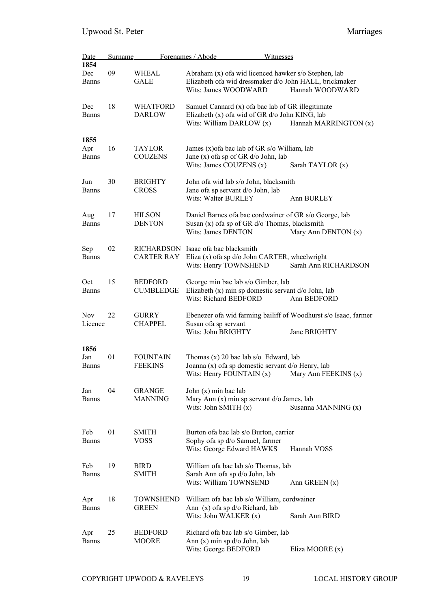| Date                | Surname |                                    | Forenames / Abode<br>Witnesses                                                                                                          |                        |
|---------------------|---------|------------------------------------|-----------------------------------------------------------------------------------------------------------------------------------------|------------------------|
| 1854                |         |                                    |                                                                                                                                         |                        |
| Dec<br><b>Banns</b> | 09      | WHEAL<br><b>GALE</b>               | Abraham (x) of a wid licenced hawker s/o Stephen, lab<br>Elizabeth ofa wid dressmaker d/o John HALL, brickmaker<br>Wits: James WOODWARD | Hannah WOODWARD        |
| Dec<br><b>Banns</b> | 18      | <b>WHATFORD</b><br><b>DARLOW</b>   | Samuel Cannard (x) of a bac lab of GR illegitimate<br>Elizabeth (x) of a wid of GR d/o John KING, lab<br>Wits: William DARLOW (x)       | Hannah MARRINGTON (x)  |
| 1855                |         |                                    |                                                                                                                                         |                        |
| Apr                 | 16      | TAYLOR                             | James (x) of a bac lab of GR s/o William, lab                                                                                           |                        |
| <b>Banns</b>        |         | <b>COUZENS</b>                     | Jane (x) of a sp of GR d/o John, lab<br>Wits: James COUZENS (x)                                                                         | Sarah TAYLOR (x)       |
| Jun                 | 30      | <b>BRIGHTY</b>                     | John of a wid lab s/o John, blacksmith                                                                                                  |                        |
| <b>Banns</b>        |         | <b>CROSS</b>                       | Jane of a sp servant d/o John, lab<br>Wits: Walter BURLEY                                                                               | Ann BURLEY             |
| Aug                 | 17      | <b>HILSON</b>                      | Daniel Barnes of a bac cordwainer of GR s/o George, lab                                                                                 |                        |
| Banns               |         | <b>DENTON</b>                      | Susan $(x)$ of a sp of GR $d$ /o Thomas, blacksmith                                                                                     |                        |
|                     |         |                                    | Wits: James DENTON                                                                                                                      | Mary Ann DENTON (x)    |
| Sep<br><b>Banns</b> | 02      | CARTER RAY                         | RICHARDSON Isaac of a bac blacksmith<br>Eliza (x) of a sp d/o John CARTER, wheelwright<br>Wits: Henry TOWNSHEND                         | Sarah Ann RICHARDSON   |
|                     |         |                                    |                                                                                                                                         |                        |
| Oct<br><b>Banns</b> | 15      | <b>BEDFORD</b><br><b>CUMBLEDGE</b> | George min bac lab s/o Gimber, lab<br>Elizabeth (x) min sp domestic servant d/o John, lab<br>Wits: Richard BEDFORD                      | Ann BEDFORD            |
| <b>Nov</b>          | 22      | <b>GURRY</b>                       | Ebenezer ofa wid farming bailiff of Woodhurst s/o Isaac, farmer                                                                         |                        |
| Licence             |         | <b>CHAPPEL</b>                     | Susan ofa sp servant<br>Wits: John BRIGHTY                                                                                              | Jane BRIGHTY           |
| 1856                |         |                                    |                                                                                                                                         |                        |
| Jan<br>Banns        | 01      | <b>FOUNTAIN</b><br><b>FEEKINS</b>  | Thomas $(x)$ 20 bac lab s/o Edward, lab<br>Joanna (x) of a sp domestic servant d/o Henry, lab<br>Wits: Henry FOUNTAIN (x)               | Mary Ann FEEKINS $(x)$ |
| Jan                 | 04      | <b>GRANGE</b>                      | John $(x)$ min bac lab                                                                                                                  |                        |
| <b>Banns</b>        |         | <b>MANNING</b>                     | Mary Ann $(x)$ min sp servant $d$ James, lab<br>Wits: John SMITH (x)                                                                    | Susanna MANNING (x)    |
|                     |         |                                    |                                                                                                                                         |                        |
| Feb<br><b>Banns</b> | 01      | <b>SMITH</b><br><b>VOSS</b>        | Burton of a bac lab s/o Burton, carrier<br>Sophy ofa sp d/o Samuel, farmer<br>Wits: George Edward HAWKS                                 | Hannah VOSS            |
| Feb                 | 19      | <b>BIRD</b>                        |                                                                                                                                         |                        |
| <b>Banns</b>        |         | <b>SMITH</b>                       | William of a bac lab s/o Thomas, lab<br>Sarah Ann ofa sp d/o John, lab<br>Wits: William TOWNSEND                                        | Ann GREEN $(x)$        |
| Apr                 | 18      | TOWNSHEND                          | William of a bac lab s/o William, cordwainer                                                                                            |                        |
| <b>Banns</b>        |         | <b>GREEN</b>                       | Ann $(x)$ of a sp $d$ /o Richard, lab<br>Wits: John WALKER (x)                                                                          | Sarah Ann BIRD         |
| Apr                 | 25      | <b>BEDFORD</b>                     | Richard of a bac lab s/o Gimber, lab                                                                                                    |                        |
| <b>Banns</b>        |         | <b>MOORE</b>                       | Ann $(x)$ min sp $d$ /o John, lab                                                                                                       |                        |
|                     |         |                                    | Wits: George BEDFORD                                                                                                                    | Eliza MOORE (x)        |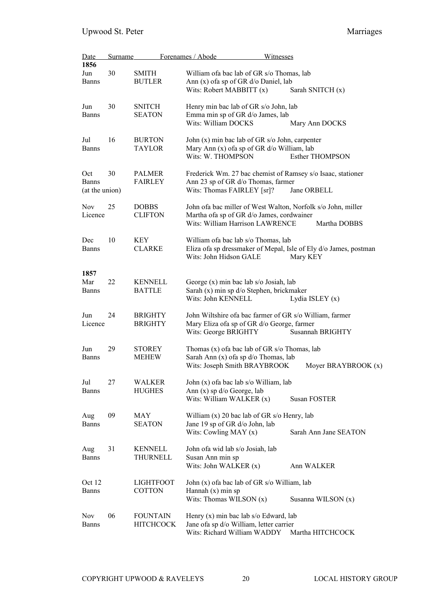| <b>Date</b>                           | <b>Surname</b> |                                     | Forenames / Abode<br>Witnesses                                                                                                                |                        |
|---------------------------------------|----------------|-------------------------------------|-----------------------------------------------------------------------------------------------------------------------------------------------|------------------------|
| 1856<br>Jun<br><b>Banns</b>           | 30             | <b>SMITH</b><br><b>BUTLER</b>       | William of a bac lab of GR s/o Thomas, lab<br>Ann (x) ofa sp of GR d/o Daniel, lab<br>Wits: Robert MABBITT (x)                                | Sarah SNITCH (x)       |
| Jun<br><b>Banns</b>                   | 30             | <b>SNITCH</b><br><b>SEATON</b>      | Henry min bac lab of GR s/o John, lab<br>Emma min sp of GR d/o James, lab<br>Wits: William DOCKS                                              | Mary Ann DOCKS         |
| Jul<br><b>Banns</b>                   | 16             | <b>BURTON</b><br><b>TAYLOR</b>      | John (x) min bac lab of GR s/o John, carpenter<br>Mary Ann (x) of a sp of GR d/o William, lab<br>Wits: W. THOMPSON                            | <b>Esther THOMPSON</b> |
| Oct<br><b>Banns</b><br>(at the union) | 30             | PALMER<br><b>FAIRLEY</b>            | Frederick Wm. 27 bac chemist of Ramsey s/o Isaac, stationer<br>Ann 23 sp of GR d/o Thomas, farmer<br>Wits: Thomas FAIRLEY [sr]?               | Jane ORBELL            |
| <b>Nov</b><br>Licence                 | 25             | <b>DOBBS</b><br><b>CLIFTON</b>      | John of a bac miller of West Walton, Norfolk s/o John, miller<br>Martha ofa sp of GR d/o James, cordwainer<br>Wits: William Harrison LAWRENCE | Martha DOBBS           |
| Dec<br><b>Banns</b>                   | 10             | KEY<br><b>CLARKE</b>                | William of a bac lab s/o Thomas, lab<br>Eliza ofa sp dressmaker of Mepal, Isle of Ely d/o James, postman<br>Wits: John Hidson GALE            | Mary KEY               |
| 1857<br>Mar<br><b>Banns</b>           | 22             | <b>KENNELL</b><br><b>BATTLE</b>     | George (x) min bac lab s/o Josiah, lab<br>Sarah (x) min sp d/o Stephen, brickmaker<br>Wits: John KENNELL                                      | Lydia ISLEY $(x)$      |
| Jun<br>Licence                        | 24             | <b>BRIGHTY</b><br><b>BRIGHTY</b>    | John Wiltshire of a bac farmer of GR s/o William, farmer<br>Mary Eliza ofa sp of GR d/o George, farmer<br>Wits: George BRIGHTY                | Susannah BRIGHTY       |
| Jun<br><b>Banns</b>                   | 29             | <b>STOREY</b><br><b>MEHEW</b>       | Thomas $(x)$ of a bac lab of GR s/o Thomas, lab<br>Sarah Ann (x) ofa sp d/o Thomas, lab<br>Wits: Joseph Smith BRAYBROOK                       | Moyer BRAYBROOK (x)    |
| Jul<br><b>Banns</b>                   | 27             | WALKER<br><b>HUGHES</b>             | John (x) of a bac lab s/o William, lab<br>Ann $(x)$ sp $d$ /o George, lab<br>Wits: William WALKER (x)                                         | <b>Susan FOSTER</b>    |
| Aug<br><b>Banns</b>                   | 09             | MAY<br><b>SEATON</b>                | William $(x)$ 20 bac lab of GR s/o Henry, lab<br>Jane 19 sp of GR d/o John, lab<br>Wits: Cowling MAY $(x)$                                    | Sarah Ann Jane SEATON  |
| Aug<br><b>Banns</b>                   | 31             | <b>KENNELL</b><br>THURNELL          | John ofa wid lab s/o Josiah, lab<br>Susan Ann min sp<br>Wits: John WALKER (x)                                                                 | Ann WALKER             |
| Oct 12<br><b>Banns</b>                |                | <b>LIGHTFOOT</b><br><b>COTTON</b>   | John (x) of a bac lab of GR s/o William, lab<br>Hannah $(x)$ min sp<br>Wits: Thomas WILSON (x)                                                | Susanna WILSON (x)     |
| <b>Nov</b><br><b>Banns</b>            | 06             | <b>FOUNTAIN</b><br><b>HITCHCOCK</b> | Henry $(x)$ min bac lab s/o Edward, lab<br>Jane ofa sp d/o William, letter carrier<br>Wits: Richard William WADDY                             | Martha HITCHCOCK       |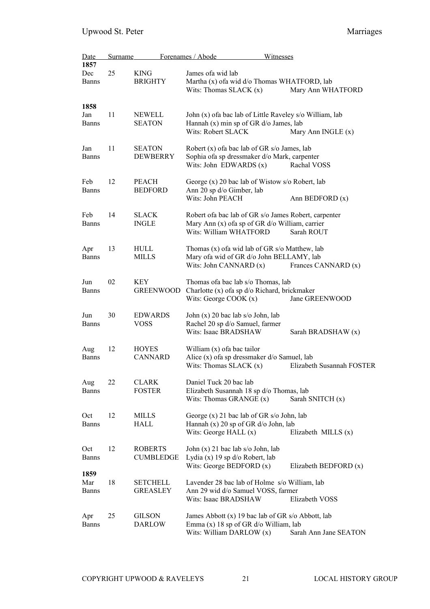| Date                        | <b>Surname</b> |                                    | Forenames / Abode<br>Witnesses                                                                                                          |                           |
|-----------------------------|----------------|------------------------------------|-----------------------------------------------------------------------------------------------------------------------------------------|---------------------------|
| 1857<br>Dec<br><b>Banns</b> | 25             | <b>KING</b><br><b>BRIGHTY</b>      | James of a wid lab<br>Martha (x) ofa wid d/o Thomas WHATFORD, lab<br>Wits: Thomas SLACK $(x)$                                           | Mary Ann WHATFORD         |
| 1858<br>Jan<br><b>Banns</b> | 11             | <b>NEWELL</b><br><b>SEATON</b>     | John (x) of a bac lab of Little Raveley s/o William, lab<br>Hannah (x) min sp of GR d/o James, lab<br>Wits: Robert SLACK                | Mary Ann INGLE (x)        |
| Jan<br><b>Banns</b>         | 11             | <b>SEATON</b><br><b>DEWBERRY</b>   | Robert (x) of a bac lab of GR s/o James, lab<br>Sophia ofa sp dressmaker d/o Mark, carpenter<br>Wits: John EDWARDS (x)                  | Rachal VOSS               |
| Feb<br><b>Banns</b>         | 12             | <b>PEACH</b><br><b>BEDFORD</b>     | George (x) 20 bac lab of Wistow s/o Robert, lab<br>Ann 20 sp d/o Gimber, lab<br>Wits: John PEACH                                        | Ann BEDFORD (x)           |
| Feb<br><b>Banns</b>         | 14             | <b>SLACK</b><br><b>INGLE</b>       | Robert of a bac lab of GR s/o James Robert, carpenter<br>Mary Ann $(x)$ of a sp of GR $d$ /o William, carrier<br>Wits: William WHATFORD | Sarah ROUT                |
| Apr<br><b>Banns</b>         | 13             | HULL<br>MILLS                      | Thomas (x) of a wid lab of GR s/o Matthew, lab<br>Mary ofa wid of GR d/o John BELLAMY, lab<br>Wits: John CANNARD (x)                    | Frances CANNARD (x)       |
| Jun<br><b>Banns</b>         | 02             | KEY<br><b>GREENWOOD</b>            | Thomas of a bac lab s/o Thomas, lab<br>Charlotte (x) of a sp d/o Richard, brickmaker<br>Wits: George COOK $(x)$                         | Jane GREENWOOD            |
| Jun<br><b>Banns</b>         | 30             | <b>EDWARDS</b><br><b>VOSS</b>      | John (x) 20 bac lab s/o John, lab<br>Rachel 20 sp d/o Samuel, farmer<br>Wits: Isaac BRADSHAW                                            | Sarah BRADSHAW (x)        |
| Aug<br><b>Banns</b>         | 12             | <b>HOYES</b><br><b>CANNARD</b>     | William (x) of a bac tailor<br>Alice (x) of a sp dressmaker d/o Samuel, lab<br>Wits: Thomas SLACK $(x)$                                 | Elizabeth Susannah FOSTER |
| Aug<br><b>Banns</b>         | 22             | <b>CLARK</b><br><b>FOSTER</b>      | Daniel Tuck 20 bac lab<br>Elizabeth Susannah 18 sp d/o Thomas, lab<br>Wits: Thomas GRANGE $(x)$                                         | Sarah SNITCH (x)          |
| Oct<br><b>Banns</b>         | 12             | MILLS<br>HALL                      | George $(x)$ 21 bac lab of GR s/o John, lab<br>Hannah $(x)$ 20 sp of GR $d$ /o John, lab<br>Wits: George HALL $(x)$                     | Elizabeth MILLS (x)       |
| Oct<br><b>Banns</b>         | 12             | <b>ROBERTS</b><br><b>CUMBLEDGE</b> | John (x) 21 bac lab s/o John, lab<br>Lydia (x) 19 sp d/o Robert, lab<br>Wits: George BEDFORD $(x)$                                      | Elizabeth BEDFORD (x)     |
| 1859<br>Mar<br><b>Banns</b> | 18             | <b>SETCHELL</b><br><b>GREASLEY</b> | Lavender 28 bac lab of Holme s/o William, lab<br>Ann 29 wid d/o Samuel VOSS, farmer<br>Wits: Isaac BRADSHAW                             | Elizabeth VOSS            |
| Apr<br><b>Banns</b>         | 25             | <b>GILSON</b><br><b>DARLOW</b>     | James Abbott (x) 19 bac lab of GR s/o Abbott, lab<br>Emma $(x)$ 18 sp of GR $d$ /o William, lab<br>Wits: William DARLOW (x)             | Sarah Ann Jane SEATON     |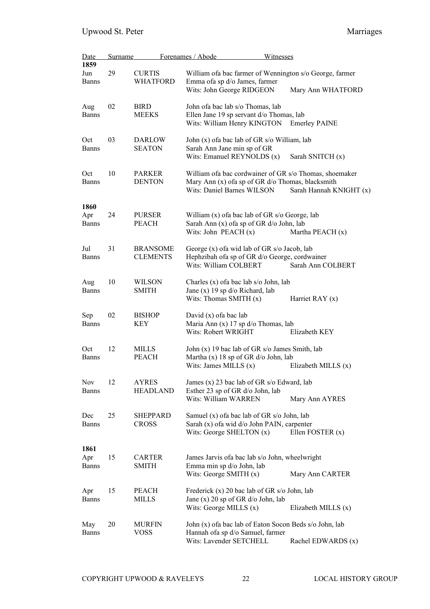| Date                        | <b>Surname</b> |                                    | Forenames / Abode<br>Witnesses                                                                                                             |                         |
|-----------------------------|----------------|------------------------------------|--------------------------------------------------------------------------------------------------------------------------------------------|-------------------------|
| 1859                        | 29             | <b>CURTIS</b>                      |                                                                                                                                            |                         |
| Jun<br><b>Banns</b>         |                | <b>WHATFORD</b>                    | William of a bac farmer of Wennington s/o George, farmer<br>Emma ofa sp d/o James, farmer<br>Wits: John George RIDGEON                     | Mary Ann WHATFORD       |
| Aug<br><b>Banns</b>         | 02             | <b>BIRD</b><br><b>MEEKS</b>        | John ofa bac lab s/o Thomas, lab<br>Ellen Jane 19 sp servant d/o Thomas, lab<br>Wits: William Henry KINGTON                                | <b>Emerley PAINE</b>    |
| Oct<br><b>Banns</b>         | 03             | <b>DARLOW</b><br><b>SEATON</b>     | John (x) of a bac lab of GR s/o William, lab<br>Sarah Ann Jane min sp of GR<br>Wits: Emanuel REYNOLDS (x)                                  | Sarah SNITCH (x)        |
| Oct<br><b>Banns</b>         | 10             | <b>PARKER</b><br><b>DENTON</b>     | William of a bac cordwainer of GR s/o Thomas, shoemaker<br>Mary Ann (x) of a sp of GR d/o Thomas, blacksmith<br>Wits: Daniel Barnes WILSON | Sarah Hannah KNIGHT (x) |
| 1860<br>Apr<br><b>Banns</b> | 24             | <b>PURSER</b><br>PEACH             | William $(x)$ of a bac lab of GR s/o George, lab<br>Sarah Ann (x) ofa sp of GR d/o John, lab<br>Wits: John PEACH $(x)$                     | Martha PEACH (x)        |
| Jul<br><b>Banns</b>         | 31             | <b>BRANSOME</b><br><b>CLEMENTS</b> | George (x) of a wid lab of GR s/o Jacob, lab<br>Hephzibah ofa sp of GR d/o George, cordwainer<br>Wits: William COLBERT                     | Sarah Ann COLBERT       |
| Aug<br><b>Banns</b>         | 10             | WILSON<br><b>SMITH</b>             | Charles (x) of a bac lab s/o John, lab<br>Jane (x) $19$ sp $d$ /o Richard, lab<br>Wits: Thomas SMITH (x)                                   | Harriet RAY $(x)$       |
| Sep<br><b>Banns</b>         | 02             | <b>BISHOP</b><br>KEY               | David $(x)$ of a bac lab<br>Maria Ann (x) 17 sp $d$ /o Thomas, lab<br>Wits: Robert WRIGHT                                                  | Elizabeth KEY           |
| Oct<br><b>Banns</b>         | 12             | <b>MILLS</b><br><b>PEACH</b>       | John (x) 19 bac lab of GR s/o James Smith, lab<br>Martha (x) 18 sp of GR d/o John, lab<br>Wits: James MILLS (x)                            | Elizabeth MILLS (x)     |
| <b>Nov</b><br><b>Banns</b>  | 12             | <b>AYRES</b><br><b>HEADLAND</b>    | James (x) 23 bac lab of GR s/o Edward, lab<br>Esther 23 sp of GR d/o John, lab<br>Wits: William WARREN                                     | Mary Ann AYRES          |
| Dec<br><b>Banns</b>         | 25             | <b>SHEPPARD</b><br><b>CROSS</b>    | Samuel (x) of a bac lab of GR s/o John, lab<br>Sarah (x) ofa wid d/o John PAIN, carpenter<br>Wits: George SHELTON (x)                      | Ellen FOSTER $(x)$      |
| 1861<br>Apr<br><b>Banns</b> | 15             | <b>CARTER</b><br><b>SMITH</b>      | James Jarvis of a bac lab s/o John, wheelwright<br>Emma min sp d/o John, lab<br>Wits: George SMITH (x)                                     | Mary Ann CARTER         |
| Apr<br><b>Banns</b>         | 15             | PEACH<br><b>MILLS</b>              | Frederick (x) 20 bac lab of GR s/o John, lab<br>Jane (x) 20 sp of GR $d$ /o John, lab<br>Wits: George MILLS $(x)$                          | Elizabeth MILLS (x)     |
| May<br><b>Banns</b>         | 20             | MURFIN<br>VOSS                     | John (x) of a bac lab of Eaton Socon Beds s/o John, lab<br>Hannah ofa sp d/o Samuel, farmer<br>Wits: Lavender SETCHELL                     | Rachel EDWARDS (x)      |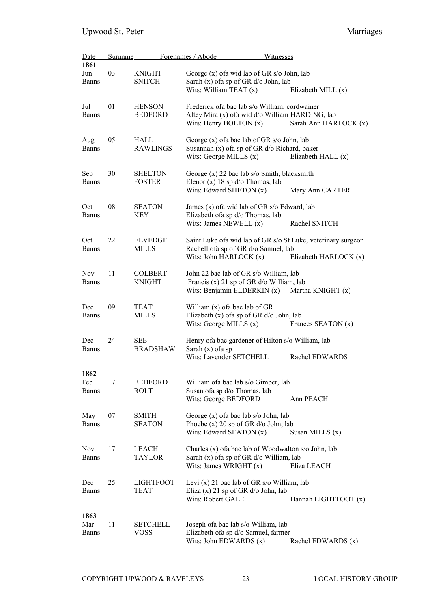| Date                | Surname |                               | Forenames / Abode<br>Witnesses                                       |                       |
|---------------------|---------|-------------------------------|----------------------------------------------------------------------|-----------------------|
| 1861                |         |                               |                                                                      |                       |
| Jun                 | 03      | <b>KNIGHT</b>                 | George (x) of a wid lab of GR s/o John, lab                          |                       |
| <b>Banns</b>        |         | <b>SNITCH</b>                 | Sarah (x) of a sp of GR d/o John, lab                                |                       |
|                     |         |                               | Wits: William TEAT $(x)$                                             | Elizabeth MILL (x)    |
| Jul                 | 01      | <b>HENSON</b>                 | Frederick of a bac lab s/o William, cordwainer                       |                       |
| <b>Banns</b>        |         | <b>BEDFORD</b>                | Altey Mira (x) ofa wid d/o William HARDING, lab                      |                       |
|                     |         |                               | Wits: Henry BOLTON $(x)$                                             | Sarah Ann HARLOCK (x) |
| Aug                 | 05      | HALL                          | George (x) of a bac lab of GR s/o John, lab                          |                       |
| <b>Banns</b>        |         | <b>RAWLINGS</b>               | Susannah (x) ofa sp of GR d/o Richard, baker                         |                       |
|                     |         |                               | Wits: George MILLS $(x)$                                             | Elizabeth HALL (x)    |
| Sep                 | 30      | <b>SHELTON</b>                | George (x) 22 bac lab s/o Smith, blacksmith                          |                       |
| <b>Banns</b>        |         | <b>FOSTER</b>                 | Elenor (x) $18$ sp $d$ /o Thomas, lab                                |                       |
|                     |         |                               | Wits: Edward SHETON (x)                                              | Mary Ann CARTER       |
| Oct                 | 08      | <b>SEATON</b>                 | James (x) of a wid lab of GR s/o Edward, lab                         |                       |
| <b>Banns</b>        |         | KEY                           | Elizabeth ofa sp d/o Thomas, lab                                     |                       |
|                     |         |                               | Wits: James NEWELL (x)                                               | Rachel SNITCH         |
| Oct                 | 22      | <b>ELVEDGE</b>                | Saint Luke of a wid lab of GR s/o St Luke, veterinary surgeon        |                       |
| <b>Banns</b>        |         | <b>MILLS</b>                  | Rachell ofa sp of GR d/o Samuel, lab<br>Wits: John HARLOCK (x)       | Elizabeth HARLOCK (x) |
|                     |         |                               |                                                                      |                       |
| <b>Nov</b>          | 11      | <b>COLBERT</b>                | John 22 bac lab of GR s/o William, lab                               |                       |
| <b>Banns</b>        |         | <b>KNIGHT</b>                 | Francis (x) 21 sp of GR d/o William, lab                             |                       |
|                     |         |                               | Wits: Benjamin ELDERKIN (x)                                          | Martha KNIGHT (x)     |
| Dec                 | 09      | <b>TEAT</b>                   | William $(x)$ of a bac lab of GR                                     |                       |
| <b>Banns</b>        |         | <b>MILLS</b>                  | Elizabeth (x) of a sp of GR d/o John, lab                            |                       |
|                     |         |                               | Wits: George MILLS $(x)$                                             | Frances SEATON (x)    |
| Dec                 | 24      | <b>SEE</b>                    | Henry of a bac gardener of Hilton s/o William, lab                   |                       |
| <b>Banns</b>        |         | <b>BRADSHAW</b>               | Sarah $(x)$ of a sp                                                  |                       |
|                     |         |                               | Wits: Lavender SETCHELL                                              | Rachel EDWARDS        |
| 1862                |         |                               |                                                                      |                       |
| Feb<br><b>Banns</b> | 17      | <b>BEDFORD</b><br><b>ROLT</b> | William of a bac lab s/o Gimber, lab<br>Susan ofa sp d/o Thomas, lab |                       |
|                     |         |                               | Wits: George BEDFORD                                                 | Ann PEACH             |
|                     |         |                               |                                                                      |                       |
| May                 | 07      | SMITH                         | George (x) of a bac lab s/o John, lab                                |                       |
| <b>Banns</b>        |         | <b>SEATON</b>                 | Phoebe $(x)$ 20 sp of GR $d$ /o John, lab                            |                       |
|                     |         |                               | Wits: Edward SEATON $(x)$                                            | Susan MILLS $(x)$     |
| Nov                 | 17      | <b>LEACH</b>                  | Charles $(x)$ of a bac lab of Woodwalton s/o John, lab               |                       |
| <b>Banns</b>        |         | <b>TAYLOR</b>                 | Sarah (x) of a sp of GR d/o William, lab                             |                       |
|                     |         |                               | Wits: James WRIGHT $(x)$                                             | Eliza LEACH           |
| Dec                 | 25      | <b>LIGHTFOOT</b>              | Levi $(x)$ 21 bac lab of GR s/o William, lab                         |                       |
| <b>Banns</b>        |         | <b>TEAT</b>                   | Eliza $(x)$ 21 sp of GR $d$ /o John, lab                             |                       |
|                     |         |                               | Wits: Robert GALE                                                    | Hannah LIGHTFOOT (x)  |
| 1863                |         |                               |                                                                      |                       |
| Mar                 | 11      | <b>SETCHELL</b>               | Joseph ofa bac lab s/o William, lab                                  |                       |
| <b>Banns</b>        |         | <b>VOSS</b>                   | Elizabeth ofa sp d/o Samuel, farmer                                  |                       |
|                     |         |                               | Wits: John EDWARDS (x)                                               | Rachel EDWARDS (x)    |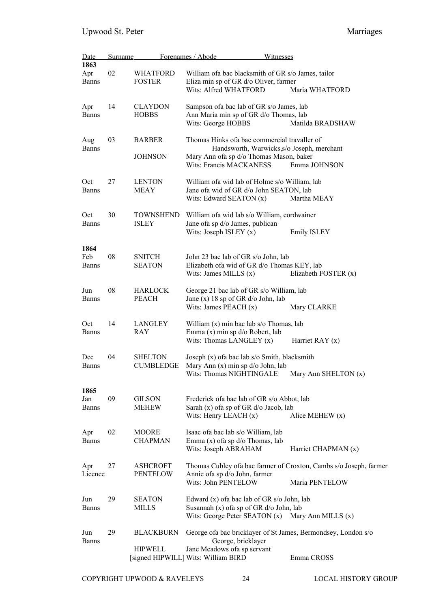| <b>Date</b>                 | Surname |                                    | Forenames / Abode                                                                                                                             | Witnesses                                                                           |
|-----------------------------|---------|------------------------------------|-----------------------------------------------------------------------------------------------------------------------------------------------|-------------------------------------------------------------------------------------|
| 1863<br>Apr                 | 02      | <b>WHATFORD</b>                    | William of a bac blacksmith of GR s/o James, tailor                                                                                           |                                                                                     |
| <b>Banns</b>                |         | <b>FOSTER</b>                      | Eliza min sp of GR d/o Oliver, farmer<br>Wits: Alfred WHATFORD                                                                                | Maria WHATFORD                                                                      |
| Apr                         | 14      | <b>CLAYDON</b>                     | Sampson of a bac lab of GR s/o James, lab                                                                                                     |                                                                                     |
| <b>Banns</b>                |         | <b>HOBBS</b>                       | Ann Maria min sp of GR d/o Thomas, lab<br>Wits: George HOBBS                                                                                  | Matilda BRADSHAW                                                                    |
| Aug<br><b>Banns</b>         | 03      | <b>BARBER</b>                      | Thomas Hinks of a bac commercial travaller of<br>Handsworth, Warwicks, s/o Joseph, merchant                                                   |                                                                                     |
|                             |         | <b>JOHNSON</b>                     | Mary Ann ofa sp d/o Thomas Mason, baker<br><b>Wits: Francis MACKANESS</b>                                                                     | Emma JOHNSON                                                                        |
| Oct<br><b>Banns</b>         | 27      | <b>LENTON</b><br>MEAY              | William of a wid lab of Holme s/o William, lab<br>Jane ofa wid of GR d/o John SEATON, lab<br>Wits: Edward SEATON $(x)$                        | Martha MEAY                                                                         |
| Oct                         | 30      | <b>TOWNSHEND</b>                   | William of a wid lab s/o William, cordwainer                                                                                                  |                                                                                     |
| <b>Banns</b>                |         | <b>ISLEY</b>                       | Jane of a sp d/o James, publican<br>Wits: Joseph ISLEY $(x)$                                                                                  | <b>Emily ISLEY</b>                                                                  |
| 1864<br>Feb<br><b>Banns</b> | 08      | <b>SNITCH</b><br><b>SEATON</b>     | John 23 bac lab of GR s/o John, lab<br>Elizabeth of a wid of GR d/o Thomas KEY, lab<br>Wits: James MILLS $(x)$                                | Elizabeth FOSTER (x)                                                                |
| Jun<br><b>Banns</b>         | 08      | <b>HARLOCK</b><br><b>PEACH</b>     | George 21 bac lab of GR s/o William, lab<br>Jane (x) 18 sp of GR $d$ /o John, lab<br>Wits: James PEACH $(x)$                                  | Mary CLARKE                                                                         |
| Oct<br><b>Banns</b>         | 14      | <b>LANGLEY</b><br>RAY              | William $(x)$ min bac lab s/o Thomas, lab<br>Emma (x) min sp d/o Robert, lab<br>Wits: Thomas LANGLEY (x)                                      | Harriet RAY $(x)$                                                                   |
| Dec<br><b>Banns</b>         | 04      | <b>SHELTON</b><br><b>CUMBLEDGE</b> | Joseph (x) of a bac lab s/o Smith, blacksmith<br>Mary Ann (x) min sp d/o John, lab<br>Wits: Thomas NIGHTINGALE                                | Mary Ann SHELTON (x)                                                                |
| 1865                        |         |                                    |                                                                                                                                               |                                                                                     |
| Jan<br><b>Banns</b>         | 09      | <b>GILSON</b><br><b>MEHEW</b>      | Frederick of a bac lab of GR s/o Abbot, lab<br>Sarah (x) of a sp of GR d/o Jacob, lab<br>Wits: Henry LEACH $(x)$                              | Alice MEHEW $(x)$                                                                   |
| Apr<br><b>Banns</b>         | 02      | <b>MOORE</b><br><b>CHAPMAN</b>     | Isaac ofa bac lab s/o William, lab<br>Emma $(x)$ of a sp $d$ /o Thomas, lab<br>Wits: Joseph ABRAHAM                                           | Harriet CHAPMAN (x)                                                                 |
| Apr<br>Licence              | 27      | <b>ASHCROFT</b><br><b>PENTELOW</b> | Annie ofa sp d/o John, farmer<br>Wits: John PENTELOW                                                                                          | Thomas Cubley ofa bac farmer of Croxton, Cambs s/o Joseph, farmer<br>Maria PENTELOW |
| Jun<br><b>Banns</b>         | 29      | <b>SEATON</b><br><b>MILLS</b>      | Edward $(x)$ of a bac lab of GR s/o John, lab<br>Susannah (x) of a sp of GR d/o John, lab<br>Wits: George Peter SEATON (x) Mary Ann MILLS (x) |                                                                                     |
| Jun<br><b>Banns</b>         | 29      | <b>BLACKBURN</b>                   | George, bricklayer                                                                                                                            | George ofa bac bricklayer of St James, Bermondsey, London s/o                       |
|                             |         | <b>HIPWELL</b>                     | Jane Meadows of asp servant<br>[signed HIPWILL] Wits: William BIRD                                                                            | Emma CROSS                                                                          |

COPYRIGHT UPWOOD & RAVELEYS 24 LOCAL HISTORY GROUP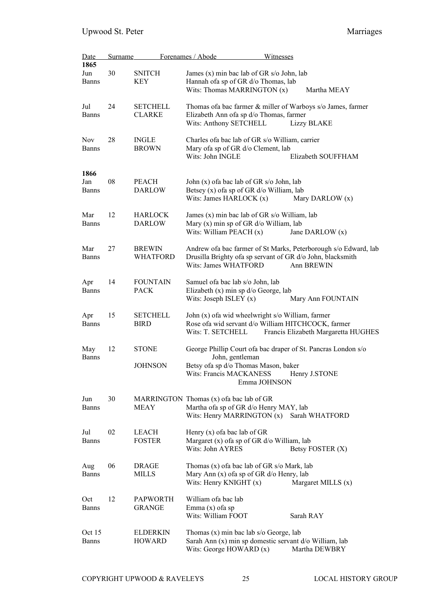| <b>Date</b>                 | <b>Surname</b> |                                  | Forenames / Abode<br><b>Witnesses</b>                                                                                                                                |                                     |
|-----------------------------|----------------|----------------------------------|----------------------------------------------------------------------------------------------------------------------------------------------------------------------|-------------------------------------|
| 1865<br>Jun<br><b>Banns</b> | 30             | <b>SNITCH</b><br><b>KEY</b>      | James (x) min bac lab of GR s/o John, lab<br>Hannah ofa sp of GR d/o Thomas, lab                                                                                     |                                     |
|                             |                |                                  | Wits: Thomas MARRINGTON (x)                                                                                                                                          | Martha MEAY                         |
| Jul<br><b>Banns</b>         | 24             | <b>SETCHELL</b><br><b>CLARKE</b> | Thomas of a bac farmer & miller of Warboys s/o James, farmer<br>Elizabeth Ann ofa sp d/o Thomas, farmer<br>Wits: Anthony SETCHELL                                    | <b>Lizzy BLAKE</b>                  |
| <b>Nov</b><br><b>Banns</b>  | 28             | <b>INGLE</b><br><b>BROWN</b>     | Charles of a bac lab of GR s/o William, carrier<br>Mary ofa sp of GR d/o Clement, lab<br>Wits: John INGLE                                                            | Elizabeth SOUFFHAM                  |
| 1866                        |                |                                  |                                                                                                                                                                      |                                     |
| Jan<br><b>Banns</b>         | 08             | <b>PEACH</b><br><b>DARLOW</b>    | John (x) of a bac lab of GR s/o John, lab<br>Betsey (x) of a sp of GR d/o William, lab<br>Wits: James HARLOCK $(x)$                                                  | Mary DARLOW (x)                     |
| Mar<br><b>Banns</b>         | 12             | <b>HARLOCK</b><br><b>DARLOW</b>  | James (x) min bac lab of GR s/o William, lab<br>Mary (x) min sp of GR d/o William, lab<br>Wits: William PEACH (x)                                                    | Jane DARLOW (x)                     |
| Mar<br><b>Banns</b>         | 27             | <b>BREWIN</b><br><b>WHATFORD</b> | Andrew of a bac farmer of St Marks, Peterborough s/o Edward, lab<br>Drusilla Brighty of asp servant of GR d/o John, blacksmith<br>Wits: James WHATFORD               | Ann BREWIN                          |
| Apr<br><b>Banns</b>         | 14             | <b>FOUNTAIN</b><br><b>PACK</b>   | Samuel ofa bac lab s/o John, lab<br>Elizabeth (x) min sp d/o George, lab<br>Wits: Joseph ISLEY $(x)$                                                                 | Mary Ann FOUNTAIN                   |
| Apr<br><b>Banns</b>         | 15             | <b>SETCHELL</b><br><b>BIRD</b>   | John (x) of a wid wheelwright s/o William, farmer<br>Rose ofa wid servant d/o William HITCHCOCK, farmer<br>Wits: T. SETCHELL                                         | Francis Elizabeth Margaretta HUGHES |
| May<br><b>Banns</b>         | 12             | <b>STONE</b><br><b>JOHNSON</b>   | George Phillip Court of a bac draper of St. Pancras London s/o<br>John, gentleman<br>Betsy ofa sp d/o Thomas Mason, baker<br>Wits: Francis MACKANESS<br>Emma JOHNSON | Henry J.STONE                       |
| Jun<br><b>Banns</b>         | 30             | <b>MEAY</b>                      | MARRINGTON Thomas (x) of a bac lab of GR<br>Martha ofa sp of GR d/o Henry MAY, lab<br>Wits: Henry MARRINGTON $(x)$                                                   | Sarah WHATFORD                      |
| Jul<br><b>Banns</b>         | 02             | LEACH<br><b>FOSTER</b>           | Henry $(x)$ of a bac lab of GR<br>Margaret (x) of a sp of GR d/o William, lab<br>Wits: John AYRES                                                                    | Betsy FOSTER (X)                    |
| Aug<br><b>Banns</b>         | 06             | <b>DRAGE</b><br><b>MILLS</b>     | Thomas (x) of a bac lab of GR s/o Mark, lab<br>Mary Ann (x) of a sp of GR d/o Henry, lab<br>Wits: Henry KNIGHT $(x)$                                                 | Margaret MILLS (x)                  |
| Oct<br><b>Banns</b>         | 12             | <b>PAPWORTH</b><br><b>GRANGE</b> | William of a bac lab<br>Emma $(x)$ of a sp<br>Wits: William FOOT                                                                                                     | Sarah RAY                           |
| Oct 15<br><b>Banns</b>      |                | <b>ELDERKIN</b><br>HOWARD        | Thomas $(x)$ min bac lab s/o George, lab<br>Sarah Ann (x) min sp domestic servant d/o William, lab<br>Wits: George HOWARD (x)                                        | Martha DEWBRY                       |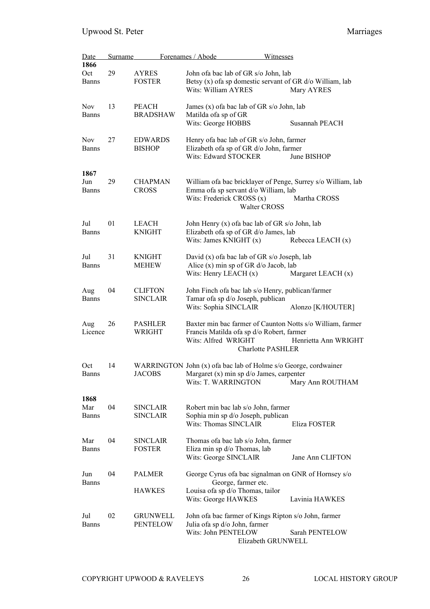| <b>Date</b>  | <b>Surname</b> |                 | Forenames / Abode<br>Witnesses                                                                                    |                      |
|--------------|----------------|-----------------|-------------------------------------------------------------------------------------------------------------------|----------------------|
| 1866         |                |                 |                                                                                                                   |                      |
| Oct          | 29             | <b>AYRES</b>    | John of a bac lab of GR s/o John, lab                                                                             |                      |
| <b>Banns</b> |                | <b>FOSTER</b>   | Betsy $(x)$ of a sp domestic servant of GR $d$ /o William, lab                                                    |                      |
|              |                |                 | Wits: William AYRES                                                                                               | Mary AYRES           |
| <b>Nov</b>   | 13             | <b>PEACH</b>    | James (x) of a bac lab of GR s/o John, lab                                                                        |                      |
| Banns        |                | <b>BRADSHAW</b> | Matilda of a sp of GR                                                                                             |                      |
|              |                |                 | Wits: George HOBBS                                                                                                | Susannah PEACH       |
|              |                |                 |                                                                                                                   |                      |
| <b>Nov</b>   | 27             | <b>EDWARDS</b>  | Henry of a bac lab of GR s/o John, farmer                                                                         |                      |
| <b>Banns</b> |                | <b>BISHOP</b>   | Elizabeth of a sp of GR d/o John, farmer                                                                          |                      |
|              |                |                 | Wits: Edward STOCKER                                                                                              | June BISHOP          |
| 1867         |                |                 |                                                                                                                   |                      |
| Jun          | 29             | <b>CHAPMAN</b>  | William of a bac bricklayer of Penge, Surrey s/o William, lab                                                     |                      |
| <b>Banns</b> |                | <b>CROSS</b>    | Emma ofa sp servant d/o William, lab                                                                              |                      |
|              |                |                 | Wits: Frederick CROSS (x)                                                                                         | Martha CROSS         |
|              |                |                 | Walter CROSS                                                                                                      |                      |
|              |                |                 |                                                                                                                   |                      |
| Jul          | 01             | <b>LEACH</b>    | John Henry (x) of a bac lab of GR s/o John, lab                                                                   |                      |
| <b>Banns</b> |                | <b>KNIGHT</b>   | Elizabeth of a sp of GR d/o James, lab                                                                            |                      |
|              |                |                 | Wits: James KNIGHT $(x)$                                                                                          | Rebecca LEACH (x)    |
| Jul          | 31             | <b>KNIGHT</b>   | David (x) of a bac lab of GR s/o Joseph, lab                                                                      |                      |
| <b>Banns</b> |                | <b>MEHEW</b>    | Alice $(x)$ min sp of GR $d$ /o Jacob, lab                                                                        |                      |
|              |                |                 | Wits: Henry LEACH $(x)$                                                                                           | Margaret LEACH (x)   |
|              |                |                 |                                                                                                                   |                      |
| Aug          | 04             | <b>CLIFTON</b>  | John Finch of a bac lab s/o Henry, publican/farmer                                                                |                      |
| <b>Banns</b> |                | <b>SINCLAIR</b> | Tamar ofa sp d/o Joseph, publican                                                                                 |                      |
|              |                |                 | Wits: Sophia SINCLAIR                                                                                             | Alonzo [K/HOUTER]    |
| Aug          | 26             | <b>PASHLER</b>  | Baxter min bac farmer of Caunton Notts s/o William, farmer                                                        |                      |
| Licence      |                | WRIGHT          | Francis Matilda ofa sp d/o Robert, farmer                                                                         |                      |
|              |                |                 | Wits: Alfred WRIGHT                                                                                               | Henrietta Ann WRIGHT |
|              |                |                 | <b>Charlotte PASHLER</b>                                                                                          |                      |
| Oct          | 14             |                 |                                                                                                                   |                      |
| Banns        |                | <b>JACOBS</b>   | WARRINGTON John (x) of a bac lab of Holme s/o George, cordwainer<br>Margaret $(x)$ min sp $d$ /o James, carpenter |                      |
|              |                |                 | Wits: T. WARRINGTON                                                                                               | Mary Ann ROUTHAM     |
|              |                |                 |                                                                                                                   |                      |
| 1868         |                |                 |                                                                                                                   |                      |
| Mar          | 04             | <b>SINCLAIR</b> | Robert min bac lab s/o John, farmer                                                                               |                      |
| <b>Banns</b> |                | <b>SINCLAIR</b> | Sophia min sp d/o Joseph, publican                                                                                |                      |
|              |                |                 | Wits: Thomas SINCLAIR                                                                                             | Eliza FOSTER         |
| Mar          | 04             | <b>SINCLAIR</b> | Thomas of a bac lab s/o John, farmer                                                                              |                      |
| <b>Banns</b> |                | <b>FOSTER</b>   | Eliza min sp d/o Thomas, lab                                                                                      |                      |
|              |                |                 | Wits: George SINCLAIR                                                                                             | Jane Ann CLIFTON     |
|              |                |                 |                                                                                                                   |                      |
| Jun          | 04             | <b>PALMER</b>   | George Cyrus of a bac signalman on GNR of Hornsey s/o                                                             |                      |
| <b>Banns</b> |                |                 | George, farmer etc.                                                                                               |                      |
|              |                | <b>HAWKES</b>   | Louisa ofa sp d/o Thomas, tailor                                                                                  |                      |
|              |                |                 | Wits: George HAWKES                                                                                               | Lavinia HAWKES       |
| Jul          | 02             | <b>GRUNWELL</b> | John of a bac farmer of Kings Ripton s/o John, farmer                                                             |                      |
| <b>Banns</b> |                | PENTELOW        | Julia ofa sp d/o John, farmer                                                                                     |                      |
|              |                |                 | Wits: John PENTELOW                                                                                               | Sarah PENTELOW       |
|              |                |                 |                                                                                                                   |                      |

Elizabeth GRUNWELL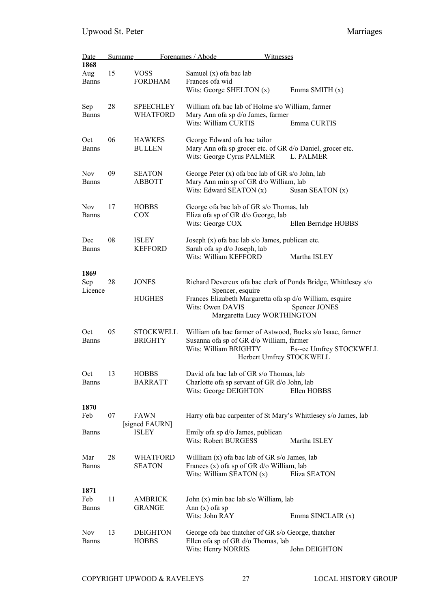| <b>Date</b><br>1868        | <u>Surname</u> |                                     | Forenames / Abode<br>Witnesses                                                                                                                              |                         |
|----------------------------|----------------|-------------------------------------|-------------------------------------------------------------------------------------------------------------------------------------------------------------|-------------------------|
| Aug<br><b>Banns</b>        | 15             | <b>VOSS</b><br><b>FORDHAM</b>       | Samuel (x) of a bac lab<br>Frances of awid                                                                                                                  |                         |
|                            |                |                                     | Wits: George SHELTON $(x)$                                                                                                                                  | Emma SMITH (x)          |
| Sep<br><b>Banns</b>        | 28             | <b>SPEECHLEY</b><br><b>WHATFORD</b> | William of a bac lab of Holme s/o William, farmer<br>Mary Ann ofa sp d/o James, farmer                                                                      |                         |
|                            |                |                                     | Wits: William CURTIS                                                                                                                                        | Emma CURTIS             |
| Oct<br><b>Banns</b>        | 06             | <b>HAWKES</b><br><b>BULLEN</b>      | George Edward ofa bac tailor<br>Mary Ann ofa sp grocer etc. of GR d/o Daniel, grocer etc.<br>Wits: George Cyrus PALMER                                      | L. PALMER               |
| <b>Nov</b>                 | 09             | SEATON                              | George Peter $(x)$ of a bac lab of GR s/o John, lab                                                                                                         |                         |
| <b>Banns</b>               |                | ABBOTT                              | Mary Ann min sp of GR d/o William, lab<br>Wits: Edward SEATON (x)                                                                                           | Susan SEATON (x)        |
| <b>Nov</b>                 | 17             | <b>HOBBS</b>                        | George of a bac lab of GR s/o Thomas, lab                                                                                                                   |                         |
| <b>Banns</b>               |                | COX                                 | Eliza ofa sp of GR d/o George, lab<br>Wits: George COX                                                                                                      | Ellen Berridge HOBBS    |
| Dec                        | 08             | <b>ISLEY</b>                        | Joseph $(x)$ of a bac lab s/o James, publican etc.                                                                                                          |                         |
| <b>Banns</b>               |                | <b>KEFFORD</b>                      | Sarah ofa sp d/o Joseph, lab<br>Wits: William KEFFORD                                                                                                       | Martha ISLEY            |
| 1869<br>Sep                | 28             | <b>JONES</b>                        | Richard Devereux of a bac clerk of Ponds Bridge, Whittlesey s/o                                                                                             |                         |
| Licence                    |                | <b>HUGHES</b>                       | Spencer, esquire<br>Frances Elizabeth Margaretta ofa sp d/o William, esquire<br>Wits: Owen DAVIS<br>Margaretta Lucy WORTHINGTON                             | Spencer JONES           |
| Oct<br><b>Banns</b>        | 05             | <b>STOCKWELL</b><br><b>BRIGHTY</b>  | William ofa bac farmer of Astwood, Bucks s/o Isaac, farmer<br>Susanna ofa sp of GR d/o William, farmer<br>Wits: William BRIGHTY<br>Herbert Umfrey STOCKWELL | Es--ce Umfrey STOCKWELL |
|                            |                |                                     |                                                                                                                                                             |                         |
| Oct<br><b>Banns</b>        | 13             | <b>HOBBS</b><br><b>BARRATT</b>      | David of a bac lab of GR s/o Thomas, lab<br>Charlotte of asp servant of GR d/o John, lab<br>Wits: George DEIGHTON                                           | Ellen HOBBS             |
| 1870                       |                |                                     |                                                                                                                                                             |                         |
| Feb                        | 07             | <b>FAWN</b><br>[signed FAURN]       | Harry of a bac carpenter of St Mary's Whittlesey s/o James, lab                                                                                             |                         |
| <b>Banns</b>               |                | <b>ISLEY</b>                        | Emily of asp d/o James, publican<br><b>Wits: Robert BURGESS</b>                                                                                             | Martha ISLEY            |
| Mar<br><b>Banns</b>        | 28             | <b>WHATFORD</b><br><b>SEATON</b>    | Willliam $(x)$ of a bac lab of GR s/o James, lab<br>Frances (x) of a sp of GR d/o William, lab                                                              |                         |
|                            |                |                                     | Wits: William SEATON (x)                                                                                                                                    | Eliza SEATON            |
| 1871<br>Feb                | 11             | AMBRICK                             | John (x) min bac lab s/o William, lab                                                                                                                       |                         |
| <b>Banns</b>               |                | <b>GRANGE</b>                       | Ann $(x)$ of a sp                                                                                                                                           |                         |
|                            |                |                                     | Wits: John RAY                                                                                                                                              | Emma SINCLAIR (x)       |
| <b>Nov</b><br><b>Banns</b> | 13             | <b>DEIGHTON</b>                     | George of a bac thatcher of GR s/o George, thatcher<br>Ellen of a sp of GR d/o Thomas, lab                                                                  |                         |
|                            |                | <b>HOBBS</b>                        | Wits: Henry NORRIS                                                                                                                                          | John DEIGHTON           |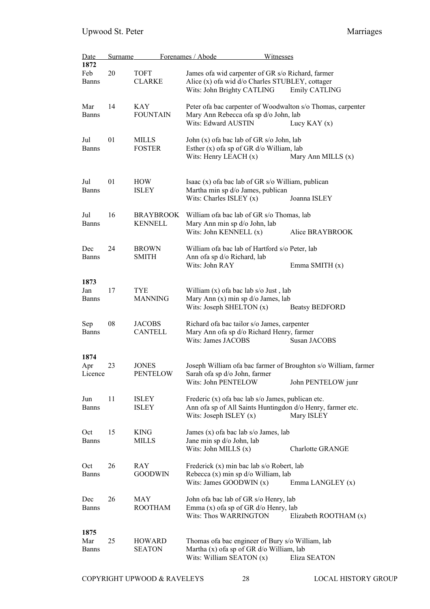| Date<br>1872                | <b>Surname</b> |                                    | Forenames / Abode                                                                                                                            | Witnesses                                                                             |
|-----------------------------|----------------|------------------------------------|----------------------------------------------------------------------------------------------------------------------------------------------|---------------------------------------------------------------------------------------|
| Feb<br><b>Banns</b>         | 20             | <b>TOFT</b><br><b>CLARKE</b>       | James of a wid carpenter of GR s/o Richard, farmer<br>Alice (x) of a wid d/o Charles STUBLEY, cottager<br>Wits: John Brighty CATLING         | Emily CATLING                                                                         |
| Mar<br>Banns                | 14             | <b>KAY</b><br><b>FOUNTAIN</b>      | Mary Ann Rebecca ofa sp d/o John, lab<br>Wits: Edward AUSTIN                                                                                 | Peter of a bac carpenter of Woodwalton s/o Thomas, carpenter<br>Lucy KAY $(x)$        |
| Jul<br><b>Banns</b>         | 01             | MILLS<br><b>FOSTER</b>             | John (x) of a bac lab of GR s/o John, lab<br>Esther $(x)$ of a sp of GR $d$ /o William, lab<br>Wits: Henry LEACH $(x)$                       | Mary Ann MILLS (x)                                                                    |
| Jul<br><b>Banns</b>         | 01             | HOW<br><b>ISLEY</b>                | Isaac (x) of a bac lab of GR s/o William, publican<br>Martha min sp d/o James, publican<br>Wits: Charles ISLEY $(x)$                         | Joanna ISLEY                                                                          |
| Jul<br><b>Banns</b>         | 16             | <b>BRAYBROOK</b><br><b>KENNELL</b> | William of a bac lab of GR s/o Thomas, lab<br>Mary Ann min sp d/o John, lab<br>Wits: John KENNELL (x)                                        | Alice BRAYBROOK                                                                       |
| Dec<br><b>Banns</b>         | 24             | <b>BROWN</b><br><b>SMITH</b>       | William of a bac lab of Hartford s/o Peter, lab<br>Ann ofa sp d/o Richard, lab<br>Wits: John RAY                                             | Emma SMITH (x)                                                                        |
| 1873<br>Jan<br>Banns        | 17             | <b>TYE</b><br><b>MANNING</b>       | William (x) of a bac lab s/o Just, lab<br>Mary Ann (x) min sp d/o James, lab<br>Wits: Joseph SHELTON (x)                                     | <b>Beatsy BEDFORD</b>                                                                 |
| Sep<br><b>Banns</b>         | 08             | <b>JACOBS</b><br><b>CANTELL</b>    | Richard of a bac tailor s/o James, carpenter<br>Mary Ann ofa sp d/o Richard Henry, farmer<br>Wits: James JACOBS                              | Susan JACOBS                                                                          |
| 1874<br>Apr<br>Licence      | 23             | <b>JONES</b><br>PENTELOW           | Sarah ofa sp d/o John, farmer<br>Wits: John PENTELOW                                                                                         | Joseph William of a bac farmer of Broughton s/o William, farmer<br>John PENTELOW junr |
| Jun<br><b>Banns</b>         | 11             | ISLEY<br><b>ISLEY</b>              | Frederic (x) of a bac lab s/o James, publican etc.<br>Ann ofa sp of All Saints Huntingdon d/o Henry, farmer etc.<br>Wits: Joseph ISLEY $(x)$ | Mary ISLEY                                                                            |
| Oct<br><b>Banns</b>         | 15             | <b>KING</b><br><b>MILLS</b>        | James $(x)$ of a bac lab s/o James, lab<br>Jane min sp d/o John, lab<br>Wits: John MILLS $(x)$                                               | <b>Charlotte GRANGE</b>                                                               |
| Oct<br><b>Banns</b>         | 26             | RAY<br><b>GOODWIN</b>              | Frederick (x) min bac lab s/o Robert, lab<br>Rebecca (x) min sp d/o William, lab<br>Wits: James GOODWIN $(x)$                                | Emma LANGLEY (x)                                                                      |
| Dec<br><b>Banns</b>         | 26             | MAY<br><b>ROOTHAM</b>              | John of a bac lab of GR s/o Henry, lab<br>Emma $(x)$ of a sp of GR $d$ /o Henry, lab<br>Wits: Thos WARRINGTON                                | Elizabeth ROOTHAM $(x)$                                                               |
| 1875<br>Mar<br><b>Banns</b> | 25             | <b>HOWARD</b><br><b>SEATON</b>     | Thomas of a bac engineer of Bury s/o William, lab<br>Martha (x) of a sp of GR d/o William, lab<br>Wits: William SEATON $(x)$                 | Eliza SEATON                                                                          |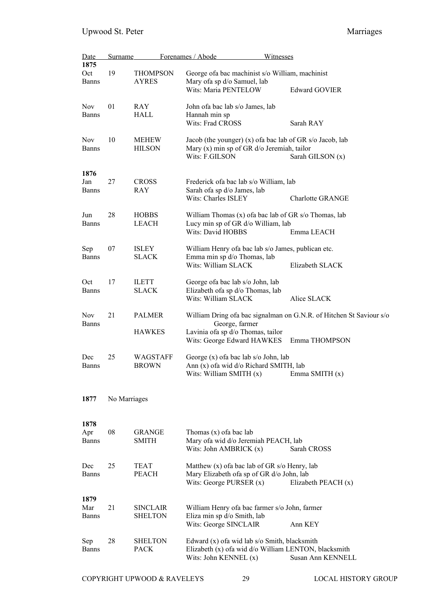| Date                | Surname      |                                   | Forenames / Abode                                                                             | Witnesses                                                           |
|---------------------|--------------|-----------------------------------|-----------------------------------------------------------------------------------------------|---------------------------------------------------------------------|
| 1875<br>Oct         | 19           | <b>THOMPSON</b>                   |                                                                                               | George of a bac machinist s/o William, machinist                    |
| <b>Banns</b>        |              | AYRES                             | Mary ofa sp d/o Samuel, lab                                                                   |                                                                     |
|                     |              |                                   | Wits: Maria PENTELOW                                                                          | <b>Edward GOVIER</b>                                                |
| <b>Nov</b>          | 01           | RAY                               | John ofa bac lab s/o James, lab                                                               |                                                                     |
| <b>Banns</b>        |              | HALL                              | Hannah min sp                                                                                 |                                                                     |
|                     |              |                                   | Wits: Frad CROSS                                                                              | Sarah RAY                                                           |
| <b>Nov</b>          | 10           | MEHEW                             |                                                                                               | Jacob (the younger) $(x)$ of a bac lab of GR s/o Jacob, lab         |
| <b>Banns</b>        |              | <b>HILSON</b>                     | Mary $(x)$ min sp of GR $d$ /o Jeremiah, tailor<br>Wits: F.GILSON                             | Sarah GILSON (x)                                                    |
| 1876                |              |                                   |                                                                                               |                                                                     |
| Jan                 | 27           | <b>CROSS</b>                      | Frederick of a bac lab s/o William, lab                                                       |                                                                     |
| <b>Banns</b>        |              | RAY                               | Sarah ofa sp d/o James, lab<br>Wits: Charles ISLEY                                            | <b>Charlotte GRANGE</b>                                             |
| Jun                 | 28           | <b>HOBBS</b>                      |                                                                                               | William Thomas $(x)$ of a bac lab of GR s/o Thomas, lab             |
| <b>Banns</b>        |              | LEACH                             | Lucy min sp of GR d/o William, lab<br>Wits: David HOBBS                                       |                                                                     |
|                     |              |                                   |                                                                                               | Emma LEACH                                                          |
| Sep<br><b>Banns</b> | 07           | ISLEY<br><b>SLACK</b>             | Emma min sp d/o Thomas, lab                                                                   | William Henry ofa bac lab s/o James, publican etc.                  |
|                     |              |                                   | Wits: William SLACK                                                                           | Elizabeth SLACK                                                     |
| Oct                 | 17           | ILETT                             | George ofa bac lab s/o John, lab                                                              |                                                                     |
| <b>Banns</b>        |              | <b>SLACK</b>                      | Elizabeth of as p d/o Thomas, lab<br>Wits: William SLACK                                      | Alice SLACK                                                         |
| <b>Nov</b>          | 21           | <b>PALMER</b>                     |                                                                                               | William Dring ofa bac signalman on G.N.R. of Hitchen St Saviour s/o |
| <b>Banns</b>        |              |                                   | George, farmer                                                                                |                                                                     |
|                     |              | <b>HAWKES</b>                     | Lavinia ofa sp d/o Thomas, tailor                                                             | Wits: George Edward HAWKES Emma THOMPSON                            |
| Dec                 | 25           | WAGSTAFF                          | George (x) of a bac lab s/o John, lab                                                         |                                                                     |
| <b>Banns</b>        |              | <b>BROWN</b>                      | Ann (x) of a wid d/o Richard SMITH, lab<br>Wits: William SMITH (x)                            |                                                                     |
|                     |              |                                   |                                                                                               | Emma SMITH (x)                                                      |
| 1877                | No Marriages |                                   |                                                                                               |                                                                     |
| 1878                |              |                                   |                                                                                               |                                                                     |
| Apr                 | 08           | <b>GRANGE</b>                     | Thomas $(x)$ of a bac lab                                                                     |                                                                     |
| <b>Banns</b>        |              | <b>SMITH</b>                      | Mary ofa wid d/o Jeremiah PEACH, lab<br>Wits: John AMBRICK $(x)$                              | Sarah CROSS                                                         |
|                     |              |                                   |                                                                                               |                                                                     |
| Dec<br><b>Banns</b> | 25           | TEAT<br><b>PEACH</b>              | Matthew $(x)$ of a bac lab of GR s/o Henry, lab<br>Mary Elizabeth of a sp of GR d/o John, lab |                                                                     |
|                     |              |                                   | Wits: George PURSER $(x)$                                                                     | Elizabeth PEACH $(x)$                                               |
| 1879                |              |                                   |                                                                                               |                                                                     |
| Mar                 | 21           | <b>SINCLAIR</b><br><b>SHELTON</b> | William Henry of a bac farmer s/o John, farmer<br>Eliza min sp d/o Smith, lab                 |                                                                     |
| <b>Banns</b>        |              |                                   | Wits: George SINCLAIR                                                                         | Ann KEY                                                             |
| Sep                 | 28           | <b>SHELTON</b>                    | Edward (x) of a wid lab s/o Smith, blacksmith                                                 |                                                                     |
| <b>Banns</b>        |              | <b>PACK</b>                       |                                                                                               | Elizabeth (x) ofa wid d/o William LENTON, blacksmith                |
|                     |              |                                   | Wits: John KENNEL (x)                                                                         | Susan Ann KENNELL                                                   |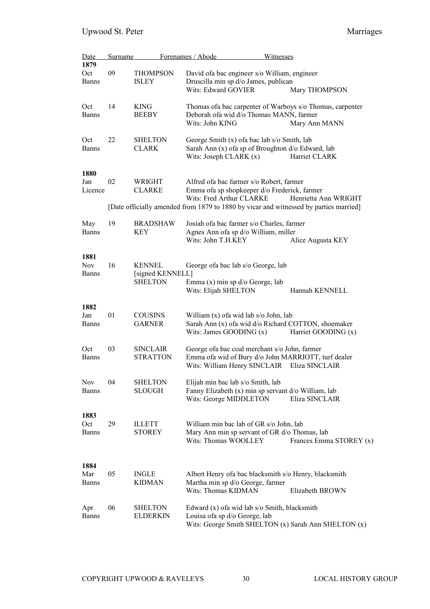| <b>Date</b>  | <b>Surname</b> |                  | Forenames / Abode<br>Witnesses                                                        |                         |
|--------------|----------------|------------------|---------------------------------------------------------------------------------------|-------------------------|
| 1879         |                |                  |                                                                                       |                         |
| Oct          | 09             | <b>THOMPSON</b>  | David of a bac engineer s/o William, engineer                                         |                         |
| <b>Banns</b> |                | <b>ISLEY</b>     | Druscilla min sp d/o James, publican                                                  |                         |
|              |                |                  | Wits: Edward GOVIER                                                                   | Mary THOMPSON           |
|              |                |                  |                                                                                       |                         |
| Oct          | 14             | <b>KING</b>      | Thomas of a bac carpenter of Warboys s/o Thomas, carpenter                            |                         |
| <b>Banns</b> |                | <b>BEEBY</b>     | Deborah ofa wid d/o Thomas MANN, farmer                                               |                         |
|              |                |                  | Wits: John KING                                                                       | Mary Ann MANN           |
|              |                |                  |                                                                                       |                         |
| Oct          | 22             |                  | George Smith (x) of a bac lab s/o Smith, lab                                          |                         |
|              |                | <b>SHELTON</b>   |                                                                                       |                         |
| <b>Banns</b> |                | <b>CLARK</b>     | Sarah Ann (x) ofa sp of Broughton d/o Edward, lab                                     |                         |
|              |                |                  | Wits: Joseph CLARK $(x)$                                                              | Harriet CLARK           |
|              |                |                  |                                                                                       |                         |
| 1880         |                |                  |                                                                                       |                         |
| Jan          | 02             | WRIGHT           | Alfred of a bac farmer s/o Robert, farmer                                             |                         |
| Licence      |                | <b>CLARKE</b>    | Emma ofa sp shopkeeper d/o Frederick, farmer                                          |                         |
|              |                |                  | Wits: Fred Arthur CLARKE                                                              | Henrietta Ann WRIGHT    |
|              |                |                  | [Date officially amended from 1879 to 1880 by vicar and witnessed by parties married] |                         |
|              |                |                  |                                                                                       |                         |
| May          | 19             | <b>BRADSHAW</b>  | Josiah ofa bac farmer s/o Charles, farmer                                             |                         |
| <b>Banns</b> |                | KEY              | Agnes Ann ofa sp d/o William, miller                                                  |                         |
|              |                |                  | Wits: John T.H.KEY                                                                    | Alice Augusta KEY       |
|              |                |                  |                                                                                       |                         |
| 1881         |                |                  |                                                                                       |                         |
| <b>Nov</b>   | 16             | <b>KENNEL</b>    | George of a bac lab s/o George, lab                                                   |                         |
| <b>Banns</b> |                | [signed KENNELL] |                                                                                       |                         |
|              |                | <b>SHELTON</b>   | Emma $(x)$ min sp $d$ o George, lab                                                   |                         |
|              |                |                  | Wits: Elijah SHELTON                                                                  | Hannah KENNELL          |
|              |                |                  |                                                                                       |                         |
| 1882         |                |                  |                                                                                       |                         |
| Jan          | 01             | <b>COUSINS</b>   | William (x) of a wid lab s/o John, lab                                                |                         |
|              |                |                  |                                                                                       |                         |
| <b>Banns</b> |                | <b>GARNER</b>    | Sarah Ann (x) ofa wid d/o Richard COTTON, shoemaker                                   |                         |
|              |                |                  | Wits: James GOODING $(x)$                                                             | Harriet GOODING (x)     |
|              |                |                  |                                                                                       |                         |
| Oct          | 03             | <b>SINCLAIR</b>  | George ofa bac coal merchant s/o John, farmer                                         |                         |
| <b>Banns</b> |                | <b>STRATTON</b>  | Emma ofa wid of Bury d/o John MARRIOTT, turf dealer                                   |                         |
|              |                |                  | Wits: William Henry SINCLAIR Eliza SINCLAIR                                           |                         |
|              |                |                  |                                                                                       |                         |
| Nov          | 04             | <b>SHELTON</b>   | Elijah min bac lab s/o Smith, lab                                                     |                         |
| <b>Banns</b> |                | <b>SLOUGH</b>    | Fanny Elizabeth (x) min sp servant d/o William, lab                                   |                         |
|              |                |                  | Wits: George MIDDLETON                                                                | Eliza SINCLAIR          |
|              |                |                  |                                                                                       |                         |
| 1883         |                |                  |                                                                                       |                         |
| Oct          | 29             | <b>ILLETT</b>    | William min bac lab of GR s/o John, lab                                               |                         |
| <b>Banns</b> |                | <b>STOREY</b>    | Mary Ann min sp servant of GR d/o Thomas, lab                                         |                         |
|              |                |                  | Wits: Thomas WOOLLEY                                                                  | Frances Emma STOREY (x) |
|              |                |                  |                                                                                       |                         |
|              |                |                  |                                                                                       |                         |
| 1884         |                |                  |                                                                                       |                         |
| Mar          | 05             | <b>INGLE</b>     | Albert Henry ofa bac blacksmith s/o Henry, blacksmith                                 |                         |
| <b>Banns</b> |                | <b>KIDMAN</b>    | Martha min sp d/o George, farmer                                                      |                         |
|              |                |                  | Wits: Thomas KIDMAN                                                                   | Elizabeth BROWN         |
|              |                |                  |                                                                                       |                         |
|              | 06             |                  |                                                                                       |                         |
| Apr          |                | <b>SHELTON</b>   | Edward $(x)$ of a wid lab s/o Smith, blacksmith                                       |                         |
| <b>Banns</b> |                | ELDERKIN         | Louisa ofa sp d/o George, lab                                                         |                         |
|              |                |                  | Wits: George Smith SHELTON (x) Sarah Ann SHELTON (x)                                  |                         |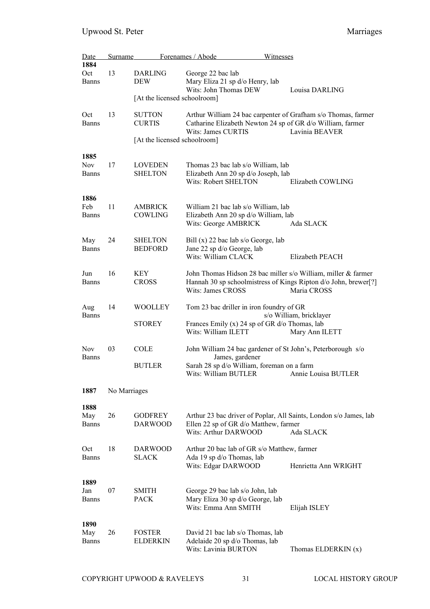| Date<br>1884                       | Surname      |                                                                | Forenames / Abode<br>Witnesses                                                                                                                                           |                                           |
|------------------------------------|--------------|----------------------------------------------------------------|--------------------------------------------------------------------------------------------------------------------------------------------------------------------------|-------------------------------------------|
| Oct<br><b>Banns</b>                | 13           | <b>DARLING</b><br>DEW<br>[At the licensed schoolroom]          | George 22 bac lab<br>Mary Eliza 21 sp d/o Henry, lab<br>Wits: John Thomas DEW                                                                                            | Louisa DARLING                            |
| Oct<br><b>Banns</b>                | 13           | <b>SUTTON</b><br><b>CURTIS</b><br>[At the licensed schoolroom] | Arthur William 24 bac carpenter of Grafham s/o Thomas, farmer<br>Catharine Elizabeth Newton 24 sp of GR d/o William, farmer<br>Wits: James CURTIS                        | Lavinia BEAVER                            |
| 1885<br><b>Nov</b><br><b>Banns</b> | 17           | <b>LOVEDEN</b><br><b>SHELTON</b>                               | Thomas 23 bac lab s/o William, lab<br>Elizabeth Ann 20 sp d/o Joseph, lab<br><b>Wits: Robert SHELTON</b>                                                                 | Elizabeth COWLING                         |
| 1886<br>Feb<br>Banns               | 11           | <b>AMBRICK</b><br>COWLING                                      | William 21 bac lab s/o William, lab<br>Elizabeth Ann 20 sp d/o William, lab<br>Wits: George AMBRICK                                                                      | Ada SLACK                                 |
| May<br><b>Banns</b>                | 24           | <b>SHELTON</b><br><b>BEDFORD</b>                               | Bill $(x)$ 22 bac lab s/o George, lab<br>Jane 22 sp d/o George, lab<br>Wits: William CLACK                                                                               | Elizabeth PEACH                           |
| Jun<br><b>Banns</b>                | 16           | KEY<br><b>CROSS</b>                                            | John Thomas Hidson 28 bac miller s/o William, miller & farmer<br>Hannah 30 sp schoolmistress of Kings Ripton d/o John, brewer[?]<br><b>Wits: James CROSS</b>             | Maria CROSS                               |
| Aug<br><b>Banns</b>                | 14           | WOOLLEY<br><b>STOREY</b>                                       | Tom 23 bac driller in iron foundry of GR<br>Frances Emily (x) 24 sp of GR d/o Thomas, lab<br>Wits: William ILETT                                                         | s/o William, bricklayer<br>Mary Ann ILETT |
| <b>Nov</b><br>Banns                | 03           | <b>COLE</b><br><b>BUTLER</b>                                   | John William 24 bac gardener of St John's, Peterborough s/o<br>James, gardener<br>Sarah 28 sp d/o William, foreman on a farm<br>Wits: William BUTLER Annie Louisa BUTLER |                                           |
| 1887                               | No Marriages |                                                                |                                                                                                                                                                          |                                           |
| 1888<br>May<br><b>Banns</b>        | 26           | <b>GODFREY</b><br><b>DARWOOD</b>                               | Arthur 23 bac driver of Poplar, All Saints, London s/o James, lab<br>Ellen 22 sp of GR d/o Matthew, farmer<br>Wits: Arthur DARWOOD                                       | Ada SLACK                                 |
| Oct<br><b>Banns</b>                | 18           | <b>DARWOOD</b><br><b>SLACK</b>                                 | Arthur 20 bac lab of GR s/o Matthew, farmer<br>Ada 19 sp d/o Thomas, lab<br>Wits: Edgar DARWOOD                                                                          | Henrietta Ann WRIGHT                      |
| 1889<br>Jan<br>Banns               | 07           | <b>SMITH</b><br><b>PACK</b>                                    | George 29 bac lab s/o John, lab<br>Mary Eliza 30 sp d/o George, lab<br>Wits: Emma Ann SMITH                                                                              | Elijah ISLEY                              |
| 1890<br>May<br><b>Banns</b>        | 26           | <b>FOSTER</b><br><b>ELDERKIN</b>                               | David 21 bac lab s/o Thomas, lab<br>Adelaide 20 sp d/o Thomas, lab<br>Wits: Lavinia BURTON                                                                               | Thomas ELDERKIN (x)                       |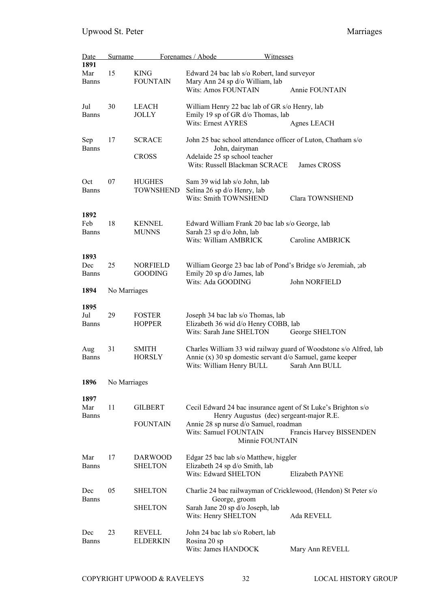| <b>Date</b><br>1891         | <b>Surname</b> |                                   | Forenames / Abode                                                                                                                               | Witnesses                                                                                                                             |
|-----------------------------|----------------|-----------------------------------|-------------------------------------------------------------------------------------------------------------------------------------------------|---------------------------------------------------------------------------------------------------------------------------------------|
| Mar<br><b>Banns</b>         | 15             | <b>KING</b><br><b>FOUNTAIN</b>    | Edward 24 bac lab s/o Robert, land surveyor<br>Mary Ann 24 sp d/o William, lab<br><b>Wits: Amos FOUNTAIN</b>                                    | Annie FOUNTAIN                                                                                                                        |
| Jul<br><b>Banns</b>         | 30             | <b>LEACH</b><br>JOLLY             | William Henry 22 bac lab of GR s/o Henry, lab<br>Emily 19 sp of GR d/o Thomas, lab<br><b>Wits: Ernest AYRES</b>                                 | Agnes LEACH                                                                                                                           |
| Sep<br><b>Banns</b>         | 17             | <b>SCRACE</b><br><b>CROSS</b>     | John 25 bac school attendance officer of Luton, Chatham s/o<br>John, dairyman<br>Adelaide 25 sp school teacher<br>Wits: Russell Blackman SCRACE | James CROSS                                                                                                                           |
| Oct<br><b>Banns</b>         | 07             | <b>HUGHES</b><br><b>TOWNSHEND</b> | Sam 39 wid lab s/o John, lab<br>Selina 26 sp d/o Henry, lab<br>Wits: Smith TOWNSHEND                                                            | Clara TOWNSHEND                                                                                                                       |
| 1892<br>Feb<br><b>Banns</b> | 18             | <b>KENNEL</b><br><b>MUNNS</b>     | Edward William Frank 20 bac lab s/o George, lab<br>Sarah 23 sp d/o John, lab<br>Wits: William AMBRICK                                           | <b>Caroline AMBRICK</b>                                                                                                               |
| 1893<br>Dec<br><b>Banns</b> | 25             | <b>NORFIELD</b><br><b>GOODING</b> | Emily 20 sp d/o James, lab<br>Wits: Ada GOODING                                                                                                 | William George 23 bac lab of Pond's Bridge s/o Jeremiah, ;ab<br>John NORFIELD                                                         |
| 1894                        | No Marriages   |                                   |                                                                                                                                                 |                                                                                                                                       |
| 1895<br>Jul<br><b>Banns</b> | 29             | <b>FOSTER</b><br><b>HOPPER</b>    | Joseph 34 bac lab s/o Thomas, lab<br>Elizabeth 36 wid d/o Henry COBB, lab<br>Wits: Sarah Jane SHELTON                                           | George SHELTON                                                                                                                        |
| Aug<br><b>Banns</b>         | 31             | <b>SMITH</b><br><b>HORSLY</b>     | Annie (x) 30 sp domestic servant d/o Samuel, game keeper<br>Wits: William Henry BULL                                                            | Charles William 33 wid railway guard of Woodstone s/o Alfred, lab<br>Sarah Ann BULL                                                   |
| 1896                        | No Marriages   |                                   |                                                                                                                                                 |                                                                                                                                       |
| 1897<br>Mar<br><b>Banns</b> | 11             | <b>GILBERT</b><br><b>FOUNTAIN</b> | Annie 28 sp nurse d/o Samuel, roadman<br>Wits: Samuel FOUNTAIN<br>Minnie FOUNTAIN                                                               | Cecil Edward 24 bac insurance agent of St Luke's Brighton s/o<br>Henry Augustus (dec) sergeant-major R.E.<br>Francis Harvey BISSENDEN |
| Mar<br><b>Banns</b>         | 17             | <b>DARWOOD</b><br><b>SHELTON</b>  | Edgar 25 bac lab s/o Matthew, higgler<br>Elizabeth 24 sp d/o Smith, lab<br>Wits: Edward SHELTON                                                 | Elizabeth PAYNE                                                                                                                       |
| Dec<br>Banns                | 05             | <b>SHELTON</b><br><b>SHELTON</b>  | George, groom<br>Sarah Jane 20 sp d/o Joseph, lab<br>Wits: Henry SHELTON                                                                        | Charlie 24 bac railwayman of Cricklewood, (Hendon) St Peter s/o<br>Ada REVELL                                                         |
| Dec<br><b>Banns</b>         | 23             | <b>REVELL</b><br>ELDERKIN         | John 24 bac lab s/o Robert, lab<br>Rosina 20 sp<br>Wits: James HANDOCK                                                                          | Mary Ann REVELL                                                                                                                       |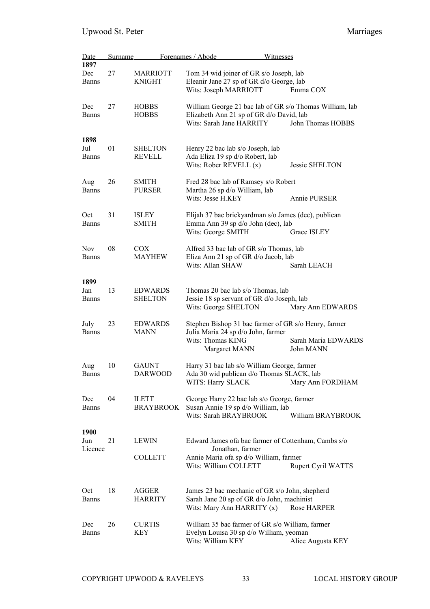| Date<br>1897                | <b>Surname</b> |                                  | Forenames / Abode                                                                                                                           | <b>Witnesses</b>                                                             |
|-----------------------------|----------------|----------------------------------|---------------------------------------------------------------------------------------------------------------------------------------------|------------------------------------------------------------------------------|
| Dec<br><b>Banns</b>         | 27             | <b>MARRIOTT</b><br><b>KNIGHT</b> | Tom 34 wid joiner of GR s/o Joseph, lab<br>Eleanir Jane 27 sp of GR d/o George, lab<br>Wits: Joseph MARRIOTT                                | Emma COX                                                                     |
| Dec<br><b>Banns</b>         | 27             | <b>HOBBS</b><br><b>HOBBS</b>     | Elizabeth Ann 21 sp of GR d/o David, lab<br>Wits: Sarah Jane HARRITY                                                                        | William George 21 bac lab of GR s/o Thomas William, lab<br>John Thomas HOBBS |
| 1898<br>Jul<br><b>Banns</b> | 01             | <b>SHELTON</b><br><b>REVELL</b>  | Henry 22 bac lab s/o Joseph, lab<br>Ada Eliza 19 sp d/o Robert, lab<br>Wits: Rober REVELL $(x)$                                             | Jessie SHELTON                                                               |
| Aug<br><b>Banns</b>         | 26             | <b>SMITH</b><br><b>PURSER</b>    | Fred 28 bac lab of Ramsey s/o Robert<br>Martha 26 sp d/o William, lab<br>Wits: Jesse H.KEY                                                  | Annie PURSER                                                                 |
| Oct<br><b>Banns</b>         | 31             | ISLEY<br><b>SMITH</b>            | Elijah 37 bac brickyardman s/o James (dec), publican<br>Emma Ann 39 sp d/o John (dec), lab<br>Wits: George SMITH                            | Grace ISLEY                                                                  |
| <b>Nov</b><br><b>Banns</b>  | 08             | <b>COX</b><br><b>MAYHEW</b>      | Alfred 33 bac lab of GR s/o Thomas, lab<br>Eliza Ann 21 sp of GR d/o Jacob, lab<br>Wits: Allan SHAW                                         | Sarah LEACH                                                                  |
| 1899<br>Jan<br><b>Banns</b> | 13             | <b>EDWARDS</b><br><b>SHELTON</b> | Thomas 20 bac lab s/o Thomas, lab<br>Jessie 18 sp servant of GR d/o Joseph, lab<br>Wits: George SHELTON                                     | Mary Ann EDWARDS                                                             |
| July<br><b>Banns</b>        | 23             | <b>EDWARDS</b><br><b>MANN</b>    | Stephen Bishop 31 bac farmer of GR s/o Henry, farmer<br>Julia Maria 24 sp d/o John, farmer<br>Wits: Thomas KING<br>Margaret MANN            | Sarah Maria EDWARDS<br>John MANN                                             |
| Aug<br>Banns                | 10             | <b>GAUNT</b><br><b>DARWOOD</b>   | Harry 31 bac lab s/o William George, farmer<br>Ada 30 wid publican d/o Thomas SLACK, lab<br>WITS: Harry SLACK                               | Mary Ann FORDHAM                                                             |
| Dec<br><b>Banns</b>         | 04             | <b>ILETT</b><br><b>BRAYBROOK</b> | George Harry 22 bac lab s/o George, farmer<br>Susan Annie 19 sp d/o William, lab<br>Wits: Sarah BRAYBROOK                                   | William BRAYBROOK                                                            |
| 1900<br>Jun<br>Licence      | 21             | <b>LEWIN</b><br><b>COLLETT</b>   | Edward James of a bac farmer of Cottenham, Cambs s/o<br>Jonathan, farmer<br>Annie Maria ofa sp d/o William, farmer<br>Wits: William COLLETT | <b>Rupert Cyril WATTS</b>                                                    |
| Oct<br><b>Banns</b>         | 18             | <b>AGGER</b><br><b>HARRITY</b>   | James 23 bac mechanic of GR s/o John, shepherd<br>Sarah Jane 20 sp of GR d/o John, machinist<br>Wits: Mary Ann HARRITY (x)                  | Rose HARPER                                                                  |
| Dec<br><b>Banns</b>         | 26             | <b>CURTIS</b><br>KEY             | William 35 bac farmer of GR s/o William, farmer<br>Evelyn Louisa 30 sp d/o William, yeoman<br>Wits: William KEY                             | Alice Augusta KEY                                                            |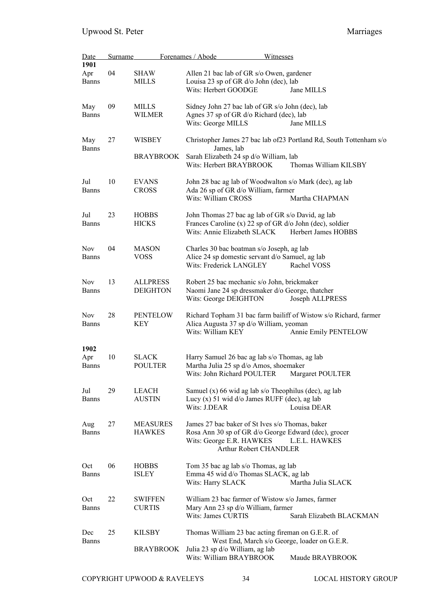| <b>Date</b>         | <b>Surname</b> |                  | Forenames / Abode                                                 | <b>Witnesses</b>                                                    |
|---------------------|----------------|------------------|-------------------------------------------------------------------|---------------------------------------------------------------------|
| 1901                |                |                  |                                                                   |                                                                     |
| Apr                 | 04             | SHAW             | Allen 21 bac lab of GR s/o Owen, gardener                         |                                                                     |
| <b>Banns</b>        |                | MILLS            | Louisa 23 sp of GR d/o John (dec), lab                            |                                                                     |
|                     |                |                  | Wits: Herbert GOODGE                                              | Jane MILLS                                                          |
| May                 | 09             | MILLS            | Sidney John 27 bac lab of GR s/o John (dec), lab                  |                                                                     |
| Banns               |                | <b>WILMER</b>    | Agnes 37 sp of GR d/o Richard (dec), lab                          |                                                                     |
|                     |                |                  | Wits: George MILLS                                                | Jane MILLS                                                          |
| May<br><b>Banns</b> | 27             | WISBEY           | James, lab                                                        | Christopher James 27 bac lab of 23 Portland Rd, South Tottenham s/o |
|                     |                | <b>BRAYBROOK</b> | Sarah Elizabeth 24 sp d/o William, lab<br>Wits: Herbert BRAYBROOK | Thomas William KILSBY                                               |
| Jul                 | 10             | <b>EVANS</b>     |                                                                   | John 28 bac ag lab of Woodwalton s/o Mark (dec), ag lab             |
| <b>Banns</b>        |                | <b>CROSS</b>     | Ada 26 sp of GR d/o William, farmer                               |                                                                     |
|                     |                |                  | Wits: William CROSS                                               | Martha CHAPMAN                                                      |
| Jul                 | 23             | <b>HOBBS</b>     | John Thomas 27 bac ag lab of GR s/o David, ag lab                 |                                                                     |
| <b>Banns</b>        |                | <b>HICKS</b>     |                                                                   | Frances Caroline (x) 22 sp of GR d/o John (dec), soldier            |
|                     |                |                  | Wits: Annie Elizabeth SLACK                                       | Herbert James HOBBS                                                 |
| <b>Nov</b>          | 04             | <b>MASON</b>     | Charles 30 bac boatman s/o Joseph, ag lab                         |                                                                     |
| <b>Banns</b>        |                | <b>VOSS</b>      | Alice 24 sp domestic servant d/o Samuel, ag lab                   |                                                                     |
|                     |                |                  | Wits: Frederick LANGLEY                                           | Rachel VOSS                                                         |
| <b>Nov</b>          | 13             | <b>ALLPRESS</b>  | Robert 25 bac mechanic s/o John, brickmaker                       |                                                                     |
| <b>Banns</b>        |                | <b>DEIGHTON</b>  | Naomi Jane 24 sp dressmaker d/o George, thatcher                  |                                                                     |
|                     |                |                  | Wits: George DEIGHTON                                             | Joseph ALLPRESS                                                     |
| <b>Nov</b>          | 28             | <b>PENTELOW</b>  |                                                                   | Richard Topham 31 bac farm bailiff of Wistow s/o Richard, farmer    |
| <b>Banns</b>        |                | KEY              | Alica Augusta 37 sp d/o William, yeoman                           |                                                                     |
|                     |                |                  | Wits: William KEY                                                 | Annie Emily PENTELOW                                                |
| 1902                |                |                  |                                                                   |                                                                     |
| Apr                 | 10             | <b>SLACK</b>     | Harry Samuel 26 bac ag lab s/o Thomas, ag lab                     |                                                                     |
| <b>Banns</b>        |                | <b>POULTER</b>   | Martha Julia 25 sp d/o Amos, shoemaker                            |                                                                     |
|                     |                |                  | Wits: John Richard POULTER                                        | Margaret POULTER                                                    |
| Jul                 | 29             | <b>LEACH</b>     |                                                                   | Samuel (x) 66 wid ag lab s/o Theophilus (dec), ag lab               |
| <b>Banns</b>        |                | <b>AUSTIN</b>    | Lucy $(x)$ 51 wid d/o James RUFF (dec), ag lab                    |                                                                     |
|                     |                |                  | Wits: J.DEAR                                                      | Louisa DEAR                                                         |
| Aug                 | 27             | <b>MEASURES</b>  | James 27 bac baker of St Ives s/o Thomas, baker                   |                                                                     |
| <b>Banns</b>        |                | <b>HAWKES</b>    |                                                                   | Rosa Ann 30 sp of GR d/o George Edward (dec), grocer                |
|                     |                |                  | Wits: George E.R. HAWKES                                          | L.E.L. HAWKES                                                       |
|                     |                |                  | <b>Arthur Robert CHANDLER</b>                                     |                                                                     |
| Oct                 | 06             | <b>HOBBS</b>     | Tom 35 bac ag lab s/o Thomas, ag lab                              |                                                                     |
| <b>Banns</b>        |                | <b>ISLEY</b>     | Emma 45 wid d/o Thomas SLACK, ag lab                              |                                                                     |
|                     |                |                  | Wits: Harry SLACK                                                 | Martha Julia SLACK                                                  |
| Oct                 | 22             | <b>SWIFFEN</b>   | William 23 bac farmer of Wistow s/o James, farmer                 |                                                                     |
| <b>Banns</b>        |                | <b>CURTIS</b>    | Mary Ann 23 sp d/o William, farmer                                |                                                                     |
|                     |                |                  | Wits: James CURTIS                                                | Sarah Elizabeth BLACKMAN                                            |
| Dec                 | 25             | <b>KILSBY</b>    | Thomas William 23 bac acting fireman on G.E.R. of                 |                                                                     |
| <b>Banns</b>        |                |                  |                                                                   | West End, March s/o George, loader on G.E.R.                        |
|                     |                | <b>BRAYBROOK</b> | Julia 23 sp d/o William, ag lab<br>Wits: William BRAYBROOK        | Maude BRAYBROOK                                                     |
|                     |                |                  |                                                                   |                                                                     |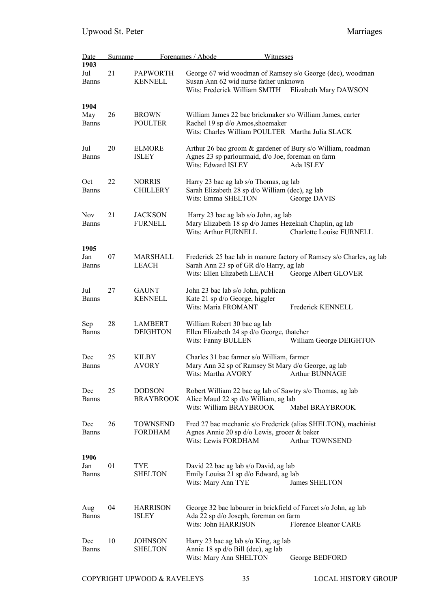| Date<br>1903                | Surname |                                   | Forenames / Abode                                                                                                      | Witnesses                                                                                       |
|-----------------------------|---------|-----------------------------------|------------------------------------------------------------------------------------------------------------------------|-------------------------------------------------------------------------------------------------|
| Jul<br><b>Banns</b>         | 21      | <b>PAPWORTH</b><br><b>KENNELL</b> | Susan Ann 62 wid nurse father unknown<br>Wits: Frederick William SMITH                                                 | George 67 wid woodman of Ramsey s/o George (dec), woodman<br>Elizabeth Mary DAWSON              |
| 1904<br>May<br><b>Banns</b> | 26      | <b>BROWN</b><br><b>POULTER</b>    | Rachel 19 sp d/o Amos, shoemaker<br>Wits: Charles William POULTER Martha Julia SLACK                                   | William James 22 bac brickmaker s/o William James, carter                                       |
| Jul<br><b>Banns</b>         | 20      | <b>ELMORE</b><br><b>ISLEY</b>     | Agnes 23 sp parlourmaid, d/o Joe, foreman on farm<br>Wits: Edward ISLEY                                                | Arthur 26 bac groom & gardener of Bury s/o William, roadman<br>Ada ISLEY                        |
| Oct<br><b>Banns</b>         | 22      | <b>NORRIS</b><br><b>CHILLERY</b>  | Harry 23 bac ag lab s/o Thomas, ag lab<br>Sarah Elizabeth 28 sp d/o William (dec), ag lab<br>Wits: Emma SHELTON        | George DAVIS                                                                                    |
| <b>Nov</b><br><b>Banns</b>  | 21      | <b>JACKSON</b><br><b>FURNELL</b>  | Harry 23 bac ag lab s/o John, ag lab<br>Wits: Arthur FURNELL                                                           | Mary Elizabeth 18 sp d/o James Hezekiah Chaplin, ag lab<br>Charlotte Louise FURNELL             |
| 1905<br>Jan<br><b>Banns</b> | 07      | MARSHALL<br>LEACH                 | Sarah Ann 23 sp of GR d/o Harry, ag lab<br>Wits: Ellen Elizabeth LEACH                                                 | Frederick 25 bac lab in manure factory of Ramsey s/o Charles, ag lab<br>George Albert GLOVER    |
| Jul<br><b>Banns</b>         | 27      | <b>GAUNT</b><br><b>KENNELL</b>    | John 23 bac lab s/o John, publican<br>Kate 21 sp d/o George, higgler<br>Wits: Maria FROMANT                            | Frederick KENNELL                                                                               |
| Sep<br><b>Banns</b>         | 28      | <b>LAMBERT</b><br><b>DEIGHTON</b> | William Robert 30 bac ag lab<br>Ellen Elizabeth 24 sp d/o George, thatcher<br>Wits: Fanny BULLEN                       | William George DEIGHTON                                                                         |
| Dec<br><b>Banns</b>         | 25      | <b>KILBY</b><br><b>AVORY</b>      | Charles 31 bac farmer s/o William, farmer<br>Mary Ann 32 sp of Ramsey St Mary d/o George, ag lab<br>Wits: Martha AVORY | Arthur BUNNAGE                                                                                  |
| Dec<br>Banns                | 25      | <b>DODSON</b><br><b>BRAYBROOK</b> | Alice Maud 22 sp d/o William, ag lab<br>Wits: William BRAYBROOK                                                        | Robert William 22 bac ag lab of Sawtry s/o Thomas, ag lab<br>Mabel BRAYBROOK                    |
| Dec<br>Banns                | 26      | <b>TOWNSEND</b><br><b>FORDHAM</b> | Agnes Annie 20 sp d/o Lewis, grocer & baker<br>Wits: Lewis FORDHAM                                                     | Fred 27 bac mechanic s/o Frederick (alias SHELTON), machinist<br><b>Arthur TOWNSEND</b>         |
| 1906<br>Jan<br>Banns        | 01      | TYE<br><b>SHELTON</b>             | David 22 bac ag lab s/o David, ag lab<br>Emily Louisa 21 sp d/o Edward, ag lab<br>Wits: Mary Ann TYE                   | James SHELTON                                                                                   |
| Aug<br>Banns                | 04      | <b>HARRISON</b><br><b>ISLEY</b>   | Ada 22 sp d/o Joseph, foreman on farm<br>Wits: John HARRISON                                                           | George 32 bac labourer in brickfield of Farcet s/o John, ag lab<br><b>Florence Eleanor CARE</b> |
| Dec<br>Banns                | 10      | <b>JOHNSON</b><br><b>SHELTON</b>  | Harry 23 bac ag lab s/o King, ag lab<br>Annie 18 sp d/o Bill (dec), ag lab<br>Wits: Mary Ann SHELTON                   | George BEDFORD                                                                                  |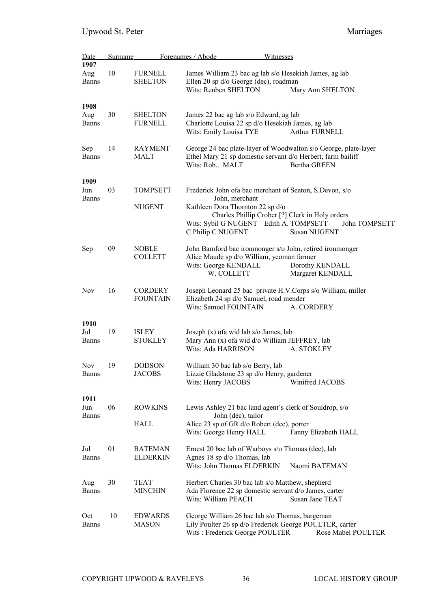| Date<br>1907                | <b>Surname</b> |                                   | Forenames / Abode<br>Witnesses                                                                                                                                       |                                     |
|-----------------------------|----------------|-----------------------------------|----------------------------------------------------------------------------------------------------------------------------------------------------------------------|-------------------------------------|
| Aug<br><b>Banns</b>         | 10             | <b>FURNELL</b><br><b>SHELTON</b>  | James William 23 bac ag lab s/o Hesekiah James, ag lab<br>Ellen 20 sp d/o George (dec), roadman<br>Wits: Reuben SHELTON<br>Mary Ann SHELTON                          |                                     |
| 1908<br>Aug<br><b>Banns</b> | 30             | <b>SHELTON</b><br><b>FURNELL</b>  | James 22 bac ag lab s/o Edward, ag lab<br>Charlotte Louisa 22 sp d/o Hesekiah James, ag lab<br>Wits: Emily Louisa TYE                                                | Arthur FURNELL                      |
| Sep<br><b>Banns</b>         | 14             | RAYMENT<br>MALT                   | George 24 bac plate-layer of Woodwalton s/o George, plate-layer<br>Ethel Mary 21 sp domestic servant d/o Herbert, farm bailiff<br>Wits: Rob., MALT                   | Bertha GREEN                        |
| 1909<br>Jun                 | 03             | <b>TOMPSETT</b>                   | Frederick John of a bac merchant of Seaton, S.Devon, s/o                                                                                                             |                                     |
| <b>Banns</b>                |                | <b>NUGENT</b>                     | John, merchant<br>Kathleen Dora Thornton 22 sp d/o<br>Charles Phillip Crober [?] Clerk in Holy orders<br>Wits: Sybil G NUGENT Edith A. TOMPSETT<br>C Philip C NUGENT | John TOMPSETT<br>Susan NUGENT       |
| Sep                         | 09             | <b>NOBLE</b><br><b>COLLETT</b>    | John Bamford bac ironmonger s/o John, retired ironmonger<br>Alice Maude sp d/o William, yeoman farmer<br>Wits: George KENDALL<br>W. COLLETT                          | Dorothy KENDALL<br>Margaret KENDALL |
| <b>Nov</b>                  | 16             | <b>CORDERY</b><br><b>FOUNTAIN</b> | Joseph Leonard 25 bac private H.V. Corps s/o William, miller<br>Elizabeth 24 sp d/o Samuel, road mender<br>Wits: Samuel FOUNTAIN                                     | A. CORDERY                          |
| 1910<br>Jul<br><b>Banns</b> | 19             | <b>ISLEY</b><br><b>STOKLEY</b>    | Joseph $(x)$ of a wid lab s/o James, lab<br>Mary Ann (x) of a wid d/o William JEFFREY, lab<br>Wits: Ada HARRISON                                                     | A. STOKLEY                          |
| <b>Nov</b><br><b>Banns</b>  | 19             | <b>DODSON</b><br><b>JACOBS</b>    | William 30 bac lab s/o Berry, lab<br>Lizzie Gladstone 23 sp d/o Henry, gardener<br>Wits: Henry JACOBS                                                                | Winifred JACOBS                     |
| 1911<br>Jun<br><b>Banns</b> | 06             | <b>ROWKINS</b><br><b>HALL</b>     | Lewis Ashley 21 bac land agent's clerk of Souldrop, s/o<br>John (dec), tailor<br>Alice 23 sp of GR d/o Robert (dec), porter<br>Wits: George Henry HALL               | Fanny Elizabeth HALL                |
| Jul<br><b>Banns</b>         | 01             | <b>BATEMAN</b><br><b>ELDERKIN</b> | Ernest 20 bac lab of Warboys s/o Thomas (dec), lab<br>Agnes 18 sp d/o Thomas, lab<br>Wits: John Thomas ELDERKIN                                                      | Naomi BATEMAN                       |
| Aug<br><b>Banns</b>         | 30             | TEAT<br><b>MINCHIN</b>            | Herbert Charles 30 bac lab s/o Matthew, shepherd<br>Ada Florence 22 sp domestic servant d/o James, carter<br>Wits: William PEACH                                     | Susan Jane TEAT                     |
| Oct<br><b>Banns</b>         | 10             | <b>EDWARDS</b><br><b>MASON</b>    | George William 26 bac lab s/o Thomas, bargeman<br>Lily Poulter 26 sp d/o Frederick George POULTER, carter<br>Wits: Frederick George POULTER                          | Rose Mabel POULTER                  |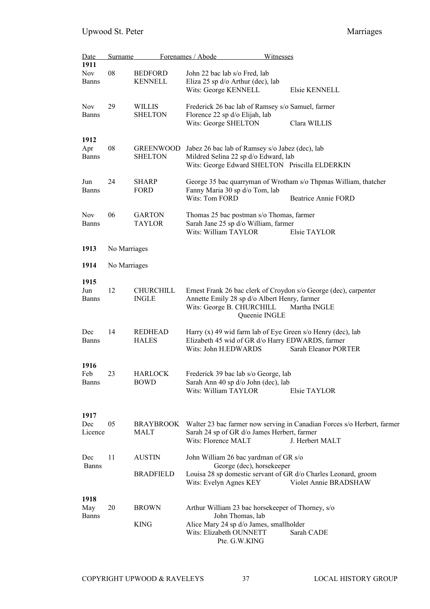| <b>Date</b>                        | Surname      |                                    | Forenames / Abode                                                                                                                                            | Witnesses                                                                                                                                 |
|------------------------------------|--------------|------------------------------------|--------------------------------------------------------------------------------------------------------------------------------------------------------------|-------------------------------------------------------------------------------------------------------------------------------------------|
| 1911<br><b>Nov</b><br><b>Banns</b> | 08           | <b>BEDFORD</b><br><b>KENNELL</b>   | John 22 bac lab s/o Fred, lab<br>Eliza 25 sp d/o Arthur (dec), lab<br>Wits: George KENNELL                                                                   | Elsie KENNELL                                                                                                                             |
| <b>Nov</b><br><b>Banns</b>         | 29           | <b>WILLIS</b><br><b>SHELTON</b>    | Frederick 26 bac lab of Ramsey s/o Samuel, farmer<br>Florence 22 sp d/o Elijah, lab<br>Wits: George SHELTON                                                  | Clara WILLIS                                                                                                                              |
| 1912<br>Apr<br><b>Banns</b>        | 08           | <b>GREENWOOD</b><br><b>SHELTON</b> | Jabez 26 bac lab of Ramsey s/o Jabez (dec), lab<br>Mildred Selina 22 sp d/o Edward, lab                                                                      | Wits: George Edward SHELTON Priscilla ELDERKIN                                                                                            |
| Jun<br><b>Banns</b>                | 24           | <b>SHARP</b><br><b>FORD</b>        | Fanny Maria 30 sp d/o Tom, lab<br>Wits: Tom FORD                                                                                                             | George 35 bac quarryman of Wrotham s/o Thpmas William, thatcher<br>Beatrice Annie FORD                                                    |
| <b>Nov</b><br><b>Banns</b>         | 06           | <b>GARTON</b><br>TAYLOR            | Thomas 25 bac postman s/o Thomas, farmer<br>Sarah Jane 25 sp d/o William, farmer<br>Wits: William TAYLOR                                                     | Elsie TAYLOR                                                                                                                              |
| 1913                               | No Marriages |                                    |                                                                                                                                                              |                                                                                                                                           |
| 1914                               | No Marriages |                                    |                                                                                                                                                              |                                                                                                                                           |
| 1915<br>Jun<br><b>Banns</b>        | 12           | CHURCHILL<br><b>INGLE</b>          | Annette Emily 28 sp d/o Albert Henry, farmer<br>Wits: George B. CHURCHILL                                                                                    | Ernest Frank 26 bac clerk of Croydon s/o George (dec), carpenter<br>Martha INGLE<br>Queenie INGLE                                         |
| Dec<br><b>Banns</b>                | 14           | <b>REDHEAD</b><br><b>HALES</b>     | Wits: John H.EDWARDS                                                                                                                                         | Harry $(x)$ 49 wid farm lab of Eye Green s/o Henry (dec), lab<br>Elizabeth 45 wid of GR d/o Harry EDWARDS, farmer<br>Sarah Eleanor PORTER |
| 1916<br>Feb<br><b>Banns</b>        | 23           | <b>HARLOCK</b><br><b>BOWD</b>      | Frederick 39 bac lab s/o George, lab<br>Sarah Ann 40 sp d/o John (dec), lab<br>Wits: William TAYLOR                                                          | Elsie TAYLOR                                                                                                                              |
| 1917<br>Dec<br>Licence             | 05           | <b>BRAYBROOK</b><br>MALT           | Sarah 24 sp of GR d/o James Herbert, farmer<br>Wits: Florence MALT                                                                                           | Walter 23 bac farmer now serving in Canadian Forces s/o Herbert, farmer<br>J. Herbert MALT                                                |
| Dec<br><b>Banns</b>                | 11           | <b>AUSTIN</b><br><b>BRADFIELD</b>  | John William 26 bac yardman of GR s/o<br>George (dec), horsekeeper<br>Wits: Evelyn Agnes KEY                                                                 | Louisa 28 sp domestic servant of GR d/o Charles Leonard, groom<br>Violet Annie BRADSHAW                                                   |
| 1918<br>May<br><b>Banns</b>        | 20           | <b>BROWN</b><br><b>KING</b>        | Arthur William 23 bac horsekeeper of Thorney, s/o<br>John Thomas, lab<br>Alice Mary 24 sp d/o James, smallholder<br>Wits: Elizabeth OUNNETT<br>Pte. G.W.KING | Sarah CADE                                                                                                                                |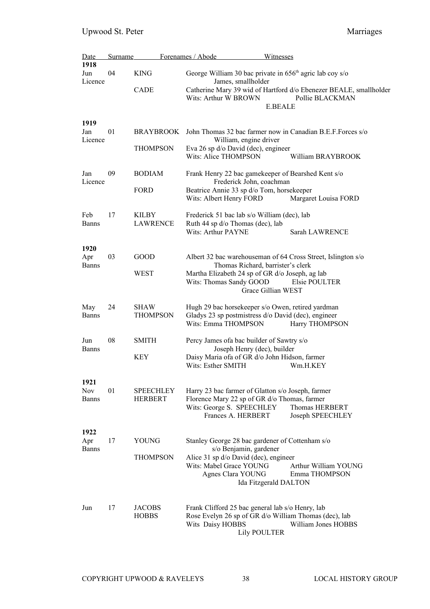| Date                        | <b>Surname</b> |                                    | Forenames / Abode                                                                                                                                                                                     | Witnesses                                                                                              |
|-----------------------------|----------------|------------------------------------|-------------------------------------------------------------------------------------------------------------------------------------------------------------------------------------------------------|--------------------------------------------------------------------------------------------------------|
| 1918<br>Jun<br>Licence      | 04             | <b>KING</b>                        | George William 30 bac private in $656th$ agric lab coy s/o<br>James, smallholder                                                                                                                      |                                                                                                        |
|                             |                | CADE                               | Wits: Arthur W BROWN                                                                                                                                                                                  | Catherine Mary 39 wid of Hartford d/o Ebenezer BEALE, smallholder<br>Pollie BLACKMAN<br><b>E.BEALE</b> |
| 1919<br>Jan<br>Licence      | 01             | BRAYBROOK                          | John Thomas 32 bac farmer now in Canadian B.E.F. Forces s/o<br>William, engine driver                                                                                                                 |                                                                                                        |
|                             |                | <b>THOMPSON</b>                    | Eva 26 sp d/o David (dec), engineer<br>Wits: Alice THOMPSON                                                                                                                                           | William BRAYBROOK                                                                                      |
| Jan<br>Licence              | 09             | <b>BODIAM</b>                      | Frank Henry 22 bac gamekeeper of Bearshed Kent s/o<br>Frederick John, coachman                                                                                                                        |                                                                                                        |
|                             |                | <b>FORD</b>                        | Beatrice Annie 33 sp d/o Tom, horsekeeper<br>Wits: Albert Henry FORD                                                                                                                                  | Margaret Louisa FORD                                                                                   |
| Feb<br><b>Banns</b>         | 17             | <b>KILBY</b><br>LAWRENCE           | Frederick 51 bac lab s/o William (dec), lab<br>Ruth 44 sp d/o Thomas (dec), lab<br><b>Wits: Arthur PAYNE</b>                                                                                          | Sarah LAWRENCE                                                                                         |
| 1920<br>Apr<br><b>Banns</b> | 03             | GOOD<br>WEST                       | Albert 32 bac warehouseman of 64 Cross Street, Islington s/o<br>Thomas Richard, barrister's clerk<br>Martha Elizabeth 24 sp of GR d/o Joseph, ag lab<br>Wits: Thomas Sandy GOOD<br>Grace Gillian WEST | Elsie POULTER                                                                                          |
| May<br><b>Banns</b>         | 24             | <b>SHAW</b><br><b>THOMPSON</b>     | Hugh 29 bac horsekeeper s/o Owen, retired yardman<br>Gladys 23 sp postmistress d/o David (dec), engineer<br>Wits: Emma THOMPSON                                                                       | Harry THOMPSON                                                                                         |
| Jun<br><b>Banns</b>         | 08             | <b>SMITH</b>                       | Percy James of a bac builder of Sawtry s/o<br>Joseph Henry (dec), builder                                                                                                                             |                                                                                                        |
|                             |                | <b>KEY</b>                         | Daisy Maria of a of GR d/o John Hidson, farmer<br>Wits: Esther SMITH                                                                                                                                  | Wm.H.KEY                                                                                               |
| 1921                        |                |                                    |                                                                                                                                                                                                       |                                                                                                        |
| <b>Nov</b><br><b>Banns</b>  | 01             | <b>SPEECHLEY</b><br><b>HERBERT</b> | Harry 23 bac farmer of Glatton s/o Joseph, farmer<br>Florence Mary 22 sp of GR d/o Thomas, farmer<br>Wits: George S. SPEECHLEY<br>Frances A. HERBERT                                                  | Thomas HERBERT<br>Joseph SPEECHLEY                                                                     |
| 1922                        |                |                                    |                                                                                                                                                                                                       |                                                                                                        |
| Apr<br><b>Banns</b>         | 17             | <b>YOUNG</b>                       | Stanley George 28 bac gardener of Cottenham s/o<br>s/o Benjamin, gardener                                                                                                                             |                                                                                                        |
|                             |                | <b>THOMPSON</b>                    | Alice 31 sp d/o David (dec), engineer<br>Wits: Mabel Grace YOUNG<br>Agnes Clara YOUNG<br>Ida Fitzgerald DALTON                                                                                        | Arthur William YOUNG<br>Emma THOMPSON                                                                  |
| Jun                         | 17             | <b>JACOBS</b><br><b>HOBBS</b>      | Frank Clifford 25 bac general lab s/o Henry, lab<br>Rose Evelyn 26 sp of GR d/o William Thomas (dec), lab<br>Wits Daisy HOBBS<br><b>Lily POULTER</b>                                                  | William Jones HOBBS                                                                                    |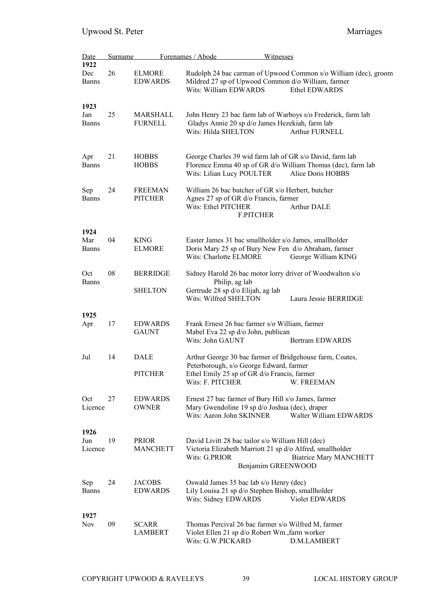| Date                        | <b>Surname</b> |                                   | Forenames / Abode<br><b>Witnesses</b>                                                                                                                 |                                                                                  |
|-----------------------------|----------------|-----------------------------------|-------------------------------------------------------------------------------------------------------------------------------------------------------|----------------------------------------------------------------------------------|
| 1922<br>Dec<br><b>Banns</b> | 26             | <b>ELMORE</b><br><b>EDWARDS</b>   | Mildred 27 sp of Upwood Common d/o William, farmer<br>Wits: William EDWARDS                                                                           | Rudolph 24 bac carman of Upwood Common s/o William (dec), groom<br>Ethel EDWARDS |
| 1923<br>Jan<br><b>Banns</b> | 25             | MARSHALL<br><b>FURNELL</b>        | John Henry 23 bac farm lab of Warboys s/o Frederick, farm lab<br>Gladys Annie 20 sp d/o James Hezekiah, farm lab<br>Wits: Hilda SHELTON               | <b>Arthur FURNELL</b>                                                            |
| Apr<br><b>Banns</b>         | 21             | <b>HOBBS</b><br><b>HOBBS</b>      | George Charles 39 wid farm lab of GR s/o David, farm lab<br>Florence Emma 40 sp of GR d/o William Thomas (dec), farm lab<br>Wits: Lilian Lucy POULTER | Alice Doris HOBBS                                                                |
| Sep<br><b>Banns</b>         | 24             | <b>FREEMAN</b><br><b>PITCHER</b>  | William 26 bac butcher of GR s/o Herbert, butcher<br>Agnes 27 sp of GR d/o Francis, farmer<br>Wits: Ethel PITCHER<br><b>F.PITCHER</b>                 | <b>Arthur DALE</b>                                                               |
| 1924<br>Mar<br><b>Banns</b> | 04             | <b>KING</b><br><b>ELMORE</b>      | Easter James 31 bac smallholder s/o James, smallholder<br>Doris Mary 25 sp of Bury New Fen d/o Abraham, farmer<br>Wits: Charlotte ELMORE              | George William KING                                                              |
| Oct<br><b>Banns</b>         | 08             | <b>BERRIDGE</b><br><b>SHELTON</b> | Sidney Harold 26 bac motor lorry driver of Woodwalton s/o<br>Philip, ag lab<br>Gertrude 28 sp d/o Elijah, ag lab<br>Wits: Wilfred SHELTON             | Laura Jessie BERRIDGE                                                            |
|                             |                |                                   |                                                                                                                                                       |                                                                                  |
| 1925<br>Apr                 | 17             | <b>EDWARDS</b><br><b>GAUNT</b>    | Frank Ernest 26 bac farmer s/o William, farmer<br>Mabel Eva 22 sp d/o John, publican<br>Wits: John GAUNT                                              | Bertram EDWARDS                                                                  |
| Jul                         | 14             | DALE                              | Arthur George 30 bac farmer of Bridgehouse farm, Coates,<br>Peterborough, s/o George Edward, farmer                                                   |                                                                                  |
|                             |                | <b>PITCHER</b>                    | Ethel Emily 25 sp of GR d/o Francis, farmer<br>Wits: F. PITCHER                                                                                       | W. FREEMAN                                                                       |
| Oct<br>Licence              | 27             | <b>EDWARDS</b><br><b>OWNER</b>    | Ernest 27 bac farmer of Bury Hill s/o James, farmer<br>Mary Gwendoline 19 sp d/o Joshua (dec), draper<br>Wits: Aaron John SKINNER                     | Walter William EDWARDS                                                           |
|                             |                |                                   |                                                                                                                                                       |                                                                                  |
| 1926<br>Jun<br>Licence      | 19             | <b>PRIOR</b><br><b>MANCHETT</b>   | David Livitt 28 bac tailor s/o William Hill (dec)<br>Victoria Elizabeth Marriott 21 sp d/o Alfred, smallholder<br>Wits: G.PRIOR<br>Benjamim GREENWOOD | <b>Biatrice Mary MANCHETT</b>                                                    |
| Sep<br><b>Banns</b>         | 24             | <b>JACOBS</b><br><b>EDWARDS</b>   | Oswald James 35 bac lab s/o Henry (dec)<br>Lily Louisa 21 sp d/o Stephen Bishop, smallholder<br>Wits: Sidney EDWARDS                                  | Violet EDWARDS                                                                   |
| 1927<br><b>Nov</b>          | 09             | <b>SCARR</b><br><b>LAMBERT</b>    | Thomas Percival 26 bac farmer s/o Wilfred M, farmer<br>Violet Ellen 21 sp d/o Robert Wm., farm worker<br>Wits: G.W.PICKARD                            | D.M.LAMBERT                                                                      |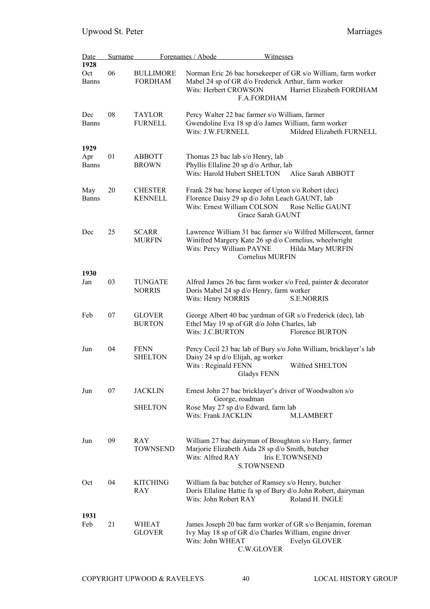| <b>Date</b><br>1928         | <b>Surname</b> |                                    | Forenames / Abode<br><b>Witnesses</b>                                                                                                                                                                 |
|-----------------------------|----------------|------------------------------------|-------------------------------------------------------------------------------------------------------------------------------------------------------------------------------------------------------|
| Oct<br>Banns                | 06             | <b>BULLIMORE</b><br><b>FORDHAM</b> | Norman Eric 26 bac horsekeeper of GR s/o William, farm worker<br>Mabel 24 sp of GR d/o Frederick Arthur, farm worker<br>Wits: Herbert CROWSON<br>Harriet Elizabeth FORDHAM<br>F.A.FORDHAM             |
| Dec<br>Banns                | 08             | <b>TAYLOR</b><br><b>FURNELL</b>    | Percy Walter 22 bac farmer s/o William, farmer<br>Gwendoline Eva 18 sp d/o James William, farm worker<br>Mildred Elizabeth FURNELL<br>Wits: J.W.FURNELL                                               |
| 1929<br>Apr<br><b>Banns</b> | 01             | <b>ABBOTT</b><br><b>BROWN</b>      | Thomas 23 bac lab s/o Henry, lab<br>Phyllis Ellaline 20 sp d/o Arthur, lab<br>Wits: Harold Hubert SHELTON<br>Alice Sarah ABBOTT                                                                       |
| May<br><b>Banns</b>         | 20             | <b>CHESTER</b><br><b>KENNELL</b>   | Frank 28 bac horse keeper of Upton s/o Robert (dec)<br>Florence Daisy 29 sp d/o John Leach GAUNT, lab<br>Wits: Ernest William COLSON<br>Rose Nellie GAUNT<br>Grace Sarah GAUNT                        |
| Dec                         | 25             | <b>SCARR</b><br><b>MURFIN</b>      | Lawrence William 31 bac farmer s/o Wilfred Millerscent, farmer<br>Winifred Margery Kate 26 sp d/o Cornelius, wheelwright<br>Wits: Percy William PAYNE<br>Hilda Mary MURFIN<br><b>Cornelius MURFIN</b> |
| 1930<br>Jan                 | 03             | TUNGATE<br><b>NORRIS</b>           | Alfred James 26 bac farm worker s/o Fred, painter & decorator<br>Doris Mabel 24 sp d/o Henry, farm worker<br>Wits: Henry NORRIS<br><b>S.E.NORRIS</b>                                                  |
| Feb                         | 07             | <b>GLOVER</b><br><b>BURTON</b>     | George Albert 40 bac yardman of GR s/o Frederick (dec), lab<br>Ethel May 19 sp of GR d/o John Charles, lab<br>Wits: J.C.BURTON<br><b>Florence BURTON</b>                                              |
| Jun                         | 04             | <b>FENN</b><br><b>SHELTON</b>      | Percy Cecil 23 bac lab of Bury s/o John William, bricklayer's lab<br>Daisy 24 sp d/o Elijah, ag worker<br>Wits: Reginald FENN<br>Wilfred SHELTON<br>Gladys FENN                                       |
| Jun                         | 07             | <b>JACKLIN</b><br><b>SHELTON</b>   | Ernest John 27 bac bricklayer's driver of Woodwalton s/o<br>George, roadman<br>Rose May 27 sp d/o Edward, farm lab<br>Wits: Frank JACKLIN<br><b>M.LAMBERT</b>                                         |
| Jun                         | 09             | <b>RAY</b><br><b>TOWNSEND</b>      | William 27 bac dairyman of Broughton s/o Harry, farmer<br>Marjorie Elizabeth Aida 28 sp d/o Smith, butcher<br>Wits: Alfred RAY<br><b>Iris E.TOWNSEND</b><br><b>S.TOWNSEND</b>                         |
| Oct                         | 04             | <b>KITCHING</b><br>RAY             | William fa bac butcher of Ramsey s/o Henry, butcher<br>Doris Ellaline Hattie fa sp of Bury d/o John Robert, dairyman<br>Wits: John Robert RAY<br>Roland H. INGLE                                      |
| 1931<br>Feb                 | 21             | WHEAT<br><b>GLOVER</b>             | James Joseph 20 bac farm worker of GR s/o Benjamin, foreman<br>Ivy May 18 sp of GR d/o Charles William, engine driver<br>Wits: John WHEAT<br>Evelyn GLOVER<br>C.W.GLOVER                              |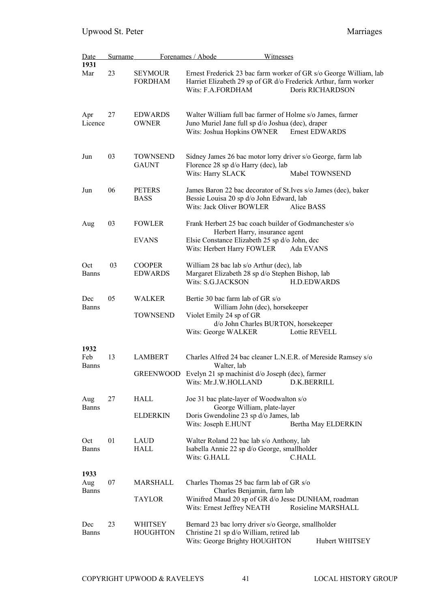| Date                        | Surname |                                    | Forenames / Abode<br>Witnesses                                                                                                                                                        |
|-----------------------------|---------|------------------------------------|---------------------------------------------------------------------------------------------------------------------------------------------------------------------------------------|
| 1931<br>Mar                 | 23      | SEYMOUR<br><b>FORDHAM</b>          | Ernest Frederick 23 bac farm worker of GR s/o George William, lab<br>Harriet Elizabeth 29 sp of GR d/o Frederick Arthur, farm worker<br>Wits: F.A.FORDHAM<br>Doris RICHARDSON         |
| Apr<br>Licence              | 27      | <b>EDWARDS</b><br><b>OWNER</b>     | Walter William full bac farmer of Holme s/o James, farmer<br>Juno Muriel Jane full sp d/o Joshua (dec), draper<br>Wits: Joshua Hopkins OWNER<br><b>Ernest EDWARDS</b>                 |
| Jun                         | 03      | <b>TOWNSEND</b><br><b>GAUNT</b>    | Sidney James 26 bac motor lorry driver s/o George, farm lab<br>Florence 28 sp d/o Harry (dec), lab<br>Wits: Harry SLACK<br>Mabel TOWNSEND                                             |
| Jun                         | 06      | <b>PETERS</b><br><b>BASS</b>       | James Baron 22 bac decorator of St. Ives s/o James (dec), baker<br>Bessie Louisa 20 sp d/o John Edward, lab<br>Wits: Jack Oliver BOWLER<br>Alice BASS                                 |
| Aug                         | 03      | <b>FOWLER</b><br><b>EVANS</b>      | Frank Herbert 25 bac coach builder of Godmanchester s/o<br>Herbert Harry, insurance agent<br>Elsie Constance Elizabeth 25 sp d/o John, dec<br>Wits: Herbert Harry FOWLER<br>Ada EVANS |
| Oct<br><b>Banns</b>         | 03      | <b>COOPER</b><br><b>EDWARDS</b>    | William 28 bac lab s/o Arthur (dec), lab<br>Margaret Elizabeth 28 sp d/o Stephen Bishop, lab<br>Wits: S.G.JACKSON<br><b>H.D.EDWARDS</b>                                               |
| Dec<br>Banns                | 05      | WALKER<br>TOWNSEND                 | Bertie 30 bac farm lab of GR s/o<br>William John (dec), horsekeeper<br>Violet Emily 24 sp of GR<br>d/o John Charles BURTON, horsekeeper<br>Wits: George WALKER<br>Lottie REVELL       |
| 1932<br>Feb<br><b>Banns</b> | 13      | <b>LAMBERT</b><br><b>GREENWOOD</b> | Charles Alfred 24 bac cleaner L.N.E.R. of Mereside Ramsey s/o<br>Walter, lab<br>Evelyn 21 sp machinist d/o Joseph (dec), farmer<br>Wits: Mr.J.W.HOLLAND<br>D.K.BERRILL                |
| Aug<br><b>Banns</b>         | 27      | HALL<br><b>ELDERKIN</b>            | Joe 31 bac plate-layer of Woodwalton s/o<br>George William, plate-layer<br>Doris Gwendoline 23 sp d/o James, lab<br>Wits: Joseph E.HUNT<br>Bertha May ELDERKIN                        |
| Oct<br><b>Banns</b>         | 01      | LAUD<br>HALL                       | Walter Roland 22 bac lab s/o Anthony, lab<br>Isabella Annie 22 sp d/o George, smallholder<br>Wits: G.HALL<br><b>C.HALL</b>                                                            |
| 1933<br>Aug<br><b>Banns</b> | 07      | MARSHALL<br><b>TAYLOR</b>          | Charles Thomas 25 bac farm lab of GR s/o<br>Charles Benjamin, farm lab<br>Winifred Maud 20 sp of GR d/o Jesse DUNHAM, roadman<br>Wits: Ernest Jeffrey NEATH<br>Rosieline MARSHALL     |
| Dec<br><b>Banns</b>         | 23      | WHITSEY<br><b>HOUGHTON</b>         | Bernard 23 bac lorry driver s/o George, smallholder<br>Christine 21 sp d/o William, retired lab<br>Wits: George Brighty HOUGHTON<br>Hubert WHITSEY                                    |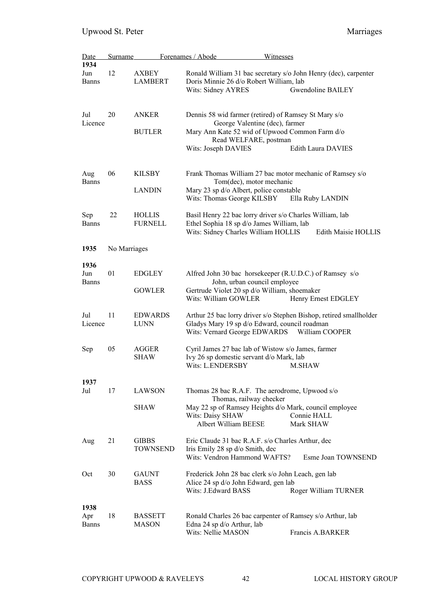| <u>Date</u>  | <b>Surname</b> |                                                                                      | Forenames / Abode<br>Witnesses                                                                  |                            |  |
|--------------|----------------|--------------------------------------------------------------------------------------|-------------------------------------------------------------------------------------------------|----------------------------|--|
| 1934         |                |                                                                                      |                                                                                                 |                            |  |
| Jun          | 12             | <b>AXBEY</b>                                                                         | Ronald William 31 bac secretary s/o John Henry (dec), carpenter                                 |                            |  |
| Banns        |                | <b>LAMBERT</b>                                                                       | Doris Minnie 26 d/o Robert William, lab                                                         |                            |  |
|              |                |                                                                                      | Wits: Sidney AYRES                                                                              | <b>Gwendoline BAILEY</b>   |  |
|              |                |                                                                                      |                                                                                                 |                            |  |
|              |                |                                                                                      |                                                                                                 |                            |  |
| Jul          | 20             | <b>ANKER</b>                                                                         | Dennis 58 wid farmer (retired) of Ramsey St Mary s/o                                            |                            |  |
| Licence      |                |                                                                                      | George Valentine (dec), farmer<br>Mary Ann Kate 52 wid of Upwood Common Farm d/o                |                            |  |
|              |                | <b>BUTLER</b>                                                                        | Read WELFARE, postman                                                                           |                            |  |
|              |                |                                                                                      | Wits: Joseph DAVIES                                                                             | Edith Laura DAVIES         |  |
|              |                |                                                                                      |                                                                                                 |                            |  |
|              |                |                                                                                      |                                                                                                 |                            |  |
| Aug          | 06             | <b>KILSBY</b>                                                                        | Frank Thomas William 27 bac motor mechanic of Ramsey s/o                                        |                            |  |
| <b>Banns</b> |                |                                                                                      | Tom(dec), motor mechanic                                                                        |                            |  |
|              |                | <b>LANDIN</b>                                                                        | Mary 23 sp d/o Albert, police constable                                                         |                            |  |
|              |                |                                                                                      | Wits: Thomas George KILSBY                                                                      | Ella Ruby LANDIN           |  |
|              |                |                                                                                      |                                                                                                 |                            |  |
| Sep          | 22             | <b>HOLLIS</b>                                                                        | Basil Henry 22 bac lorry driver s/o Charles William, lab                                        |                            |  |
| <b>Banns</b> |                | <b>FURNELL</b>                                                                       | Ethel Sophia 18 sp d/o James William, lab                                                       |                            |  |
|              |                |                                                                                      | Wits: Sidney Charles William HOLLIS                                                             | <b>Edith Maisie HOLLIS</b> |  |
|              |                |                                                                                      |                                                                                                 |                            |  |
| 1935         | No Marriages   |                                                                                      |                                                                                                 |                            |  |
|              |                |                                                                                      |                                                                                                 |                            |  |
| 1936         |                |                                                                                      |                                                                                                 |                            |  |
| Jun<br>Banns | 01             | <b>EDGLEY</b>                                                                        | Alfred John 30 bac horsekeeper (R.U.D.C.) of Ramsey s/o                                         |                            |  |
|              |                | <b>GOWLER</b>                                                                        | John, urban council employee<br>Gertrude Violet 20 sp d/o William, shoemaker                    |                            |  |
|              |                |                                                                                      | Wits: William GOWLER                                                                            | Henry Ernest EDGLEY        |  |
|              |                |                                                                                      |                                                                                                 |                            |  |
| Jul          | 11             | <b>EDWARDS</b><br>Arthur 25 bac lorry driver s/o Stephen Bishop, retired smallholder |                                                                                                 |                            |  |
| Licence      |                | <b>LUNN</b>                                                                          | Gladys Mary 19 sp d/o Edward, council roadman<br>Wits: Vernard George EDWARDS<br>William COOPER |                            |  |
|              |                |                                                                                      |                                                                                                 |                            |  |
|              |                |                                                                                      |                                                                                                 |                            |  |
| Sep          | 05             | <b>AGGER</b>                                                                         | Cyril James 27 bac lab of Wistow s/o James, farmer                                              |                            |  |
|              |                | <b>SHAW</b>                                                                          | Ivy 26 sp domestic servant d/o Mark, lab                                                        |                            |  |
|              |                |                                                                                      | <b>Wits: L.ENDERSBY</b>                                                                         | <b>M.SHAW</b>              |  |
|              |                |                                                                                      |                                                                                                 |                            |  |
| 1937         |                |                                                                                      |                                                                                                 |                            |  |
| Jul          | 17             | LAWSON                                                                               | Thomas 28 bac R.A.F. The aerodrome, Upwood s/o                                                  |                            |  |
|              |                |                                                                                      | Thomas, railway checker                                                                         |                            |  |
|              |                | <b>SHAW</b>                                                                          | May 22 sp of Ramsey Heights d/o Mark, council employee                                          |                            |  |
|              |                |                                                                                      | Wits: Daisy SHAW                                                                                | Connie HALL                |  |
|              |                |                                                                                      | Albert William BEESE                                                                            | Mark SHAW                  |  |
| Aug          | 21             | <b>GIBBS</b>                                                                         | Eric Claude 31 bac R.A.F. s/o Charles Arthur, dec                                               |                            |  |
|              |                | <b>TOWNSEND</b>                                                                      | Iris Emily 28 sp d/o Smith, dec                                                                 |                            |  |
|              |                |                                                                                      | Wits: Vendron Hammond WAFTS?                                                                    | Esme Joan TOWNSEND         |  |
|              |                |                                                                                      |                                                                                                 |                            |  |
| Oct          | 30             | <b>GAUNT</b>                                                                         | Frederick John 28 bac clerk s/o John Leach, gen lab                                             |                            |  |
|              |                | <b>BASS</b>                                                                          | Alice 24 sp d/o John Edward, gen lab                                                            |                            |  |
|              |                |                                                                                      | Wits: J.Edward BASS                                                                             | Roger William TURNER       |  |
|              |                |                                                                                      |                                                                                                 |                            |  |
| 1938         |                |                                                                                      |                                                                                                 |                            |  |
| Apr          | 18             | <b>BASSETT</b>                                                                       | Ronald Charles 26 bac carpenter of Ramsey s/o Arthur, lab                                       |                            |  |
| <b>Banns</b> |                | <b>MASON</b>                                                                         | Edna 24 sp d/o Arthur, lab                                                                      |                            |  |
|              |                |                                                                                      | Wits: Nellie MASON                                                                              | Francis A.BARKER           |  |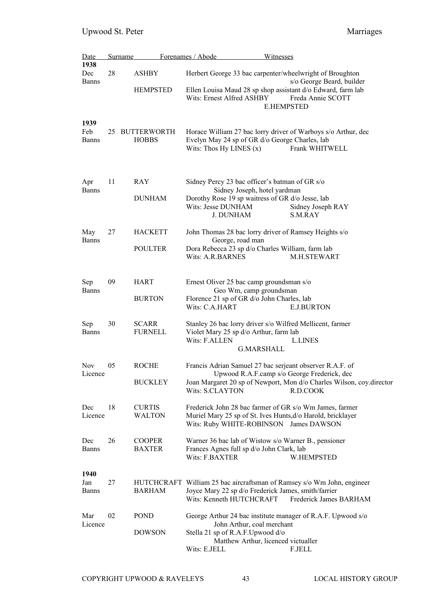| Date                        | <b>Surname</b> |                                | Forenames / Abode<br>Witnesses                                                                                                                                                      |  |
|-----------------------------|----------------|--------------------------------|-------------------------------------------------------------------------------------------------------------------------------------------------------------------------------------|--|
| 1938<br>Dec<br><b>Banns</b> | 28             | <b>ASHBY</b>                   | Herbert George 33 bac carpenter/wheelwright of Broughton<br>s/o George Beard, builder                                                                                               |  |
|                             |                | <b>HEMPSTED</b>                | Ellen Louisa Maud 28 sp shop assistant d/o Edward, farm lab<br>Wits: Ernest Alfred ASHBY<br>Freda Annie SCOTT<br><b>E.HEMPSTED</b>                                                  |  |
| 1939<br>Feb<br>Banns        |                | 25 BUTTERWORTH<br><b>HOBBS</b> | Horace William 27 bac lorry driver of Warboys s/o Arthur, dec<br>Evelyn May 24 sp of GR d/o George Charles, lab<br>Wits: Thos Hy LINES $(x)$<br>Frank WHITWELL                      |  |
| Apr<br><b>Banns</b>         | 11             | <b>RAY</b>                     | Sidney Percy 23 bac officer's batman of GR s/o<br>Sidney Joseph, hotel yardman                                                                                                      |  |
|                             |                | <b>DUNHAM</b>                  | Dorothy Rose 19 sp waitress of GR d/o Jesse, lab<br>Wits: Jesse DUNHAM<br>Sidney Joseph RAY<br><b>J. DUNHAM</b><br>S.M.RAY                                                          |  |
| May<br><b>Banns</b>         | 27             | <b>HACKETT</b>                 | John Thomas 28 bac lorry driver of Ramsey Heights s/o<br>George, road man                                                                                                           |  |
|                             |                | <b>POULTER</b>                 | Dora Rebecca 23 sp d/o Charles William, farm lab<br>Wits: A.R.BARNES<br><b>M.H.STEWART</b>                                                                                          |  |
| Sep                         | 09             | HART                           | Ernest Oliver 25 bac camp groundsman s/o                                                                                                                                            |  |
| <b>Banns</b>                |                | <b>BURTON</b>                  | Geo Wm, camp groundsman<br>Florence 21 sp of GR d/o John Charles, lab<br>Wits: C.A.HART<br><b>E.J.BURTON</b>                                                                        |  |
| Sep<br><b>Banns</b>         | 30             | <b>SCARR</b><br><b>FURNELL</b> | Stanley 26 bac lorry driver s/o Wilfred Mellicent, farmer<br>Violet Mary 25 sp d/o Arthur, farm lab<br>Wits: F.ALLEN<br><b>LLINES</b><br><b>G.MARSHALL</b>                          |  |
| <b>Nov</b><br>Licence       | 05             | <b>ROCHE</b>                   | Francis Adrian Samuel 27 bac serjeant observer R.A.F. of<br>Upwood R.A.F.camp s/o George Frederick, dec                                                                             |  |
|                             |                | <b>BUCKLEY</b>                 | Joan Margaret 20 sp of Newport, Mon d/o Charles Wilson, coy.director<br><b>Wits: S.CLAYTON</b><br>R.D.COOK                                                                          |  |
| Dec<br>Licence              | 18             | <b>CURTIS</b><br><b>WALTON</b> | Frederick John 28 bac farmer of GR s/o Wm James, farmer<br>Muriel Mary 25 sp of St. Ives Hunts, d/o Harold, bricklayer<br>Wits: Ruby WHITE-ROBINSON James DAWSON                    |  |
| Dec<br><b>Banns</b>         | 26             | <b>COOPER</b><br><b>BAXTER</b> | Warner 36 bac lab of Wistow s/o Warner B., pensioner<br>Frances Agnes full sp d/o John Clark, lab<br>Wits: F.BAXTER<br>W.HEMPSTED                                                   |  |
| 1940<br>Jan<br><b>Banns</b> | 27             | <b>BARHAM</b>                  | HUTCHCRAFT William 25 bac aircraftsman of Ramsey s/o Wm John, engineer<br>Joyce Mary 22 sp d/o Frederick James, smith/farrier<br>Wits: Kenneth HUTCHCRAFT<br>Frederick James BARHAM |  |
| Mar<br>Licence              | 02             | <b>POND</b>                    | George Arthur 24 bac institute manager of R.A.F. Upwood s/o<br>John Arthur, coal merchant                                                                                           |  |
|                             |                | <b>DOWSON</b>                  | Stella 21 sp of R.A.F.Upwood d/o<br>Matthew Arthur, licenced victualler<br>Wits: E.JELL<br><b>F.JELL</b>                                                                            |  |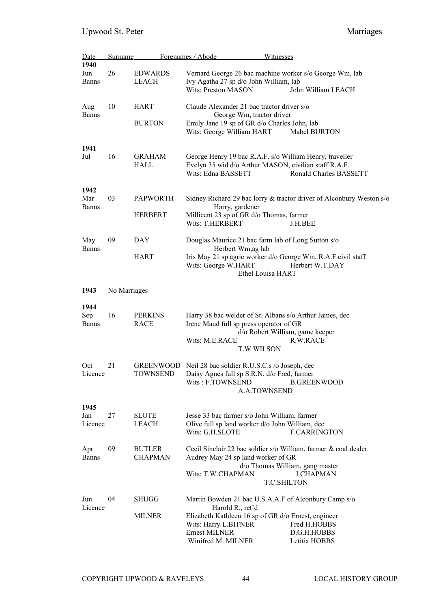| Date                | Surname      |                               | Forenames / Abode                                                       | Witnesses                                                            |  |
|---------------------|--------------|-------------------------------|-------------------------------------------------------------------------|----------------------------------------------------------------------|--|
| 1940                |              |                               |                                                                         |                                                                      |  |
| Jun                 | 26           | <b>EDWARDS</b>                |                                                                         | Vernard George 26 bac machine worker s/o George Wm, lab              |  |
| Banns               |              | <b>LEACH</b>                  | Ivy Agatha 27 sp d/o John William, lab                                  |                                                                      |  |
|                     |              |                               | <b>Wits: Preston MASON</b>                                              | John William LEACH                                                   |  |
| Aug                 | 10           | HART                          | Claude Alexander 21 bac tractor driver s/o                              |                                                                      |  |
| <b>Banns</b>        |              |                               | George Wm, tractor driver                                               |                                                                      |  |
|                     |              | <b>BURTON</b>                 | Emily Jane 19 sp of GR d/o Charles John, lab                            |                                                                      |  |
|                     |              |                               | Wits: George William HART                                               | Mabel BURTON                                                         |  |
| 1941                |              |                               |                                                                         |                                                                      |  |
| Jul                 | 16           | GRAHAM                        |                                                                         | George Henry 19 bac R.A.F. s/o William Henry, traveller              |  |
|                     |              | HALL                          |                                                                         | Evelyn 35 wid d/o Arthur MASON, civilian staff R.A.F.                |  |
|                     |              |                               | Wits: Edna BASSETT                                                      | Ronald Charles BASSETT                                               |  |
| 1942                |              |                               |                                                                         |                                                                      |  |
| Mar                 | 03           | <b>PAPWORTH</b>               |                                                                         | Sidney Richard 29 bac lorry & tractor driver of Alconbury Weston s/o |  |
| <b>Banns</b>        |              | <b>HERBERT</b>                | Harry, gardener<br>Millicent 23 sp of GR d/o Thomas, farmer             |                                                                      |  |
|                     |              |                               | Wits: T.HERBERT                                                         | J.H.BEE                                                              |  |
|                     |              |                               |                                                                         |                                                                      |  |
| May<br><b>Banns</b> | 09           | DAY                           | Douglas Maurice 21 bac farm lab of Long Sutton s/o<br>Herbert Wm,ag lab |                                                                      |  |
|                     |              | <b>HART</b>                   |                                                                         | Iris May 21 sp agric worker d/o George Wm, R.A.F.civil staff         |  |
|                     |              |                               | Wits: George W.HART                                                     | Herbert W.T.DAY                                                      |  |
|                     |              |                               |                                                                         | Ethel Louisa HART                                                    |  |
| 1943                | No Marriages |                               |                                                                         |                                                                      |  |
|                     |              |                               |                                                                         |                                                                      |  |
| 1944                |              |                               |                                                                         |                                                                      |  |
| Sep                 | 16           | <b>PERKINS</b><br><b>RACE</b> | Irene Maud full sp press operator of GR                                 | Harry 38 bac welder of St. Albans s/o Arthur James, dec              |  |
| Banns               |              |                               |                                                                         | d/o Robert William, game keeper                                      |  |
|                     |              |                               | Wits: M.E.RACE                                                          | R.W.RACE                                                             |  |
|                     |              |                               | T.W.WILSON                                                              |                                                                      |  |
| Oct                 | 21           |                               | GREENWOOD Neil 28 bac soldier R.U.S.C.s /o Joseph, dec                  |                                                                      |  |
| Licence             |              | <b>TOWNSEND</b>               | Daisy Agnes full sp S.R.N. d/o Fred, farmer                             |                                                                      |  |
|                     |              |                               | Wits: F.TOWNSEND                                                        | <b>B.GREENWOOD</b>                                                   |  |
|                     |              |                               | <b>A.A.TOWNSEND</b>                                                     |                                                                      |  |
| 1945                |              |                               |                                                                         |                                                                      |  |
| Jan                 | 27           | <b>SLOTE</b>                  | Jesse 33 bac farmer s/o John William, farmer                            |                                                                      |  |
| Licence             |              | <b>LEACH</b>                  | Olive full sp land worker d/o John William, dec                         |                                                                      |  |
|                     |              |                               | Wits: G.H.SLOTE                                                         | <b>F.CARRINGTON</b>                                                  |  |
| Apr                 | 09           | <b>BUTLER</b>                 |                                                                         | Cecil Sinclair 22 bac soldier s/o William, farmer & coal dealer      |  |
| <b>Banns</b>        |              | <b>CHAPMAN</b>                | Audrey May 24 sp land worker of GR                                      |                                                                      |  |
|                     |              |                               |                                                                         | d/o Thomas William, gang master                                      |  |
|                     |              |                               | Wits: T.W.CHAPMAN                                                       | <b>J.CHAPMAN</b>                                                     |  |
|                     |              |                               |                                                                         | <b>T.C.SHILTON</b>                                                   |  |
| Jun                 | 04           | <b>SHUGG</b>                  |                                                                         | Martin Bowden 21 bac U.S.A.A.F of Alconbury Camp s/o                 |  |
| Licence             |              |                               | Harold R., ret'd                                                        |                                                                      |  |
|                     |              | <b>MILNER</b>                 | Elizabeth Kathleen 16 sp of GR d/o Ernest, engineer                     |                                                                      |  |
|                     |              |                               | Wits: Harry L.BITNER                                                    | Fred H.HOBBS                                                         |  |
|                     |              |                               | <b>Ernest MILNER</b><br>Winifred M. MILNER                              | D.G.H.HOBBS<br>Letitia HOBBS                                         |  |
|                     |              |                               |                                                                         |                                                                      |  |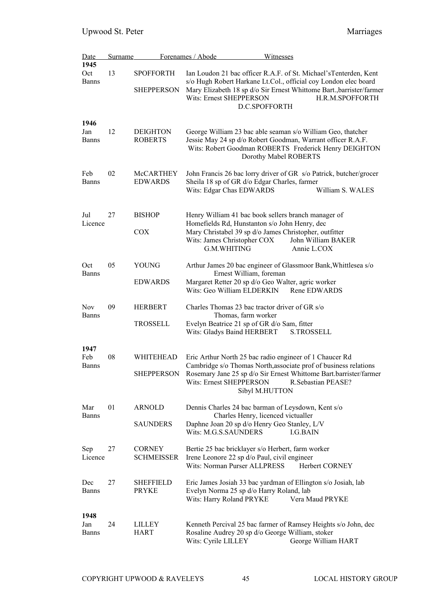| Date                        | <b>Surname</b> |                                       | Forenames / Abode<br>Witnesses                                                                                                                                                                                                                           |                                   |
|-----------------------------|----------------|---------------------------------------|----------------------------------------------------------------------------------------------------------------------------------------------------------------------------------------------------------------------------------------------------------|-----------------------------------|
| 1945<br>Oct<br><b>Banns</b> | 13             | <b>SPOFFORTH</b><br><b>SHEPPERSON</b> | Ian Loudon 21 bac officer R.A.F. of St. Michael's Tenterden, Kent<br>s/o Hugh Robert Harkane Lt.Col., official coy London elec board<br>Mary Elizabeth 18 sp d/o Sir Ernest Whittome Bart., barrister/farmer<br>Wits: Ernest SHEPPERSON<br>D.C.SPOFFORTH | H.R.M.SPOFFORTH                   |
| 1946<br>Jan<br><b>Banns</b> | 12             | <b>DEIGHTON</b><br><b>ROBERTS</b>     | George William 23 bac able seaman s/o William Geo, thatcher<br>Jessie May 24 sp d/o Robert Goodman, Warrant officer R.A.F.<br>Wits: Robert Goodman ROBERTS Frederick Henry DEIGHTON<br>Dorothy Mabel ROBERTS                                             |                                   |
| Feb<br><b>Banns</b>         | 02             | <b>McCARTHEY</b><br><b>EDWARDS</b>    | John Francis 26 bac lorry driver of GR s/o Patrick, butcher/grocer<br>Sheila 18 sp of GR d/o Edgar Charles, farmer<br>Wits: Edgar Chas EDWARDS                                                                                                           | William S. WALES                  |
| Jul<br>Licence              | 27             | <b>BISHOP</b><br><b>COX</b>           | Henry William 41 bac book sellers branch manager of<br>Homefields Rd, Hunstanton s/o John Henry, dec<br>Mary Christabel 39 sp d/o James Christopher, outfitter<br>Wits: James Christopher COX<br>G.M.WHITING                                             | John William BAKER<br>Annie L.COX |
| Oct<br><b>Banns</b>         | 05             | YOUNG<br><b>EDWARDS</b>               | Arthur James 20 bac engineer of Glassmoor Bank, Whittlesea s/o<br>Ernest William, foreman<br>Margaret Retter 20 sp d/o Geo Walter, agric worker<br>Wits: Geo William ELDERKIN                                                                            | Rene EDWARDS                      |
| <b>Nov</b><br><b>Banns</b>  | 09             | <b>HERBERT</b><br><b>TROSSELL</b>     | Charles Thomas 23 bac tractor driver of GR s/o<br>Thomas, farm worker<br>Evelyn Beatrice 21 sp of GR d/o Sam, fitter<br>Wits: Gladys Baind HERBERT                                                                                                       | <b>S.TROSSELL</b>                 |
| 1947<br>Feb<br><b>Banns</b> | 08             | WHITEHEAD<br><b>SHEPPERSON</b>        | Eric Arthur North 25 bac radio engineer of 1 Chaucer Rd<br>Cambridge s/o Thomas North, associate prof of business relations<br>Rosemary Jane 25 sp d/o Sir Ernest Whittome Bart.barrister/farmer<br>Wits: Ernest SHEPPERSON<br>Sibyl M.HUTTON            | R.Sebastian PEASE?                |
| Mar<br><b>Banns</b>         | 01             | <b>ARNOLD</b><br><b>SAUNDERS</b>      | Dennis Charles 24 bac barman of Leysdown, Kent s/o<br>Charles Henry, licenced victualler<br>Daphne Joan 20 sp d/o Henry Geo Stanley, L/V<br>Wits: M.G.S.SAUNDERS                                                                                         | I.G.BAIN                          |
| Sep<br>Licence              | 27             | <b>CORNEY</b><br><b>SCHMEISSER</b>    | Bertie 25 bac bricklayer s/o Herbert, farm worker<br>Irene Leonore 22 sp d/o Paul, civil engineer<br>Wits: Norman Purser ALLPRESS                                                                                                                        | Herbert CORNEY                    |
| Dec<br><b>Banns</b>         | 27             | <b>SHEFFIELD</b><br><b>PRYKE</b>      | Eric James Josiah 33 bac yardman of Ellington s/o Josiah, lab<br>Evelyn Norma 25 sp d/o Harry Roland, lab<br>Wits: Harry Roland PRYKE                                                                                                                    | Vera Maud PRYKE                   |
| 1948<br>Jan<br>Banns        | 24             | LILLEY<br><b>HART</b>                 | Kenneth Percival 25 bac farmer of Ramsey Heights s/o John, dec<br>Rosaline Audrey 20 sp d/o George William, stoker<br>Wits: Cyrile LILLEY                                                                                                                | George William HART               |